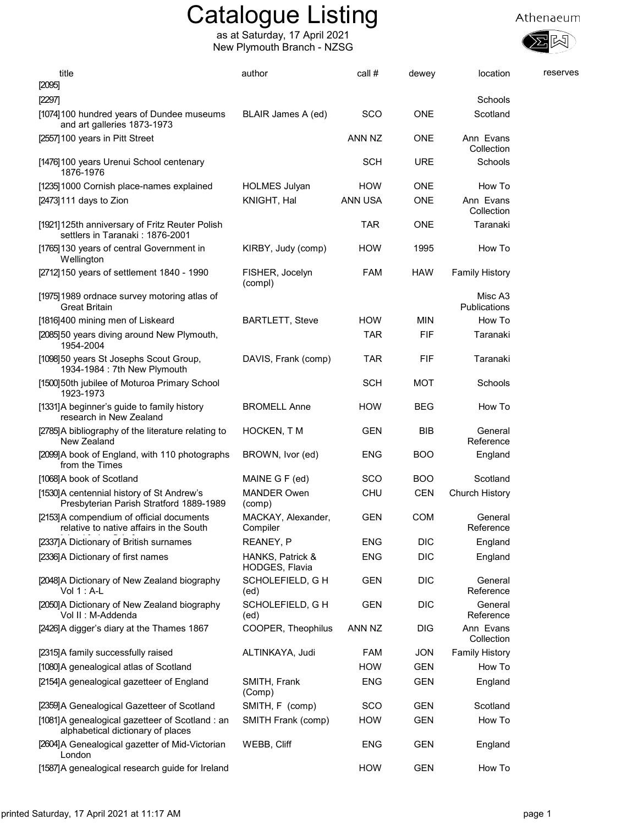

| title<br>[2095]                                                                      | author                             | call #         | dewey      | location                | reserves |
|--------------------------------------------------------------------------------------|------------------------------------|----------------|------------|-------------------------|----------|
| [2297]                                                                               |                                    |                |            | Schools                 |          |
| [1074] 100 hundred years of Dundee museums<br>and art galleries 1873-1973            | BLAIR James A (ed)                 | <b>SCO</b>     | <b>ONE</b> | Scotland                |          |
| [2557] 100 years in Pitt Street                                                      |                                    | ANN NZ         | <b>ONE</b> | Ann Evans<br>Collection |          |
| [1476]100 years Urenui School centenary<br>1876-1976                                 |                                    | <b>SCH</b>     | <b>URE</b> | Schools                 |          |
| [1235] 1000 Cornish place-names explained                                            | <b>HOLMES Julyan</b>               | <b>HOW</b>     | <b>ONE</b> | How To                  |          |
| [2473] 111 days to Zion                                                              | KNIGHT, Hal                        | <b>ANN USA</b> | <b>ONE</b> | Ann Evans<br>Collection |          |
| [1921]125th anniversary of Fritz Reuter Polish<br>settlers in Taranaki: 1876-2001    |                                    | <b>TAR</b>     | <b>ONE</b> | Taranaki                |          |
| [1765]130 years of central Government in<br>Wellington                               | KIRBY, Judy (comp)                 | <b>HOW</b>     | 1995       | How To                  |          |
| [2712] 150 years of settlement 1840 - 1990                                           | FISHER, Jocelyn<br>(compl)         | <b>FAM</b>     | <b>HAW</b> | <b>Family History</b>   |          |
| [1975] 1989 ordnace survey motoring atlas of<br><b>Great Britain</b>                 |                                    |                |            | Misc A3<br>Publications |          |
| [1816]400 mining men of Liskeard                                                     | <b>BARTLETT, Steve</b>             | <b>HOW</b>     | <b>MIN</b> | How To                  |          |
| [2085]50 years diving around New Plymouth,<br>1954-2004                              |                                    | <b>TAR</b>     | FIF        | Taranaki                |          |
| [1098]50 years St Josephs Scout Group,<br>1934-1984 : 7th New Plymouth               | DAVIS, Frank (comp)                | <b>TAR</b>     | FIF        | Taranaki                |          |
| [1500]50th jubilee of Moturoa Primary School<br>1923-1973                            |                                    | <b>SCH</b>     | <b>MOT</b> | Schools                 |          |
| [1331]A beginner's guide to family history<br>research in New Zealand                | <b>BROMELL Anne</b>                | <b>HOW</b>     | <b>BEG</b> | How To                  |          |
| [2785]A bibliography of the literature relating to<br>New Zealand                    | HOCKEN, T M                        | <b>GEN</b>     | BIB        | General<br>Reference    |          |
| [2099]A book of England, with 110 photographs<br>from the Times                      | BROWN, Ivor (ed)                   | <b>ENG</b>     | <b>BOO</b> | England                 |          |
| [1068]A book of Scotland                                                             | MAINE G F (ed)                     | sco            | <b>BOO</b> | Scotland                |          |
| [1530]A centennial history of St Andrew's<br>Presbyterian Parish Stratford 1889-1989 | <b>MANDER Owen</b><br>(comp)       | <b>CHU</b>     | <b>CEN</b> | Church History          |          |
| [2153]A compendium of official documents<br>relative to native affairs in the South  | MACKAY, Alexander,<br>Compiler     | <b>GEN</b>     | <b>COM</b> | General<br>Reference    |          |
| [2337]A Dictionary of British surnames                                               | REANEY, P                          | <b>ENG</b>     | <b>DIC</b> | England                 |          |
| [2336]A Dictionary of first names                                                    | HANKS, Patrick &<br>HODGES, Flavia | <b>ENG</b>     | <b>DIC</b> | England                 |          |
| [2048]A Dictionary of New Zealand biography<br>Vol $1:$ A-L                          | SCHOLEFIELD, G H<br>(ed)           | <b>GEN</b>     | <b>DIC</b> | General<br>Reference    |          |
| [2050]A Dictionary of New Zealand biography<br>Vol II : M-Addenda                    | SCHOLEFIELD, G H<br>(ed)           | GEN            | <b>DIC</b> | General<br>Reference    |          |
| [2426]A digger's diary at the Thames 1867                                            | COOPER, Theophilus                 | ANN NZ         | DIG        | Ann Evans<br>Collection |          |
| [2315]A family successfully raised                                                   | ALTINKAYA, Judi                    | FAM            | <b>JON</b> | <b>Family History</b>   |          |
| [1080]A genealogical atlas of Scotland                                               |                                    | <b>HOW</b>     | <b>GEN</b> | How To                  |          |
| [2154]A genealogical gazetteer of England                                            | SMITH, Frank<br>(Comp)             | <b>ENG</b>     | GEN        | England                 |          |
| [2359]A Genealogical Gazetteer of Scotland                                           | SMITH, F (comp)                    | SCO            | GEN        | Scotland                |          |
| [1081]A genealogical gazetteer of Scotland : an<br>alphabetical dictionary of places | SMITH Frank (comp)                 | <b>HOW</b>     | <b>GEN</b> | How To                  |          |
| [2604]A Genealogical gazetter of Mid-Victorian<br>London                             | WEBB, Cliff                        | <b>ENG</b>     | <b>GEN</b> | England                 |          |
| [1587]A genealogical research guide for Ireland                                      |                                    | <b>HOW</b>     | <b>GEN</b> | How To                  |          |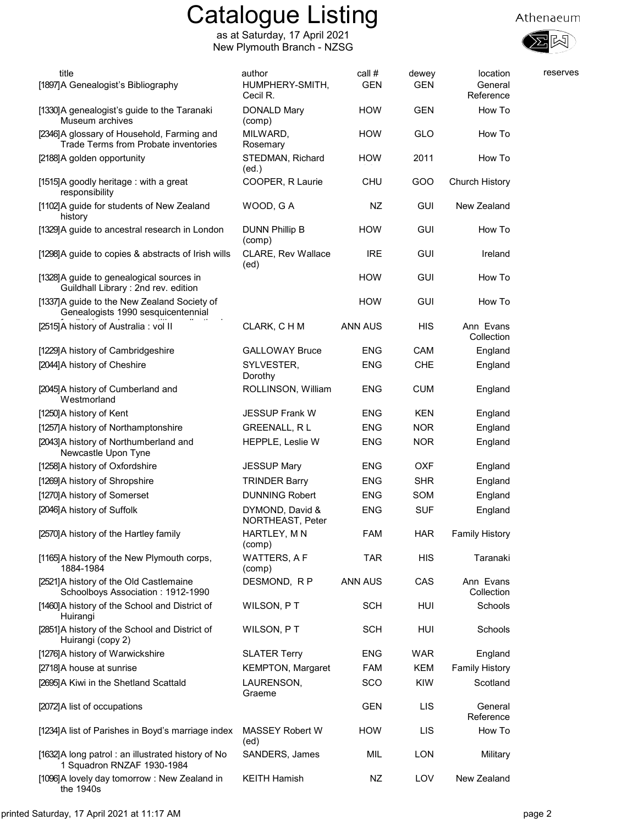

| title<br>[1897]A Genealogist's Bibliography                                        | author<br>HUMPHERY-SMITH,<br>Cecil R. | call #<br><b>GEN</b> | dewey<br><b>GEN</b> | location<br>General<br>Reference | reserves |
|------------------------------------------------------------------------------------|---------------------------------------|----------------------|---------------------|----------------------------------|----------|
| [1330]A genealogist's guide to the Taranaki<br>Museum archives                     | DONALD Mary<br>(comp)                 | <b>HOW</b>           | <b>GEN</b>          | How To                           |          |
| [2346]A glossary of Household, Farming and<br>Trade Terms from Probate inventories | MILWARD,<br>Rosemary                  | <b>HOW</b>           | GLO                 | How To                           |          |
| [2188] A golden opportunity                                                        | STEDMAN, Richard<br>(ed.)             | <b>HOW</b>           | 2011                | How To                           |          |
| [1515] A goodly heritage: with a great<br>responsibility                           | COOPER, R Laurie                      | <b>CHU</b>           | GOO                 | <b>Church History</b>            |          |
| [1102]A guide for students of New Zealand<br>history                               | WOOD, GA                              | NZ                   | <b>GUI</b>          | New Zealand                      |          |
| [1329] A guide to ancestral research in London                                     | <b>DUNN Phillip B</b><br>(comp)       | <b>HOW</b>           | <b>GUI</b>          | How To                           |          |
| [1298]A guide to copies & abstracts of Irish wills                                 | CLARE, Rev Wallace<br>(ed)            | <b>IRE</b>           | <b>GUI</b>          | Ireland                          |          |
| [1328]A guide to genealogical sources in<br>Guildhall Library: 2nd rev. edition    |                                       | <b>HOW</b>           | <b>GUI</b>          | How To                           |          |
| [1337] A guide to the New Zealand Society of<br>Genealogists 1990 sesquicentennial |                                       | <b>HOW</b>           | <b>GUI</b>          | How To                           |          |
| [2515] A history of Australia: vol II                                              | CLARK, C H M                          | <b>ANN AUS</b>       | <b>HIS</b>          | Ann Evans<br>Collection          |          |
| [1229]A history of Cambridgeshire                                                  | <b>GALLOWAY Bruce</b>                 | ENG                  | <b>CAM</b>          | England                          |          |
| [2044]A history of Cheshire                                                        | SYLVESTER,<br>Dorothy                 | <b>ENG</b>           | <b>CHE</b>          | England                          |          |
| [2045] A history of Cumberland and<br>Westmorland                                  | ROLLINSON, William                    | <b>ENG</b>           | <b>CUM</b>          | England                          |          |
| [1250]A history of Kent                                                            | <b>JESSUP Frank W</b>                 | ENG                  | <b>KEN</b>          | England                          |          |
| [1257]A history of Northamptonshire                                                | <b>GREENALL, RL</b>                   | <b>ENG</b>           | <b>NOR</b>          | England                          |          |
| [2043] A history of Northumberland and<br>Newcastle Upon Tyne                      | HEPPLE, Leslie W                      | <b>ENG</b>           | <b>NOR</b>          | England                          |          |
| [1258]A history of Oxfordshire                                                     | <b>JESSUP Mary</b>                    | <b>ENG</b>           | <b>OXF</b>          | England                          |          |
| [1269]A history of Shropshire                                                      | <b>TRINDER Barry</b>                  | <b>ENG</b>           | <b>SHR</b>          | England                          |          |
| [1270]A history of Somerset                                                        | <b>DUNNING Robert</b>                 | <b>ENG</b>           | SOM                 | England                          |          |
| [2046] A history of Suffolk                                                        | DYMOND, David &<br>NORTHEAST, Peter   | <b>ENG</b>           | <b>SUF</b>          | England                          |          |
| [2570]A history of the Hartley family                                              | HARTLEY, MN<br>(comp)                 | FAM                  | <b>HAR</b>          | <b>Family History</b>            |          |
| [1165]A history of the New Plymouth corps,<br>1884-1984                            | <b>WATTERS, AF</b><br>(comp)          | TAR                  | <b>HIS</b>          | Taranaki                         |          |
| [2521]A history of the Old Castlemaine<br>Schoolboys Association: 1912-1990        | DESMOND, RP                           | <b>ANN AUS</b>       | CAS                 | Ann Evans<br>Collection          |          |
| [1460] A history of the School and District of<br>Huirangi                         | WILSON, PT                            | <b>SCH</b>           | HUI                 | Schools                          |          |
| [2851]A history of the School and District of<br>Huirangi (copy 2)                 | WILSON, PT                            | <b>SCH</b>           | HUI                 | Schools                          |          |
| [1276]A history of Warwickshire                                                    | <b>SLATER Terry</b>                   | <b>ENG</b>           | <b>WAR</b>          | England                          |          |
| [2718]A house at sunrise                                                           | <b>KEMPTON, Margaret</b>              | <b>FAM</b>           | <b>KEM</b>          | <b>Family History</b>            |          |
| [2695] A Kiwi in the Shetland Scattald                                             | LAURENSON,<br>Graeme                  | SCO                  | <b>KIW</b>          | Scotland                         |          |
| [2072] A list of occupations                                                       |                                       | <b>GEN</b>           | <b>LIS</b>          | General<br>Reference             |          |
| [1234]A list of Parishes in Boyd's marriage index                                  | <b>MASSEY Robert W</b><br>(ed)        | <b>HOW</b>           | <b>LIS</b>          | How To                           |          |
| [1632]A long patrol: an illustrated history of No<br>1 Squadron RNZAF 1930-1984    | SANDERS, James                        | MIL                  | <b>LON</b>          | Military                         |          |
| [1096]A lovely day tomorrow: New Zealand in<br>the 1940s                           | <b>KEITH Hamish</b>                   | NZ                   | LOV                 | New Zealand                      |          |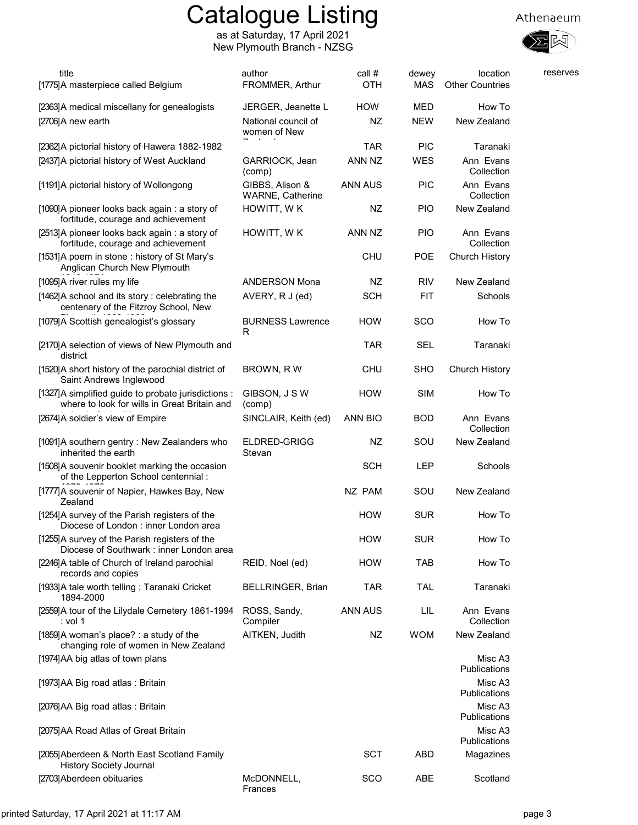

| title<br>[1775] A masterpiece called Belgium                                                        | author<br>FROMMER, Arthur                  | call #<br>OTH    | dewey<br><b>MAS</b> | location<br><b>Other Countries</b> | reserves |
|-----------------------------------------------------------------------------------------------------|--------------------------------------------|------------------|---------------------|------------------------------------|----------|
| [2363] A medical miscellany for genealogists<br>[2706]A new earth                                   | JERGER, Jeanette L<br>National council of  | <b>HOW</b><br>NZ | MED<br><b>NEW</b>   | How To<br>New Zealand              |          |
|                                                                                                     | women of New                               |                  |                     |                                    |          |
| [2362]A pictorial history of Hawera 1882-1982                                                       |                                            | <b>TAR</b>       | <b>PIC</b>          | Taranaki                           |          |
| [2437] A pictorial history of West Auckland                                                         | GARRIOCK, Jean<br>(comp)                   | ANN NZ           | <b>WES</b>          | Ann Evans<br>Collection            |          |
| [1191]A pictorial history of Wollongong                                                             | GIBBS, Alison &<br><b>WARNE, Catherine</b> | <b>ANN AUS</b>   | <b>PIC</b>          | Ann Evans<br>Collection            |          |
| [1090]A pioneer looks back again: a story of<br>fortitude, courage and achievement                  | HOWITT, WK                                 | NZ               | <b>PIO</b>          | New Zealand                        |          |
| [2513]A pioneer looks back again: a story of<br>fortitude, courage and achievement                  | HOWITT, WK                                 | ANN NZ           | <b>PIO</b>          | Ann Evans<br>Collection            |          |
| [1531]A poem in stone: history of St Mary's<br>Anglican Church New Plymouth                         |                                            | <b>CHU</b>       | <b>POE</b>          | <b>Church History</b>              |          |
| [1095]A river rules my life                                                                         | <b>ANDERSON Mona</b>                       | NZ               | <b>RIV</b>          | New Zealand                        |          |
| [1462] A school and its story: celebrating the<br>centenary of the Fitzroy School, New              | AVERY, R J (ed)                            | <b>SCH</b>       | <b>FIT</b>          | Schools                            |          |
| [1079]A Scottish genealogist's glossary                                                             | <b>BURNESS Lawrence</b><br>R               | <b>HOW</b>       | <b>SCO</b>          | How To                             |          |
| [2170]A selection of views of New Plymouth and<br>district                                          |                                            | <b>TAR</b>       | SEL                 | Taranaki                           |          |
| [1520] A short history of the parochial district of<br>Saint Andrews Inglewood                      | BROWN, RW                                  | <b>CHU</b>       | <b>SHO</b>          | <b>Church History</b>              |          |
| [1327]A simplified guide to probate jurisdictions :<br>where to look for wills in Great Britain and | GIBSON, J S W<br>(comp)                    | <b>HOW</b>       | <b>SIM</b>          | How To                             |          |
| [2674] A soldier's view of Empire                                                                   | SINCLAIR, Keith (ed)                       | <b>ANN BIO</b>   | <b>BOD</b>          | Ann Evans<br>Collection            |          |
| [1091]A southern gentry: New Zealanders who<br>inherited the earth                                  | ELDRED-GRIGG<br>Stevan                     | NZ               | SOU                 | New Zealand                        |          |
| [1508] A souvenir booklet marking the occasion<br>of the Lepperton School centennial :              |                                            | <b>SCH</b>       | LEP                 | Schools                            |          |
| [1777]A souvenir of Napier, Hawkes Bay, New<br>Zealand                                              |                                            | NZ PAM           | SOU                 | New Zealand                        |          |
| [1254] A survey of the Parish registers of the<br>Diocese of London : inner London area             |                                            | <b>HOW</b>       | <b>SUR</b>          | How To                             |          |
| [1255] A survey of the Parish registers of the<br>Diocese of Southwark: inner London area           |                                            | <b>HOW</b>       | <b>SUR</b>          | How To                             |          |
| [2246]A table of Church of Ireland parochial<br>records and copies                                  | REID, Noel (ed)                            | <b>HOW</b>       | <b>TAB</b>          | How To                             |          |
| [1933]A tale worth telling; Taranaki Cricket<br>1894-2000                                           | <b>BELLRINGER, Brian</b>                   | <b>TAR</b>       | <b>TAL</b>          | Taranaki                           |          |
| [2559]A tour of the Lilydale Cemetery 1861-1994<br>: vol 1                                          | ROSS, Sandy,<br>Compiler                   | <b>ANN AUS</b>   | LIL                 | Ann Evans<br>Collection            |          |
| [1859]A woman's place? : a study of the<br>changing role of women in New Zealand                    | AITKEN, Judith                             | NZ               | <b>WOM</b>          | New Zealand                        |          |
| [1974] AA big atlas of town plans                                                                   |                                            |                  |                     | Misc A3<br><b>Publications</b>     |          |
| [1973]AA Big road atlas: Britain                                                                    |                                            |                  |                     | Misc A3<br>Publications            |          |
| [2076]AA Big road atlas: Britain                                                                    |                                            |                  |                     | Misc A3<br>Publications            |          |
| [2075] AA Road Atlas of Great Britain                                                               |                                            |                  |                     | Misc A3<br>Publications            |          |
| [2055] Aberdeen & North East Scotland Family<br><b>History Society Journal</b>                      |                                            | <b>SCT</b>       | <b>ABD</b>          | Magazines                          |          |
| [2703] Aberdeen obituaries                                                                          | McDONNELL,<br>Frances                      | SCO              | ABE                 | Scotland                           |          |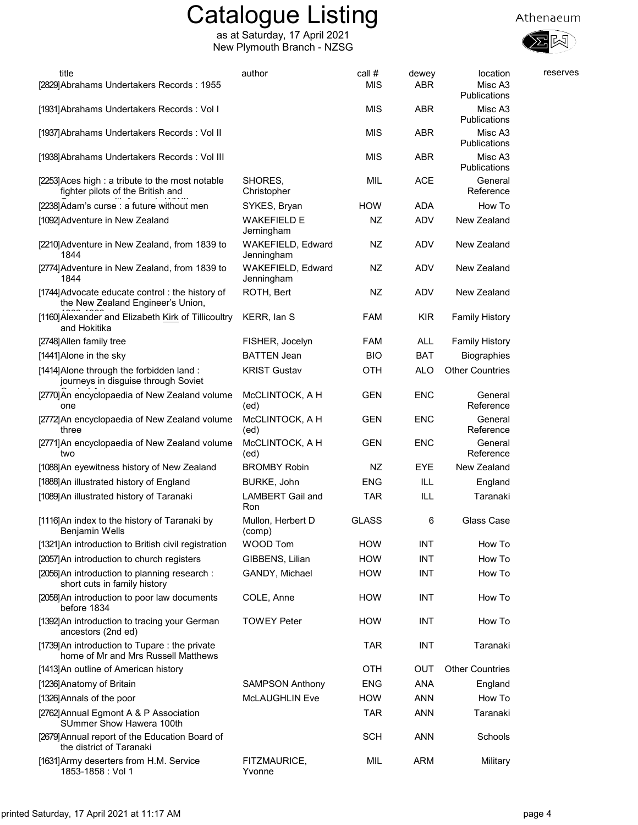

| title<br>[2829] Abrahams Undertakers Records: 1955                                    | author                           | call #<br><b>MIS</b> | dewey<br><b>ABR</b> | location<br>Misc A3<br>Publications | reserves |
|---------------------------------------------------------------------------------------|----------------------------------|----------------------|---------------------|-------------------------------------|----------|
| [1931] Abrahams Undertakers Records: Vol I                                            |                                  | <b>MIS</b>           | <b>ABR</b>          | Misc A3<br>Publications             |          |
| [1937] Abrahams Undertakers Records: Vol II                                           |                                  | <b>MIS</b>           | <b>ABR</b>          | Misc A3<br>Publications             |          |
| [1938] Abrahams Undertakers Records: Vol III                                          |                                  | MIS                  | <b>ABR</b>          | Misc A3<br>Publications             |          |
| [2253] Aces high : a tribute to the most notable<br>fighter pilots of the British and | SHORES,<br>Christopher           | MIL                  | <b>ACE</b>          | General<br>Reference                |          |
| [2238] Adam's curse : a future without men                                            | SYKES, Bryan                     | <b>HOW</b>           | <b>ADA</b>          | How To                              |          |
| [1092] Adventure in New Zealand                                                       | <b>WAKEFIELD E</b><br>Jerningham | <b>NZ</b>            | <b>ADV</b>          | New Zealand                         |          |
| [2210] Adventure in New Zealand, from 1839 to<br>1844                                 | WAKEFIELD, Edward<br>Jenningham  | NZ                   | ADV                 | New Zealand                         |          |
| [2774] Adventure in New Zealand, from 1839 to<br>1844                                 | WAKEFIELD, Edward<br>Jenningham  | NZ                   | ADV                 | New Zealand                         |          |
| [1744] Advocate educate control : the history of<br>the New Zealand Engineer's Union, | ROTH, Bert                       | <b>NZ</b>            | ADV                 | New Zealand                         |          |
| [1160] Alexander and Elizabeth Kirk of Tillicoultry<br>and Hokitika                   | KERR, lan S                      | <b>FAM</b>           | <b>KIR</b>          | <b>Family History</b>               |          |
| [2748] Allen family tree                                                              | FISHER, Jocelyn                  | <b>FAM</b>           | <b>ALL</b>          | <b>Family History</b>               |          |
| [1441] Alone in the sky                                                               | <b>BATTEN Jean</b>               | <b>BIO</b>           | <b>BAT</b>          | Biographies                         |          |
| [1414] Alone through the forbidden land:<br>journeys in disguise through Soviet       | <b>KRIST Gustav</b>              | <b>OTH</b>           | <b>ALO</b>          | <b>Other Countries</b>              |          |
| [2770] An encyclopaedia of New Zealand volume<br>one                                  | McCLINTOCK, A H<br>(ed)          | <b>GEN</b>           | <b>ENC</b>          | General<br>Reference                |          |
| [2772] An encyclopaedia of New Zealand volume<br>three                                | McCLINTOCK, A H<br>(ed)          | <b>GEN</b>           | <b>ENC</b>          | General<br>Reference                |          |
| [2771] An encyclopaedia of New Zealand volume<br>two                                  | McCLINTOCK, A H<br>(ed)          | <b>GEN</b>           | <b>ENC</b>          | General<br>Reference                |          |
| [1088] An eyewitness history of New Zealand                                           | <b>BROMBY Robin</b>              | NZ                   | <b>EYE</b>          | New Zealand                         |          |
| [1888] An illustrated history of England                                              | BURKE, John                      | <b>ENG</b>           | ILL                 | England                             |          |
| [1089] An illustrated history of Taranaki                                             | <b>LAMBERT Gail and</b><br>Ron   | TAR                  | ILL                 | Taranaki                            |          |
| [1116] An index to the history of Taranaki by<br>Benjamin Wells                       | Mullon, Herbert D<br>(comp)      | <b>GLASS</b>         | 6                   | Glass Case                          |          |
| [1321] An introduction to British civil registration                                  | <b>WOOD Tom</b>                  | <b>HOW</b>           | <b>INT</b>          | How To                              |          |
| [2057] An introduction to church registers                                            | GIBBENS, Lilian                  | <b>HOW</b>           | <b>INT</b>          | How To                              |          |
| [2056] An introduction to planning research :<br>short cuts in family history         | GANDY, Michael                   | <b>HOW</b>           | INT                 | How To                              |          |
| [2058] An introduction to poor law documents<br>before 1834                           | COLE, Anne                       | <b>HOW</b>           | <b>INT</b>          | How To                              |          |
| [1392] An introduction to tracing your German<br>ancestors (2nd ed)                   | <b>TOWEY Peter</b>               | <b>HOW</b>           | INT                 | How To                              |          |
| [1739] An introduction to Tupare: the private<br>home of Mr and Mrs Russell Matthews  |                                  | <b>TAR</b>           | INT                 | Taranaki                            |          |
| [1413] An outline of American history                                                 |                                  | <b>OTH</b>           | <b>OUT</b>          | <b>Other Countries</b>              |          |
| [1236] Anatomy of Britain                                                             | <b>SAMPSON Anthony</b>           | <b>ENG</b>           | <b>ANA</b>          | England                             |          |
| [1326] Annals of the poor                                                             | <b>McLAUGHLIN Eve</b>            | <b>HOW</b>           | <b>ANN</b>          | How To                              |          |
| [2762] Annual Egmont A & P Association<br>SUmmer Show Hawera 100th                    |                                  | <b>TAR</b>           | <b>ANN</b>          | Taranaki                            |          |
| [2679] Annual report of the Education Board of<br>the district of Taranaki            |                                  | <b>SCH</b>           | <b>ANN</b>          | Schools                             |          |
| [1631] Army deserters from H.M. Service<br>1853-1858 : Vol 1                          | FITZMAURICE,<br>Yvonne           | MIL                  | ARM                 | Military                            |          |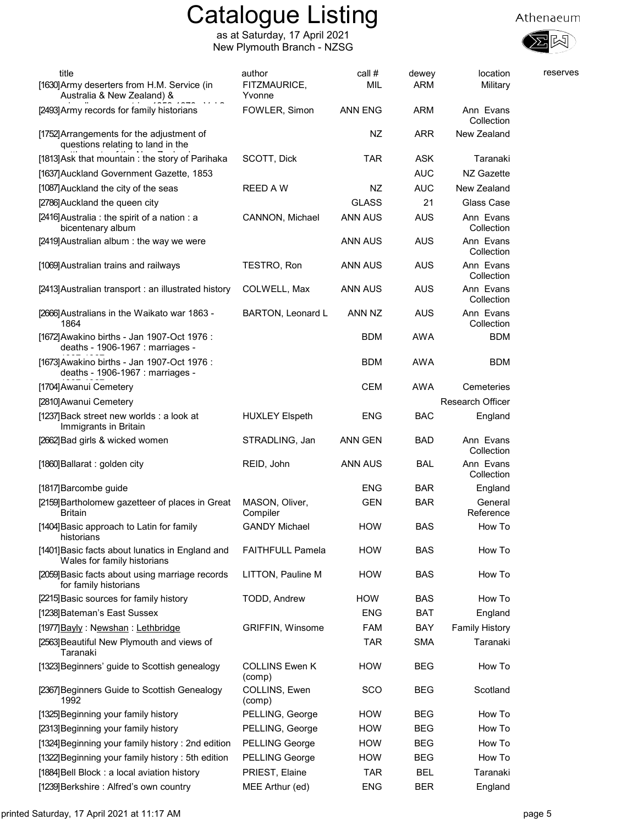



| title                                                                           | author                          | call #         | dewey      | location                | reserves |
|---------------------------------------------------------------------------------|---------------------------------|----------------|------------|-------------------------|----------|
| [1630] Army deserters from H.M. Service (in<br>Australia & New Zealand) &       | FITZMAURICE,<br>Yvonne          | MIL            | <b>ARM</b> | Military                |          |
| [2493] Army records for family historians                                       | FOWLER, Simon                   | <b>ANN ENG</b> | <b>ARM</b> | Ann Evans<br>Collection |          |
| [1752] Arrangements for the adjustment of<br>questions relating to land in the  |                                 | NZ             | <b>ARR</b> | New Zealand             |          |
| [1813] Ask that mountain: the story of Parihaka                                 | SCOTT, Dick                     | <b>TAR</b>     | <b>ASK</b> | Taranaki                |          |
| [1637] Auckland Government Gazette, 1853                                        |                                 |                | <b>AUC</b> | NZ Gazette              |          |
| [1087] Auckland the city of the seas                                            | <b>REED AW</b>                  | NZ             | <b>AUC</b> | New Zealand             |          |
| [2786] Auckland the queen city                                                  |                                 | <b>GLASS</b>   | 21         | Glass Case              |          |
| [2416] Australia : the spirit of a nation : a<br>bicentenary album              | CANNON, Michael                 | <b>ANN AUS</b> | <b>AUS</b> | Ann Evans<br>Collection |          |
| [2419] Australian album: the way we were                                        |                                 | <b>ANN AUS</b> | <b>AUS</b> | Ann Evans<br>Collection |          |
| [1069] Australian trains and railways                                           | TESTRO, Ron                     | ANN AUS        | AUS        | Ann Evans<br>Collection |          |
| [2413] Australian transport : an illustrated history                            | COLWELL, Max                    | ANN AUS        | <b>AUS</b> | Ann Evans<br>Collection |          |
| [2666] Australians in the Waikato war 1863 -<br>1864                            | <b>BARTON, Leonard L</b>        | ANN NZ         | <b>AUS</b> | Ann Evans<br>Collection |          |
| [1672] Awakino births - Jan 1907-Oct 1976 :<br>deaths - 1906-1967 : marriages - |                                 | <b>BDM</b>     | AWA        | <b>BDM</b>              |          |
| [1673] Awakino births - Jan 1907-Oct 1976 :<br>deaths - 1906-1967 : marriages - |                                 | <b>BDM</b>     | <b>AWA</b> | <b>BDM</b>              |          |
| [1704] Awanui Cemetery                                                          |                                 | <b>CEM</b>     | <b>AWA</b> | Cemeteries              |          |
| [2810] Awanui Cemetery                                                          |                                 |                |            | Research Officer        |          |
| [1237] Back street new worlds : a look at<br>Immigrants in Britain              | <b>HUXLEY Elspeth</b>           | <b>ENG</b>     | <b>BAC</b> | England                 |          |
| [2662] Bad girls & wicked women                                                 | STRADLING, Jan                  | ANN GEN        | <b>BAD</b> | Ann Evans<br>Collection |          |
| [1860] Ballarat : golden city                                                   | REID, John                      | ANN AUS        | <b>BAL</b> | Ann Evans<br>Collection |          |
| [1817] Barcombe guide                                                           |                                 | <b>ENG</b>     | <b>BAR</b> | England                 |          |
| [2159] Bartholomew gazetteer of places in Great<br>Britain                      | MASON, Oliver,<br>Compiler      | GEN            | <b>BAR</b> | General<br>Reference    |          |
| [1404] Basic approach to Latin for family<br>historians                         | <b>GANDY Michael</b>            | <b>HOW</b>     | <b>BAS</b> | How To                  |          |
| [1401] Basic facts about lunatics in England and<br>Wales for family historians | <b>FAITHFULL Pamela</b>         | <b>HOW</b>     | <b>BAS</b> | How To                  |          |
| [2059] Basic facts about using marriage records<br>for family historians        | LITTON, Pauline M               | <b>HOW</b>     | <b>BAS</b> | How To                  |          |
| [2215] Basic sources for family history                                         | TODD, Andrew                    | <b>HOW</b>     | <b>BAS</b> | How To                  |          |
| [1238] Bateman's East Sussex                                                    |                                 | <b>ENG</b>     | <b>BAT</b> | England                 |          |
| [1977] Bayly: Newshan: Lethbridge                                               | <b>GRIFFIN, Winsome</b>         | FAM            | BAY        | <b>Family History</b>   |          |
| [2563] Beautiful New Plymouth and views of<br>Taranaki                          |                                 | <b>TAR</b>     | <b>SMA</b> | Taranaki                |          |
| [1323] Beginners' guide to Scottish genealogy                                   | <b>COLLINS Ewen K</b><br>(comp) | <b>HOW</b>     | BEG        | How To                  |          |
| [2367] Beginners Guide to Scottish Genealogy<br>1992                            | COLLINS, Ewen<br>(comp)         | <b>SCO</b>     | BEG        | Scotland                |          |
| [1325] Beginning your family history                                            | PELLING, George                 | <b>HOW</b>     | <b>BEG</b> | How To                  |          |
| [2313] Beginning your family history                                            | PELLING, George                 | <b>HOW</b>     | <b>BEG</b> | How To                  |          |
| [1324] Beginning your family history: 2nd edition                               | <b>PELLING George</b>           | <b>HOW</b>     | BEG        | How To                  |          |
| [1322] Beginning your family history: 5th edition                               | <b>PELLING George</b>           | <b>HOW</b>     | BEG        | How To                  |          |
| [1884] Bell Block: a local aviation history                                     | PRIEST, Elaine                  | <b>TAR</b>     | <b>BEL</b> | Taranaki                |          |
| [1239] Berkshire: Alfred's own country                                          | MEE Arthur (ed)                 | ENG            | BER        | England                 |          |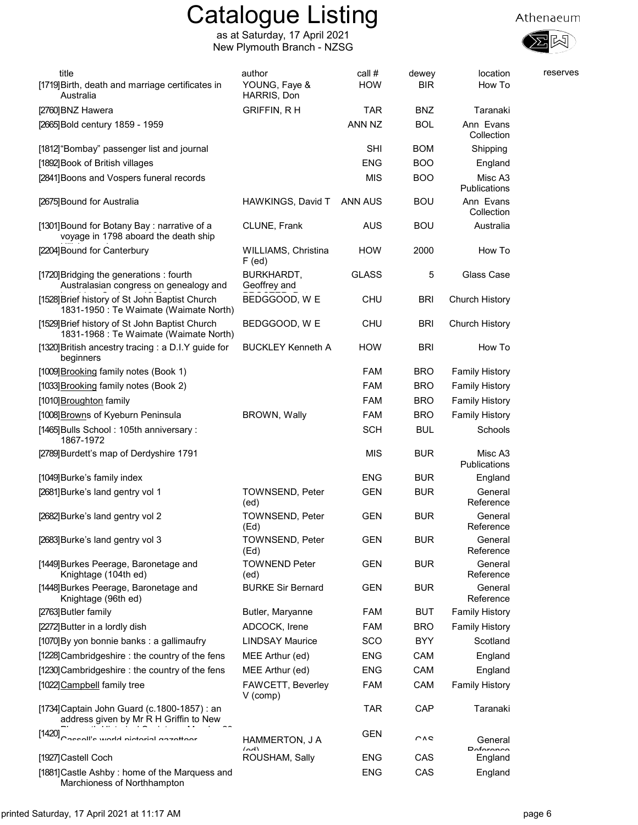



| title                                                                                    | author                            | call #         | dewey      | location                | reserves |
|------------------------------------------------------------------------------------------|-----------------------------------|----------------|------------|-------------------------|----------|
| [1719] Birth, death and marriage certificates in<br>Australia                            | YOUNG, Faye &<br>HARRIS, Don      | <b>HOW</b>     | <b>BIR</b> | How To                  |          |
| [2760] BNZ Hawera                                                                        | <b>GRIFFIN, RH</b>                | <b>TAR</b>     | <b>BNZ</b> | Taranaki                |          |
| [2665] Bold century 1859 - 1959                                                          |                                   | ANN NZ         | <b>BOL</b> | Ann Evans<br>Collection |          |
| [1812] "Bombay" passenger list and journal                                               |                                   | <b>SHI</b>     | <b>BOM</b> | Shipping                |          |
| [1892] Book of British villages                                                          |                                   | <b>ENG</b>     | <b>BOO</b> | England                 |          |
| [2841] Boons and Vospers funeral records                                                 |                                   | <b>MIS</b>     | <b>BOO</b> | Misc A3<br>Publications |          |
| [2675] Bound for Australia                                                               | HAWKINGS, David T                 | <b>ANN AUS</b> | <b>BOU</b> | Ann Evans<br>Collection |          |
| [1301] Bound for Botany Bay: narrative of a<br>voyage in 1798 aboard the death ship      | CLUNE, Frank                      | <b>AUS</b>     | <b>BOU</b> | Australia               |          |
| [2204] Bound for Canterbury                                                              | WILLIAMS, Christina<br>$F$ (ed)   | <b>HOW</b>     | 2000       | How To                  |          |
| [1720] Bridging the generations: fourth<br>Australasian congress on genealogy and        | <b>BURKHARDT,</b><br>Geoffrey and | <b>GLASS</b>   | 5          | Glass Case              |          |
| [1528] Brief history of St John Baptist Church<br>1831-1950 : Te Waimate (Waimate North) | BEDGGOOD, W E                     | <b>CHU</b>     | <b>BRI</b> | Church History          |          |
| [1529] Brief history of St John Baptist Church<br>1831-1968 : Te Waimate (Waimate North) | BEDGGOOD, W E                     | <b>CHU</b>     | <b>BRI</b> | Church History          |          |
| [1320] British ancestry tracing : a D.I.Y guide for<br>beginners                         | <b>BUCKLEY Kenneth A</b>          | <b>HOW</b>     | <b>BRI</b> | How To                  |          |
| [1009] Brooking family notes (Book 1)                                                    |                                   | <b>FAM</b>     | <b>BRO</b> | <b>Family History</b>   |          |
| [1033] Brooking family notes (Book 2)                                                    |                                   | FAM            | <b>BRO</b> | <b>Family History</b>   |          |
| [1010] Broughton family                                                                  |                                   | <b>FAM</b>     | <b>BRO</b> | <b>Family History</b>   |          |
| [1008] Browns of Kyeburn Peninsula                                                       | <b>BROWN, Wally</b>               | <b>FAM</b>     | <b>BRO</b> | <b>Family History</b>   |          |
| [1465] Bulls School: 105th anniversary:<br>1867-1972                                     |                                   | <b>SCH</b>     | <b>BUL</b> | Schools                 |          |
| [2789] Burdett's map of Derdyshire 1791                                                  |                                   | <b>MIS</b>     | <b>BUR</b> | Misc A3<br>Publications |          |
| [1049] Burke's family index                                                              |                                   | <b>ENG</b>     | <b>BUR</b> | England                 |          |
| [2681] Burke's land gentry vol 1                                                         | TOWNSEND, Peter<br>(ed)           | <b>GEN</b>     | <b>BUR</b> | General<br>Reference    |          |
| [2682] Burke's land gentry vol 2                                                         | <b>TOWNSEND, Peter</b><br>(Ed)    | <b>GEN</b>     | <b>BUR</b> | General<br>Reference    |          |
| [2683] Burke's land gentry vol 3                                                         | <b>TOWNSEND, Peter</b><br>(Ed)    | GEN            | <b>BUR</b> | General<br>Reference    |          |
| [1449] Burkes Peerage, Baronetage and<br>Knightage (104th ed)                            | <b>TOWNEND Peter</b><br>(ed)      | <b>GEN</b>     | <b>BUR</b> | General<br>Reference    |          |
| [1448] Burkes Peerage, Baronetage and<br>Knightage (96th ed)                             | <b>BURKE Sir Bernard</b>          | <b>GEN</b>     | <b>BUR</b> | General<br>Reference    |          |
| [2763] Butler family                                                                     | Butler, Maryanne                  | <b>FAM</b>     | <b>BUT</b> | <b>Family History</b>   |          |
| [2272] Butter in a lordly dish                                                           | ADCOCK, Irene                     | <b>FAM</b>     | <b>BRO</b> | <b>Family History</b>   |          |
| [1070] By yon bonnie banks : a gallimaufry                                               | <b>LINDSAY Maurice</b>            | SCO            | <b>BYY</b> | Scotland                |          |
| [1228] Cambridgeshire: the country of the fens                                           | MEE Arthur (ed)                   | <b>ENG</b>     | CAM        | England                 |          |
| [1230] Cambridgeshire: the country of the fens                                           | MEE Arthur (ed)                   | <b>ENG</b>     | CAM        | England                 |          |
| [1022] Campbell family tree                                                              | FAWCETT, Beverley<br>$V$ (comp)   | <b>FAM</b>     | CAM        | <b>Family History</b>   |          |
| [1734] Captain John Guard (c.1800-1857) : an<br>address given by Mr R H Griffin to New   |                                   | <b>TAR</b>     | CAP        | Taranaki                |          |
| [1420]<br>Cassall's world nictorial aczatteer                                            | HAMMERTON, J A<br>$\sim$          | GEN            | $\sim$     | General<br>Doforonoo    |          |
| [1927]Castell Coch                                                                       | ROUSHAM, Sally                    | <b>ENG</b>     | CAS        | England                 |          |
| [1881] Castle Ashby: home of the Marquess and<br>Marchioness of Northhampton             |                                   | <b>ENG</b>     | CAS        | England                 |          |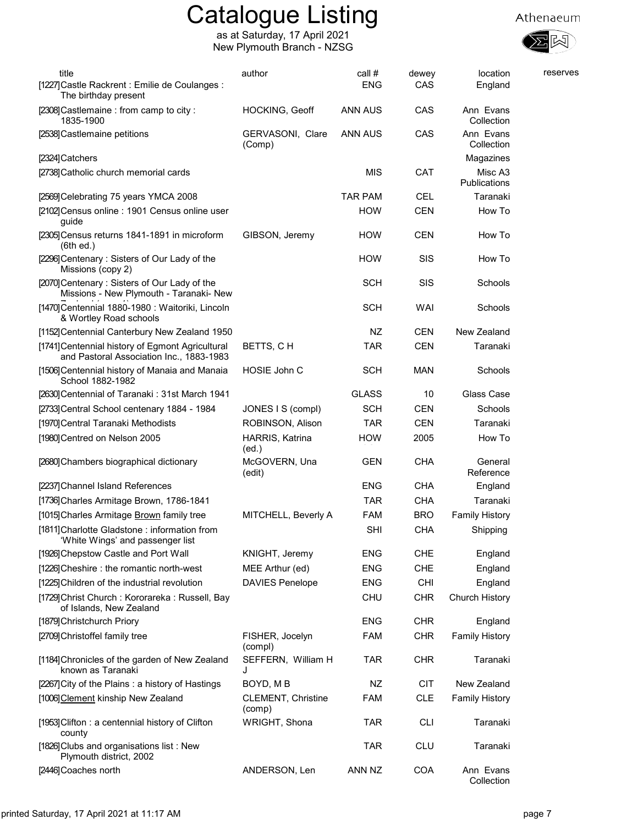





| title<br>[1227] Castle Rackrent : Emilie de Coulanges :<br>The birthday present              | author                          | call #<br><b>ENG</b> | dewey<br>CAS | location<br>England     | reserves |
|----------------------------------------------------------------------------------------------|---------------------------------|----------------------|--------------|-------------------------|----------|
| [2308] Castlemaine : from camp to city :<br>1835-1900                                        | HOCKING, Geoff                  | ANN AUS              | CAS          | Ann Evans<br>Collection |          |
| [2538] Castlemaine petitions                                                                 | GERVASONI, Clare<br>(Comp)      | <b>ANN AUS</b>       | CAS          | Ann Evans<br>Collection |          |
| [2324] Catchers                                                                              |                                 |                      |              | Magazines               |          |
| [2738] Catholic church memorial cards                                                        |                                 | MIS                  | <b>CAT</b>   | Misc A3<br>Publications |          |
| [2569] Celebrating 75 years YMCA 2008                                                        |                                 | <b>TAR PAM</b>       | <b>CEL</b>   | Taranaki                |          |
| [2102] Census online : 1901 Census online user<br>guide                                      |                                 | <b>HOW</b>           | <b>CEN</b>   | How To                  |          |
| [2305] Census returns 1841-1891 in microform<br>(6th ed.)                                    | GIBSON, Jeremy                  | <b>HOW</b>           | <b>CEN</b>   | How To                  |          |
| [2296] Centenary: Sisters of Our Lady of the<br>Missions (copy 2)                            |                                 | <b>HOW</b>           | <b>SIS</b>   | How To                  |          |
| [2070] Centenary: Sisters of Our Lady of the<br>Missions - New Plymouth - Taranaki- New      |                                 | <b>SCH</b>           | SIS          | Schools                 |          |
| [1470] Centennial 1880-1980 : Waitoriki, Lincoln<br>& Wortley Road schools                   |                                 | <b>SCH</b>           | WAI          | Schools                 |          |
| [1152] Centennial Canterbury New Zealand 1950                                                |                                 | NZ                   | <b>CEN</b>   | New Zealand             |          |
| [1741] Centennial history of Egmont Agricultural<br>and Pastoral Association Inc., 1883-1983 | BETTS, CH                       | <b>TAR</b>           | <b>CEN</b>   | Taranaki                |          |
| [1506] Centennial history of Manaia and Manaia<br>School 1882-1982                           | HOSIE John C                    | <b>SCH</b>           | <b>MAN</b>   | Schools                 |          |
| [2630] Centennial of Taranaki: 31st March 1941                                               |                                 | <b>GLASS</b>         | 10           | Glass Case              |          |
| [2733] Central School centenary 1884 - 1984                                                  | JONES I S (compl)               | <b>SCH</b>           | <b>CEN</b>   | Schools                 |          |
| [1970] Central Taranaki Methodists                                                           | ROBINSON, Alison                | <b>TAR</b>           | <b>CEN</b>   | Taranaki                |          |
| [1980]Centred on Nelson 2005                                                                 | <b>HARRIS, Katrina</b><br>(ed.) | <b>HOW</b>           | 2005         | How To                  |          |
| [2680] Chambers biographical dictionary                                                      | McGOVERN, Una<br>(edit)         | <b>GEN</b>           | <b>CHA</b>   | General<br>Reference    |          |
| [2237] Channel Island References                                                             |                                 | <b>ENG</b>           | <b>CHA</b>   | England                 |          |
| [1736] Charles Armitage Brown, 1786-1841                                                     |                                 | <b>TAR</b>           | <b>CHA</b>   | Taranaki                |          |
| [1015] Charles Armitage Brown family tree                                                    | MITCHELL, Beverly A             | <b>FAM</b>           | <b>BRO</b>   | <b>Family History</b>   |          |
| [1811] Charlotte Gladstone: information from<br>'White Wings' and passenger list             |                                 | <b>SHI</b>           | <b>CHA</b>   | Shipping                |          |
| [1926] Chepstow Castle and Port Wall                                                         | KNIGHT, Jeremy                  | <b>ENG</b>           | <b>CHE</b>   | England                 |          |
| [1226] Cheshire: the romantic north-west                                                     | MEE Arthur (ed)                 | <b>ENG</b>           | CHE          | England                 |          |
| [1225] Children of the industrial revolution                                                 | <b>DAVIES Penelope</b>          | <b>ENG</b>           | <b>CHI</b>   | England                 |          |
| [1729]Christ Church : Kororareka : Russell, Bay<br>of Islands, New Zealand                   |                                 | <b>CHU</b>           | <b>CHR</b>   | Church History          |          |
| [1879] Christchurch Priory                                                                   |                                 | <b>ENG</b>           | <b>CHR</b>   | England                 |          |
| [2709] Christoffel family tree                                                               | FISHER, Jocelyn<br>(compl)      | <b>FAM</b>           | <b>CHR</b>   | <b>Family History</b>   |          |
| [1184] Chronicles of the garden of New Zealand<br>known as Taranaki                          | SEFFERN, William H<br>J         | <b>TAR</b>           | <b>CHR</b>   | Taranaki                |          |
| [2267] City of the Plains: a history of Hastings                                             | BOYD, MB                        | NZ                   | <b>CIT</b>   | New Zealand             |          |
| [1006] Clement kinship New Zealand                                                           | CLEMENT, Christine<br>(comp)    | <b>FAM</b>           | <b>CLE</b>   | <b>Family History</b>   |          |
| [1953] Clifton: a centennial history of Clifton<br>county                                    | WRIGHT, Shona                   | <b>TAR</b>           | <b>CLI</b>   | Taranaki                |          |
| [1826] Clubs and organisations list: New<br>Plymouth district, 2002                          |                                 | TAR                  | <b>CLU</b>   | Taranaki                |          |
| [2446] Coaches north                                                                         | ANDERSON, Len                   | ANN NZ               | COA          | Ann Evans<br>Collection |          |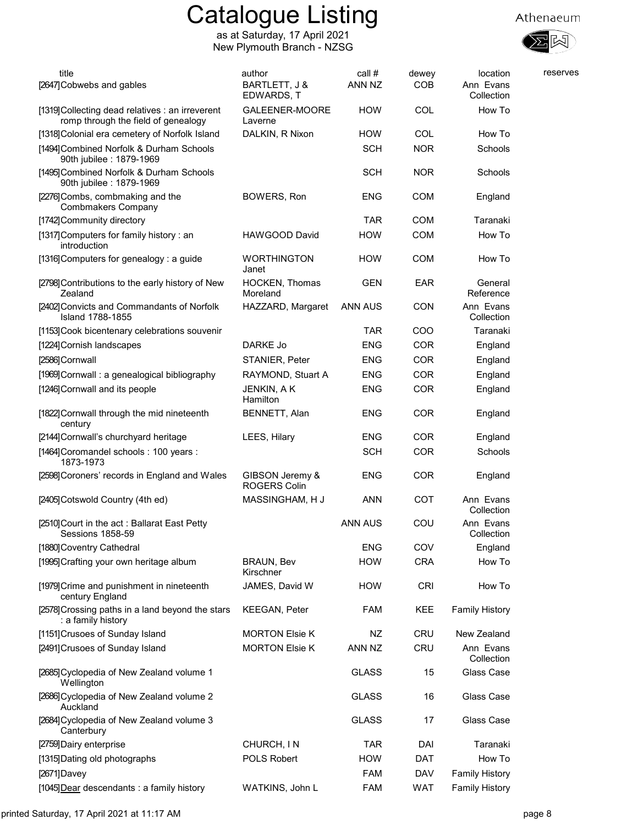



| title<br>[2647] Cobwebs and gables                                                      | author<br>BARTLETT, J &<br>EDWARDS, T  | call #<br>ANN NZ | dewey<br><b>COB</b> | location<br>Ann Evans<br>Collection | reserves |
|-----------------------------------------------------------------------------------------|----------------------------------------|------------------|---------------------|-------------------------------------|----------|
| [1319] Collecting dead relatives : an irreverent<br>romp through the field of genealogy | GALEENER-MOORE<br>Laverne              | <b>HOW</b>       | COL                 | How To                              |          |
| [1318] Colonial era cemetery of Norfolk Island                                          | DALKIN, R Nixon                        | <b>HOW</b>       | COL                 | How To                              |          |
| [1494] Combined Norfolk & Durham Schools<br>90th jubilee: 1879-1969                     |                                        | <b>SCH</b>       | <b>NOR</b>          | Schools                             |          |
| [1495] Combined Norfolk & Durham Schools<br>90th jubilee: 1879-1969                     |                                        | <b>SCH</b>       | <b>NOR</b>          | Schools                             |          |
| [2276] Combs, combmaking and the<br><b>Combmakers Company</b>                           | BOWERS, Ron                            | <b>ENG</b>       | <b>COM</b>          | England                             |          |
| [1742] Community directory                                                              |                                        | <b>TAR</b>       | <b>COM</b>          | Taranaki                            |          |
| [1317] Computers for family history : an<br>introduction                                | HAWGOOD David                          | <b>HOW</b>       | <b>COM</b>          | How To                              |          |
| [1316] Computers for genealogy: a guide                                                 | <b>WORTHINGTON</b><br>Janet            | <b>HOW</b>       | <b>COM</b>          | How To                              |          |
| [2798] Contributions to the early history of New<br>Zealand                             | <b>HOCKEN, Thomas</b><br>Moreland      | <b>GEN</b>       | <b>EAR</b>          | General<br>Reference                |          |
| [2402] Convicts and Commandants of Norfolk<br><b>Island 1788-1855</b>                   | HAZZARD, Margaret                      | <b>ANN AUS</b>   | <b>CON</b>          | Ann Evans<br>Collection             |          |
| [1153] Cook bicentenary celebrations souvenir                                           |                                        | <b>TAR</b>       | COO                 | Taranaki                            |          |
| [1224] Cornish landscapes                                                               | DARKE Jo                               | <b>ENG</b>       | COR                 | England                             |          |
| [2586]Cornwall                                                                          | STANIER, Peter                         | <b>ENG</b>       | COR                 | England                             |          |
| [1969] Cornwall: a genealogical bibliography                                            | RAYMOND, Stuart A                      | <b>ENG</b>       | <b>COR</b>          | England                             |          |
| [1246] Cornwall and its people                                                          | JENKIN, A K<br>Hamilton                | <b>ENG</b>       | COR                 | England                             |          |
| [1822] Cornwall through the mid nineteenth<br>century                                   | BENNETT, Alan                          | <b>ENG</b>       | <b>COR</b>          | England                             |          |
| [2144] Cornwall's churchyard heritage                                                   | LEES, Hilary                           | <b>ENG</b>       | <b>COR</b>          | England                             |          |
| [1464] Coromandel schools: 100 years:<br>1873-1973                                      |                                        | <b>SCH</b>       | <b>COR</b>          | Schools                             |          |
| [2598] Coroners' records in England and Wales                                           | GIBSON Jeremy &<br><b>ROGERS Colin</b> | <b>ENG</b>       | COR                 | England                             |          |
| [2405] Cotswold Country (4th ed)                                                        | MASSINGHAM, H J                        | <b>ANN</b>       | COT                 | Ann Evans<br>Collection             |          |
| [2510]Court in the act : Ballarat East Petty<br>Sessions 1858-59                        |                                        | <b>ANN AUS</b>   | COU                 | Ann Evans<br>Collection             |          |
| [1880] Coventry Cathedral                                                               |                                        | <b>ENG</b>       | COV                 | England                             |          |
| [1995] Crafting your own heritage album                                                 | <b>BRAUN, Bev</b><br>Kirschner         | <b>HOW</b>       | <b>CRA</b>          | How To                              |          |
| [1979] Crime and punishment in nineteenth<br>century England                            | JAMES, David W                         | <b>HOW</b>       | <b>CRI</b>          | How To                              |          |
| [2578] Crossing paths in a land beyond the stars<br>: a family history                  | <b>KEEGAN, Peter</b>                   | <b>FAM</b>       | KEE                 | <b>Family History</b>               |          |
| [1151] Crusoes of Sunday Island                                                         | <b>MORTON Elsie K</b>                  | NZ               | <b>CRU</b>          | New Zealand                         |          |
| [2491] Crusoes of Sunday Island                                                         | <b>MORTON Elsie K</b>                  | ANN NZ           | <b>CRU</b>          | Ann Evans<br>Collection             |          |
| [2685] Cyclopedia of New Zealand volume 1<br>Wellington                                 |                                        | <b>GLASS</b>     | 15                  | Glass Case                          |          |
| [2686] Cyclopedia of New Zealand volume 2<br>Auckland                                   |                                        | <b>GLASS</b>     | 16                  | Glass Case                          |          |
| [2684] Cyclopedia of New Zealand volume 3<br>Canterbury                                 |                                        | <b>GLASS</b>     | 17                  | Glass Case                          |          |
| [2759] Dairy enterprise                                                                 | CHURCH, IN                             | <b>TAR</b>       | DAI                 | Taranaki                            |          |
| [1315] Dating old photographs                                                           | POLS Robert                            | <b>HOW</b>       | <b>DAT</b>          | How To                              |          |
| [2671]Davey                                                                             |                                        | <b>FAM</b>       | <b>DAV</b>          | <b>Family History</b>               |          |
| [1045] Dear descendants : a family history                                              | WATKINS, John L                        | FAM              | <b>WAT</b>          | <b>Family History</b>               |          |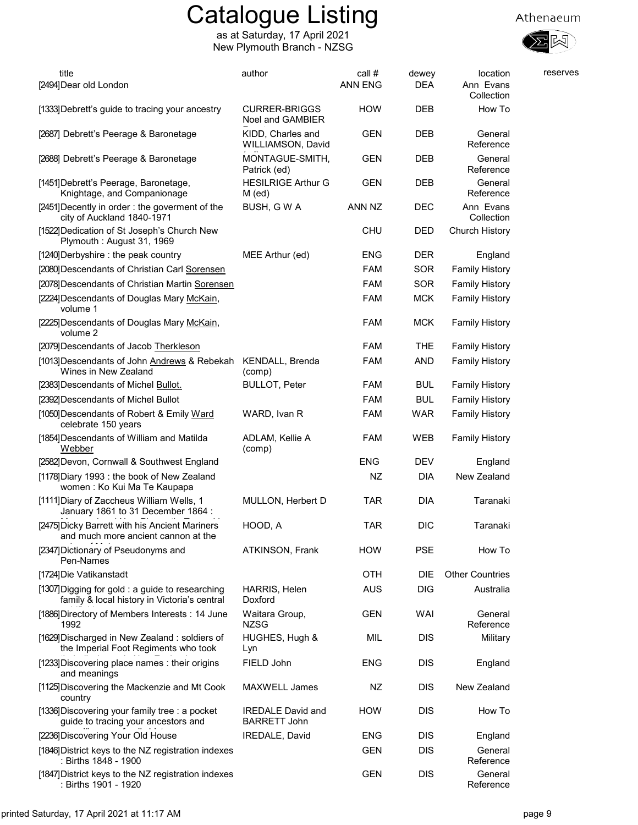



| title<br>[2494] Dear old London                                                                  | author                                          | call #<br><b>ANN ENG</b> | dewey<br><b>DEA</b> | location<br>Ann Evans<br>Collection | reserves |
|--------------------------------------------------------------------------------------------------|-------------------------------------------------|--------------------------|---------------------|-------------------------------------|----------|
| [1333] Debrett's guide to tracing your ancestry                                                  | <b>CURRER-BRIGGS</b><br>Noel and GAMBIER        | <b>HOW</b>               | <b>DEB</b>          | How To                              |          |
| [2687] Debrett's Peerage & Baronetage                                                            | KIDD, Charles and<br>WILLIAMSON, David          | <b>GEN</b>               | DEB                 | General<br>Reference                |          |
| [2688] Debrett's Peerage & Baronetage                                                            | MONTAGUE-SMITH,<br>Patrick (ed)                 | <b>GEN</b>               | <b>DEB</b>          | General<br>Reference                |          |
| [1451] Debrett's Peerage, Baronetage,<br>Knightage, and Companionage                             | <b>HESILRIGE Arthur G</b><br>M (ed)             | <b>GEN</b>               | <b>DEB</b>          | General<br>Reference                |          |
| [2451] Decently in order: the goverment of the<br>city of Auckland 1840-1971                     | BUSH, G W A                                     | ANN NZ                   | DEC                 | Ann Evans<br>Collection             |          |
| [1522] Dedication of St Joseph's Church New<br>Plymouth: August 31, 1969                         |                                                 | <b>CHU</b>               | DED                 | Church History                      |          |
| [1240] Derbyshire : the peak country                                                             | MEE Arthur (ed)                                 | <b>ENG</b>               | <b>DER</b>          | England                             |          |
| [2080] Descendants of Christian Carl Sorensen                                                    |                                                 | <b>FAM</b>               | SOR                 | <b>Family History</b>               |          |
| [2078] Descendants of Christian Martin Sorensen                                                  |                                                 | <b>FAM</b>               | SOR                 | <b>Family History</b>               |          |
| [2224] Descendants of Douglas Mary McKain,<br>volume 1                                           |                                                 | <b>FAM</b>               | <b>MCK</b>          | <b>Family History</b>               |          |
| [2225] Descendants of Douglas Mary McKain,<br>volume 2                                           |                                                 | <b>FAM</b>               | <b>MCK</b>          | <b>Family History</b>               |          |
| [2079] Descendants of Jacob Therkleson                                                           |                                                 | <b>FAM</b>               | <b>THE</b>          | <b>Family History</b>               |          |
| [1013] Descendants of John Andrews & Rebekah<br>Wines in New Zealand                             | KENDALL, Brenda<br>(comp)                       | <b>FAM</b>               | <b>AND</b>          | <b>Family History</b>               |          |
| [2383] Descendants of Michel Bullot.                                                             | <b>BULLOT, Peter</b>                            | FAM                      | <b>BUL</b>          | <b>Family History</b>               |          |
| [2392] Descendants of Michel Bullot                                                              |                                                 | <b>FAM</b>               | <b>BUL</b>          | <b>Family History</b>               |          |
| [1050] Descendants of Robert & Emily Ward<br>celebrate 150 years                                 | WARD, Ivan R                                    | <b>FAM</b>               | <b>WAR</b>          | <b>Family History</b>               |          |
| [1854] Descendants of William and Matilda<br>Webber                                              | ADLAM, Kellie A<br>(comp)                       | FAM                      | WEB                 | <b>Family History</b>               |          |
| [2582] Devon, Cornwall & Southwest England                                                       |                                                 | <b>ENG</b>               | <b>DEV</b>          | England                             |          |
| [1178] Diary 1993 : the book of New Zealand<br>women: Ko Kui Ma Te Kaupapa                       |                                                 | NZ                       | <b>DIA</b>          | New Zealand                         |          |
| [1111] Diary of Zaccheus William Wells, 1<br>January 1861 to 31 December 1864 :                  | MULLON, Herbert D                               | <b>TAR</b>               | <b>DIA</b>          | Taranaki                            |          |
| [2475] Dicky Barrett with his Ancient Mariners<br>and much more ancient cannon at the            | HOOD, A                                         | <b>TAR</b>               | <b>DIC</b>          | Taranaki                            |          |
| [2347] Dictionary of Pseudonyms and<br>Pen-Names                                                 | ATKINSON, Frank                                 | <b>HOW</b>               | PSE                 | How To                              |          |
| [1724] Die Vatikanstadt                                                                          |                                                 | OTH                      | DIE                 | <b>Other Countries</b>              |          |
| [1307] Digging for gold : a guide to researching<br>family & local history in Victoria's central | HARRIS, Helen<br>Doxford                        | <b>AUS</b>               | <b>DIG</b>          | Australia                           |          |
| [1886] Directory of Members Interests: 14 June<br>1992                                           | Waitara Group,<br><b>NZSG</b>                   | <b>GEN</b>               | WAI                 | General<br>Reference                |          |
| [1629] Discharged in New Zealand: soldiers of<br>the Imperial Foot Regiments who took            | HUGHES, Hugh &<br>Lyn                           | MIL                      | <b>DIS</b>          | Military                            |          |
| [1233] Discovering place names: their origins<br>and meanings                                    | FIELD John                                      | <b>ENG</b>               | <b>DIS</b>          | England                             |          |
| [1125] Discovering the Mackenzie and Mt Cook<br>country                                          | MAXWELL James                                   | NZ                       | <b>DIS</b>          | New Zealand                         |          |
| [1336] Discovering your family tree : a pocket<br>guide to tracing your ancestors and            | <b>IREDALE David and</b><br><b>BARRETT John</b> | <b>HOW</b>               | <b>DIS</b>          | How To                              |          |
| [2236] Discovering Your Old House                                                                | IREDALE, David                                  | <b>ENG</b>               | <b>DIS</b>          | England                             |          |
| [1846] District keys to the NZ registration indexes<br>: Births 1848 - 1900                      |                                                 | <b>GEN</b>               | <b>DIS</b>          | General<br>Reference                |          |
| [1847] District keys to the NZ registration indexes<br>: Births 1901 - 1920                      |                                                 | <b>GEN</b>               | <b>DIS</b>          | General<br>Reference                |          |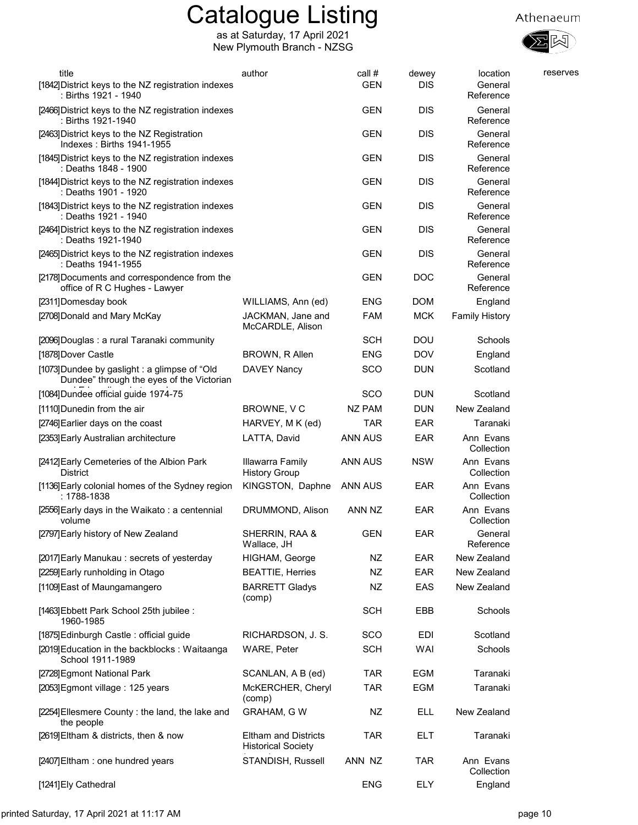

| title                                                                                     | author                                                   | call #        | dewey      | location                | reserves |
|-------------------------------------------------------------------------------------------|----------------------------------------------------------|---------------|------------|-------------------------|----------|
| [1842] District keys to the NZ registration indexes<br>: Births 1921 - 1940               |                                                          | GEN           | DIS        | General<br>Reference    |          |
| [2466] District keys to the NZ registration indexes<br>: Births 1921-1940                 |                                                          | <b>GEN</b>    | DIS        | General<br>Reference    |          |
| [2463] District keys to the NZ Registration<br>Indexes: Births 1941-1955                  |                                                          | <b>GEN</b>    | <b>DIS</b> | General<br>Reference    |          |
| [1845] District keys to the NZ registration indexes<br>: Deaths 1848 - 1900               |                                                          | <b>GEN</b>    | <b>DIS</b> | General<br>Reference    |          |
| [1844] District keys to the NZ registration indexes<br>: Deaths 1901 - 1920               |                                                          | <b>GEN</b>    | DIS        | General<br>Reference    |          |
| [1843] District keys to the NZ registration indexes<br>: Deaths 1921 - 1940               |                                                          | <b>GEN</b>    | <b>DIS</b> | General<br>Reference    |          |
| [2464] District keys to the NZ registration indexes<br>: Deaths 1921-1940                 |                                                          | <b>GEN</b>    | <b>DIS</b> | General<br>Reference    |          |
| [2465] District keys to the NZ registration indexes<br>: Deaths 1941-1955                 |                                                          | <b>GEN</b>    | <b>DIS</b> | General<br>Reference    |          |
| [2178] Documents and correspondence from the<br>office of R C Hughes - Lawyer             |                                                          | <b>GEN</b>    | <b>DOC</b> | General<br>Reference    |          |
| [2311] Domesday book                                                                      | WILLIAMS, Ann (ed)                                       | <b>ENG</b>    | DOM        | England                 |          |
| [2708] Donald and Mary McKay                                                              | JACKMAN, Jane and<br>McCARDLE, Alison                    | FAM           | <b>MCK</b> | <b>Family History</b>   |          |
| [2096] Douglas: a rural Taranaki community                                                |                                                          | <b>SCH</b>    | <b>DOU</b> | Schools                 |          |
| [1878] Dover Castle                                                                       | BROWN, R Allen                                           | <b>ENG</b>    | <b>DOV</b> | England                 |          |
| [1073]Dundee by gaslight : a glimpse of "Old<br>Dundee" through the eyes of the Victorian | <b>DAVEY Nancy</b>                                       | <b>SCO</b>    | <b>DUN</b> | Scotland                |          |
| [1084]Dundee official guide 1974-75                                                       |                                                          | SCO           | <b>DUN</b> | Scotland                |          |
| [1110] Dunedin from the air                                                               | BROWNE, VC                                               | <b>NZ PAM</b> | <b>DUN</b> | New Zealand             |          |
| [2746] Earlier days on the coast                                                          | HARVEY, M K (ed)                                         | <b>TAR</b>    | <b>EAR</b> | Taranaki                |          |
| [2353] Early Australian architecture                                                      | LATTA, David                                             | ANN AUS       | EAR        | Ann Evans<br>Collection |          |
| [2412] Early Cemeteries of the Albion Park<br><b>District</b>                             | Illawarra Family<br><b>History Group</b>                 | ANN AUS       | <b>NSW</b> | Ann Evans<br>Collection |          |
| [1136] Early colonial homes of the Sydney region<br>: 1788-1838                           | KINGSTON, Daphne                                         | ANN AUS       | EAR        | Ann Evans<br>Collection |          |
| [2556] Early days in the Waikato: a centennial<br>volume                                  | DRUMMOND, Alison                                         | ANN NZ        | EAR        | Ann Evans<br>Collection |          |
| [2797] Early history of New Zealand                                                       | SHERRIN, RAA &<br>Wallace, JH                            | <b>GEN</b>    | <b>EAR</b> | General<br>Reference    |          |
| [2017] Early Manukau: secrets of yesterday                                                | HIGHAM, George                                           | NZ            | EAR        | New Zealand             |          |
| [2259] Early runholding in Otago                                                          | <b>BEATTIE, Herries</b>                                  | NZ            | EAR        | New Zealand             |          |
| [1109] East of Maungamangero                                                              | <b>BARRETT Gladys</b><br>(comp)                          | NZ            | EAS        | New Zealand             |          |
| [1463] Ebbett Park School 25th jubilee :<br>1960-1985                                     |                                                          | <b>SCH</b>    | EBB        | Schools                 |          |
| [1875] Edinburgh Castle: official guide                                                   | RICHARDSON, J. S.                                        | SCO           | EDI        | Scotland                |          |
| [2019] Education in the backblocks: Waitaanga<br>School 1911-1989                         | <b>WARE, Peter</b>                                       | <b>SCH</b>    | WAI        | Schools                 |          |
| [2728] Egmont National Park                                                               | SCANLAN, A B (ed)                                        | <b>TAR</b>    | EGM        | Taranaki                |          |
| [2053] Egmont village: 125 years                                                          | McKERCHER, Cheryl<br>(comp)                              | TAR           | EGM        | Taranaki                |          |
| [2254] Ellesmere County: the land, the lake and<br>the people                             | <b>GRAHAM, G W</b>                                       | NZ            | ELL        | New Zealand             |          |
| [2619] Eltham & districts, then & now                                                     | <b>Eltham and Districts</b><br><b>Historical Society</b> | <b>TAR</b>    | ELT        | Taranaki                |          |
| [2407] Eltham: one hundred years                                                          | STANDISH, Russell                                        | ANN NZ        | TAR        | Ann Evans<br>Collection |          |
| [1241] Ely Cathedral                                                                      |                                                          | ENG           | <b>ELY</b> | England                 |          |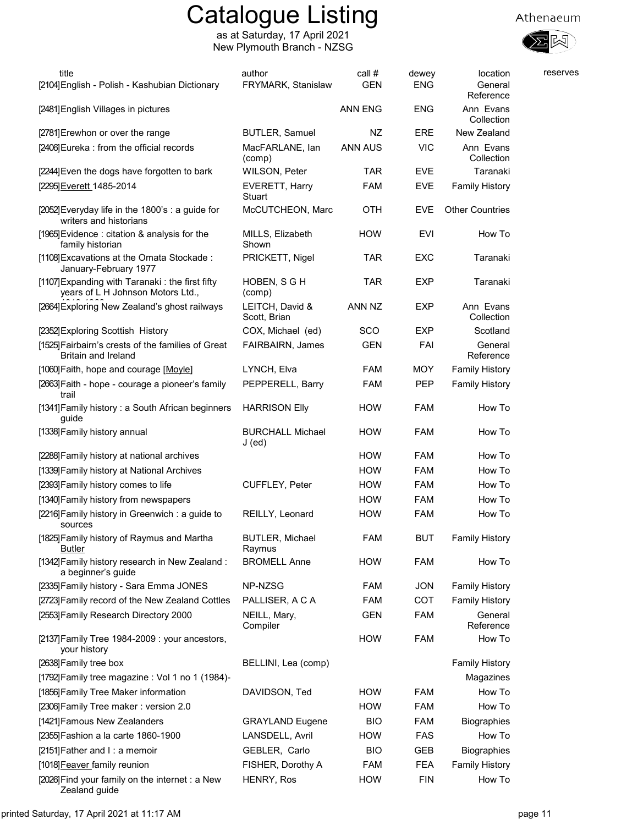as at Saturday, 17 April 2021 New Plymouth Branch - NZSG



| title<br>[2104] English - Polish - Kashubian Dictionary                              | author<br>FRYMARK, Stanislaw      | call #<br><b>GEN</b> | dewey<br><b>ENG</b> | location<br>General<br>Reference | reserves |
|--------------------------------------------------------------------------------------|-----------------------------------|----------------------|---------------------|----------------------------------|----------|
| [2481] English Villages in pictures                                                  |                                   | <b>ANN ENG</b>       | <b>ENG</b>          | Ann Evans<br>Collection          |          |
| [2781] Erewhon or over the range                                                     | <b>BUTLER, Samuel</b>             | NZ                   | ERE                 | New Zealand                      |          |
| [2406] Eureka : from the official records                                            | MacFARLANE, lan<br>(comp)         | <b>ANN AUS</b>       | <b>VIC</b>          | Ann Evans<br>Collection          |          |
| [2244] Even the dogs have forgotten to bark                                          | <b>WILSON, Peter</b>              | <b>TAR</b>           | <b>EVE</b>          | Taranaki                         |          |
| [2295] Everett_1485-2014                                                             | EVERETT, Harry<br>Stuart          | <b>FAM</b>           | <b>EVE</b>          | <b>Family History</b>            |          |
| [2052] Everyday life in the 1800's : a guide for<br>writers and historians           | McCUTCHEON, Marc                  | OTH                  | <b>EVE</b>          | <b>Other Countries</b>           |          |
| [1965] Evidence: citation & analysis for the<br>family historian                     | MILLS, Elizabeth<br>Shown         | <b>HOW</b>           | EVI                 | How To                           |          |
| [1108] Excavations at the Omata Stockade:<br>January-February 1977                   | PRICKETT, Nigel                   | <b>TAR</b>           | EXC                 | Taranaki                         |          |
| [1107] Expanding with Taranaki: the first fifty<br>years of L H Johnson Motors Ltd., | HOBEN, S G H<br>(comp)            | <b>TAR</b>           | <b>EXP</b>          | Taranaki                         |          |
| [2664] Exploring New Zealand's ghost railways                                        | LEITCH, David &<br>Scott, Brian   | ANN NZ               | <b>EXP</b>          | Ann Evans<br>Collection          |          |
| [2352] Exploring Scottish History                                                    | COX, Michael (ed)                 | SCO                  | <b>EXP</b>          | Scotland                         |          |
| [1525] Fairbairn's crests of the families of Great<br>Britain and Ireland            | FAIRBAIRN, James                  | <b>GEN</b>           | FAI                 | General<br>Reference             |          |
| [1060] Faith, hope and courage [Moyle]                                               | LYNCH, Elva                       | <b>FAM</b>           | <b>MOY</b>          | <b>Family History</b>            |          |
| [2663] Faith - hope - courage a pioneer's family<br>trail                            | PEPPERELL, Barry                  | <b>FAM</b>           | <b>PEP</b>          | <b>Family History</b>            |          |
| [1341] Family history: a South African beginners<br>guide                            | <b>HARRISON Elly</b>              | <b>HOW</b>           | <b>FAM</b>          | How To                           |          |
| [1338] Family history annual                                                         | <b>BURCHALL Michael</b><br>J (ed) | <b>HOW</b>           | <b>FAM</b>          | How To                           |          |
| [2288] Family history at national archives                                           |                                   | <b>HOW</b>           | <b>FAM</b>          | How To                           |          |
| [1339] Family history at National Archives                                           |                                   | <b>HOW</b>           | <b>FAM</b>          | How To                           |          |
| [2393] Family history comes to life                                                  | CUFFLEY, Peter                    | <b>HOW</b>           | FAM                 | How To                           |          |
| [1340] Family history from newspapers                                                |                                   | <b>HOW</b>           | <b>FAM</b>          | How To                           |          |
| [2216] Family history in Greenwich : a guide to<br>sources                           | REILLY, Leonard                   | <b>HOW</b>           | <b>FAM</b>          | How To                           |          |
| [1825] Family history of Raymus and Martha<br>Butler                                 | <b>BUTLER, Michael</b><br>Raymus  | FAM                  | <b>BUT</b>          | <b>Family History</b>            |          |
| [1342] Family history research in New Zealand:<br>a beginner's guide                 | <b>BROMELL Anne</b>               | <b>HOW</b>           | <b>FAM</b>          | How To                           |          |
| [2335] Family history - Sara Emma JONES                                              | NP-NZSG                           | <b>FAM</b>           | <b>JON</b>          | <b>Family History</b>            |          |
| [2723] Family record of the New Zealand Cottles                                      | PALLISER, A C A                   | <b>FAM</b>           | COT                 | <b>Family History</b>            |          |
| [2553] Family Research Directory 2000                                                | NEILL, Mary,<br>Compiler          | GEN                  | <b>FAM</b>          | General<br>Reference             |          |
| [2137] Family Tree 1984-2009 : your ancestors,<br>your history                       |                                   | <b>HOW</b>           | <b>FAM</b>          | How To                           |          |
| [2638] Family tree box                                                               | BELLINI, Lea (comp)               |                      |                     | <b>Family History</b>            |          |
| [1792] Family tree magazine : Vol 1 no 1 (1984)-                                     |                                   |                      |                     | Magazines                        |          |
| [1856] Family Tree Maker information                                                 | DAVIDSON, Ted                     | <b>HOW</b>           | <b>FAM</b>          | How To                           |          |
| [2306] Family Tree maker: version 2.0                                                |                                   | <b>HOW</b>           | <b>FAM</b>          | How To                           |          |
| [1421] Famous New Zealanders                                                         | <b>GRAYLAND Eugene</b>            | <b>BIO</b>           | FAM                 | Biographies                      |          |
| [2355] Fashion a la carte 1860-1900                                                  | LANSDELL, Avril                   | <b>HOW</b>           | <b>FAS</b>          | How To                           |          |
| [2151] Father and I: a memoir                                                        | GEBLER, Carlo                     | <b>BIO</b>           | GEB                 | <b>Biographies</b>               |          |
| [1018] Feaver family reunion                                                         | FISHER, Dorothy A                 | FAM                  | FEA                 | <b>Family History</b>            |          |
| [2026] Find your family on the internet : a New<br>Zealand guide                     | HENRY, Ros                        | <b>HOW</b>           | <b>FIN</b>          | How To                           |          |

printed Saturday, 17 April 2021 at 11:17 AM page 11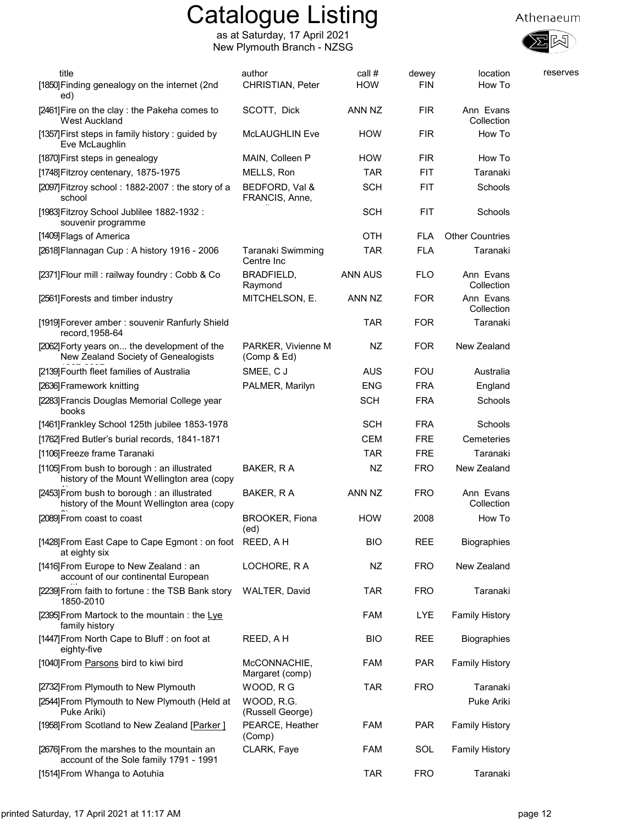



| title<br>[1850] Finding genealogy on the internet (2nd                                     | author<br>CHRISTIAN, Peter        | call #<br><b>HOW</b> | dewey<br><b>FIN</b> | location<br>How To      | reserves |
|--------------------------------------------------------------------------------------------|-----------------------------------|----------------------|---------------------|-------------------------|----------|
| ed)                                                                                        |                                   |                      |                     |                         |          |
| [2461] Fire on the clay : the Pakeha comes to<br><b>West Auckland</b>                      | SCOTT, Dick                       | ANN NZ               | <b>FIR</b>          | Ann Evans<br>Collection |          |
| [1357] First steps in family history: guided by<br>Eve McLaughlin                          | <b>McLAUGHLIN Eve</b>             | <b>HOW</b>           | <b>FIR</b>          | How To                  |          |
| [1870] First steps in genealogy                                                            | MAIN, Colleen P                   | <b>HOW</b>           | <b>FIR</b>          | How To                  |          |
| [1748] Fitzroy centenary, 1875-1975                                                        | MELLS, Ron                        | TAR                  | FIT                 | Taranaki                |          |
| [2097]Fitzroy school: 1882-2007: the story of a<br>school                                  | BEDFORD, Val &<br>FRANCIS, Anne,  | <b>SCH</b>           | <b>FIT</b>          | Schools                 |          |
| [1983] Fitzroy School Jublilee 1882-1932 :<br>souvenir programme                           |                                   | <b>SCH</b>           | <b>FIT</b>          | Schools                 |          |
| [1409] Flags of America                                                                    |                                   | <b>OTH</b>           | <b>FLA</b>          | <b>Other Countries</b>  |          |
| [2618] Flannagan Cup: A history 1916 - 2006                                                | Taranaki Swimming<br>Centre Inc   | <b>TAR</b>           | <b>FLA</b>          | Taranaki                |          |
| [2371] Flour mill : railway foundry : Cobb & Co                                            | BRADFIELD,<br>Raymond             | ANN AUS              | <b>FLO</b>          | Ann Evans<br>Collection |          |
| [2561] Forests and timber industry                                                         | MITCHELSON, E.                    | ANN NZ               | <b>FOR</b>          | Ann Evans<br>Collection |          |
| [1919] Forever amber: souvenir Ranfurly Shield<br>record, 1958-64                          |                                   | TAR                  | <b>FOR</b>          | Taranaki                |          |
| [2062] Forty years on the development of the<br>New Zealand Society of Genealogists        | PARKER, Vivienne M<br>(Comp & Ed) | NZ                   | <b>FOR</b>          | New Zealand             |          |
| [2139] Fourth fleet families of Australia                                                  | SMEE, CJ                          | <b>AUS</b>           | <b>FOU</b>          | Australia               |          |
| [2636] Framework knitting                                                                  | PALMER, Marilyn                   | <b>ENG</b>           | <b>FRA</b>          | England                 |          |
| [2283] Francis Douglas Memorial College year<br>books                                      |                                   | <b>SCH</b>           | <b>FRA</b>          | Schools                 |          |
| [1461] Frankley School 125th jubilee 1853-1978                                             |                                   | <b>SCH</b>           | <b>FRA</b>          | Schools                 |          |
| [1762] Fred Butler's burial records, 1841-1871                                             |                                   | <b>CEM</b>           | <b>FRE</b>          | Cemeteries              |          |
| [1106] Freeze frame Taranaki                                                               |                                   | <b>TAR</b>           | <b>FRE</b>          | Taranaki                |          |
| [1105] From bush to borough : an illustrated<br>history of the Mount Wellington area (copy | BAKER, R A                        | NZ                   | <b>FRO</b>          | New Zealand             |          |
| [2453] From bush to borough : an illustrated<br>history of the Mount Wellington area (copy | BAKER, R A                        | ANN NZ               | <b>FRO</b>          | Ann Evans<br>Collection |          |
| [2089] From coast to coast                                                                 | <b>BROOKER, Fiona</b><br>(ed)     | <b>HOW</b>           | 2008                | How To                  |          |
| [1428] From East Cape to Cape Egmont : on foot REED, A H<br>at eighty six                  |                                   | <b>BIO</b>           | <b>REE</b>          | <b>Biographies</b>      |          |
| [1416] From Europe to New Zealand : an<br>account of our continental European              | LOCHORE, RA                       | NZ                   | <b>FRO</b>          | New Zealand             |          |
| [2239] From faith to fortune : the TSB Bank story<br>1850-2010                             | <b>WALTER, David</b>              | <b>TAR</b>           | <b>FRO</b>          | Taranaki                |          |
| [2395] From Martock to the mountain: the Lye<br>family history                             |                                   | <b>FAM</b>           | <b>LYE</b>          | <b>Family History</b>   |          |
| [1447] From North Cape to Bluff : on foot at<br>eighty-five                                | REED, A H                         | <b>BIO</b>           | REE                 | <b>Biographies</b>      |          |
| [1040] From Parsons bird to kiwi bird                                                      | McCONNACHIE,<br>Margaret (comp)   | <b>FAM</b>           | <b>PAR</b>          | <b>Family History</b>   |          |
| [2732] From Plymouth to New Plymouth                                                       | WOOD, RG                          | TAR                  | <b>FRO</b>          | Taranaki                |          |
| [2544] From Plymouth to New Plymouth (Held at<br>Puke Ariki)                               | WOOD, R.G.<br>(Russell George)    |                      |                     | Puke Ariki              |          |
| [1958] From Scotland to New Zealand [Parker ]                                              | PEARCE, Heather<br>(Comp)         | <b>FAM</b>           | <b>PAR</b>          | <b>Family History</b>   |          |
| [2676] From the marshes to the mountain an<br>account of the Sole family 1791 - 1991       | CLARK, Faye                       | <b>FAM</b>           | SOL                 | <b>Family History</b>   |          |
| [1514] From Whanga to Aotuhia                                                              |                                   | <b>TAR</b>           | <b>FRO</b>          | Taranaki                |          |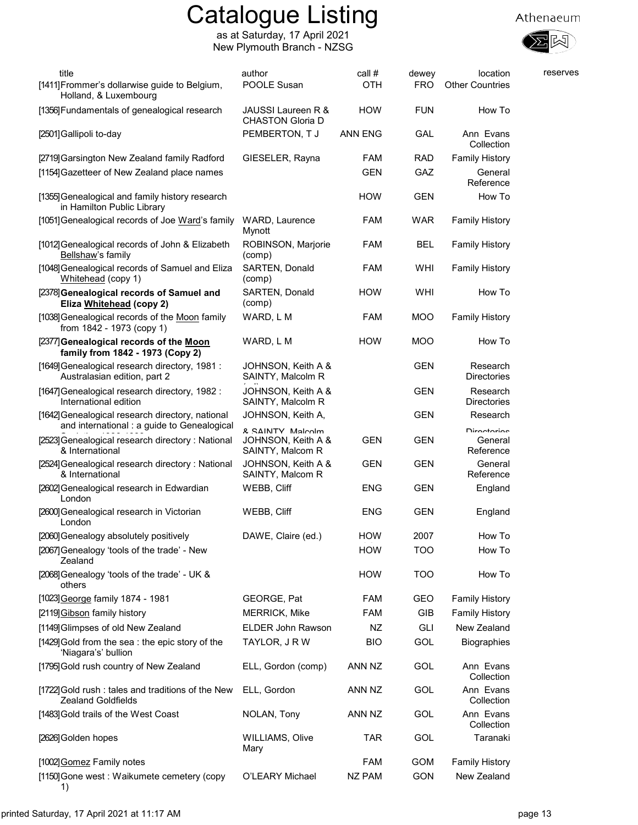

| title                                                                                           | author                                  | call #         | dewey      | location                       | reserves |
|-------------------------------------------------------------------------------------------------|-----------------------------------------|----------------|------------|--------------------------------|----------|
| [1411] Frommer's dollarwise guide to Belgium,<br>Holland, & Luxembourg                          | POOLE Susan                             | <b>OTH</b>     | FRO        | <b>Other Countries</b>         |          |
| [1356] Fundamentals of genealogical research                                                    | JAUSSI Laureen R &<br>CHASTON Gloria D  | <b>HOW</b>     | <b>FUN</b> | How To                         |          |
| [2501] Gallipoli to-day                                                                         | PEMBERTON, TJ                           | <b>ANN ENG</b> | GAL        | Ann Evans<br>Collection        |          |
| [2719] Garsington New Zealand family Radford                                                    | GIESELER, Rayna                         | <b>FAM</b>     | <b>RAD</b> | <b>Family History</b>          |          |
| [1154] Gazetteer of New Zealand place names                                                     |                                         | <b>GEN</b>     | GAZ        | General<br>Reference           |          |
| [1355] Genealogical and family history research<br>in Hamilton Public Library                   |                                         | <b>HOW</b>     | <b>GEN</b> | How To                         |          |
| [1051] Genealogical records of Joe Ward's family                                                | WARD, Laurence<br>Mynott                | <b>FAM</b>     | <b>WAR</b> | <b>Family History</b>          |          |
| [1012] Genealogical records of John & Elizabeth<br>Bellshaw's family                            | ROBINSON, Marjorie<br>(comp)            | <b>FAM</b>     | <b>BEL</b> | <b>Family History</b>          |          |
| [1048] Genealogical records of Samuel and Eliza<br>Whitehead (copy 1)                           | SARTEN, Donald<br>(comp)                | <b>FAM</b>     | WHI        | <b>Family History</b>          |          |
| [2378] Genealogical records of Samuel and<br>Eliza Whitehead (copy 2)                           | <b>SARTEN, Donald</b><br>(comp)         | <b>HOW</b>     | WHI        | How To                         |          |
| [1038] Genealogical records of the Moon family<br>from 1842 - 1973 (copy 1)                     | WARD, L M                               | FAM            | <b>MOO</b> | <b>Family History</b>          |          |
| [2377] Genealogical records of the Moon<br>family from 1842 - 1973 (Copy 2)                     | WARD, L M                               | <b>HOW</b>     | <b>MOO</b> | How To                         |          |
| [1649] Genealogical research directory, 1981 :<br>Australasian edition, part 2                  | JOHNSON, Keith A &<br>SAINTY, Malcolm R |                | <b>GEN</b> | Research<br><b>Directories</b> |          |
| [1647] Genealogical research directory, 1982 :<br>International edition                         | JOHNSON, Keith A &<br>SAINTY, Malcolm R |                | <b>GEN</b> | Research<br>Directories        |          |
| [1642] Genealogical research directory, national<br>and international : a guide to Genealogical | JOHNSON, Keith A,<br>R. SAINITY Malcolm |                | <b>GEN</b> | Research<br><b>Dirontorion</b> |          |
| [2523] Genealogical research directory: National<br>& International                             | JOHNSON, Keith A &<br>SAINTY, Malcom R  | <b>GEN</b>     | <b>GEN</b> | General<br>Reference           |          |
| [2524] Genealogical research directory: National<br>& International                             | JOHNSON, Keith A &<br>SAINTY, Malcom R  | <b>GEN</b>     | <b>GEN</b> | General<br>Reference           |          |
| [2602] Genealogical research in Edwardian<br>London                                             | WEBB, Cliff                             | ENG            | <b>GEN</b> | England                        |          |
| [2600] Genealogical research in Victorian<br>London                                             | WEBB, Cliff                             | ENG            | <b>GEN</b> | England                        |          |
| [2060] Genealogy absolutely positively                                                          | DAWE, Claire (ed.)                      | HOW            | 2007       | How To                         |          |
| [2067] Genealogy 'tools of the trade' - New<br>Zealand                                          |                                         | <b>HOW</b>     | <b>TOO</b> | How To                         |          |
| [2068] Genealogy 'tools of the trade' - UK &<br>others                                          |                                         | <b>HOW</b>     | <b>TOO</b> | How To                         |          |
| [1023] George family 1874 - 1981                                                                | GEORGE, Pat                             | FAM            | GEO        | <b>Family History</b>          |          |
| [2119] Gibson family history                                                                    | <b>MERRICK, Mike</b>                    | <b>FAM</b>     | GIB        | <b>Family History</b>          |          |
| [1149] Glimpses of old New Zealand                                                              | ELDER John Rawson                       | NZ             | <b>GLI</b> | New Zealand                    |          |
| [1429] Gold from the sea: the epic story of the<br>'Niagara's' bullion                          | TAYLOR, J R W                           | <b>BIO</b>     | GOL        | <b>Biographies</b>             |          |
| [1795] Gold rush country of New Zealand                                                         | ELL, Gordon (comp)                      | ANN NZ         | GOL        | Ann Evans<br>Collection        |          |
| [1722] Gold rush: tales and traditions of the New<br><b>Zealand Goldfields</b>                  | ELL, Gordon                             | ANN NZ         | GOL        | Ann Evans<br>Collection        |          |
| [1483] Gold trails of the West Coast                                                            | NOLAN, Tony                             | ANN NZ         | GOL        | Ann Evans<br>Collection        |          |
| [2626] Golden hopes                                                                             | <b>WILLIAMS, Olive</b><br>Mary          | <b>TAR</b>     | GOL        | Taranaki                       |          |
| [1002] Gomez Family notes                                                                       |                                         | FAM            | GOM        | <b>Family History</b>          |          |
| [1150] Gone west: Waikumete cemetery (copy<br>1)                                                | O'LEARY Michael                         | NZ PAM         | <b>GON</b> | New Zealand                    |          |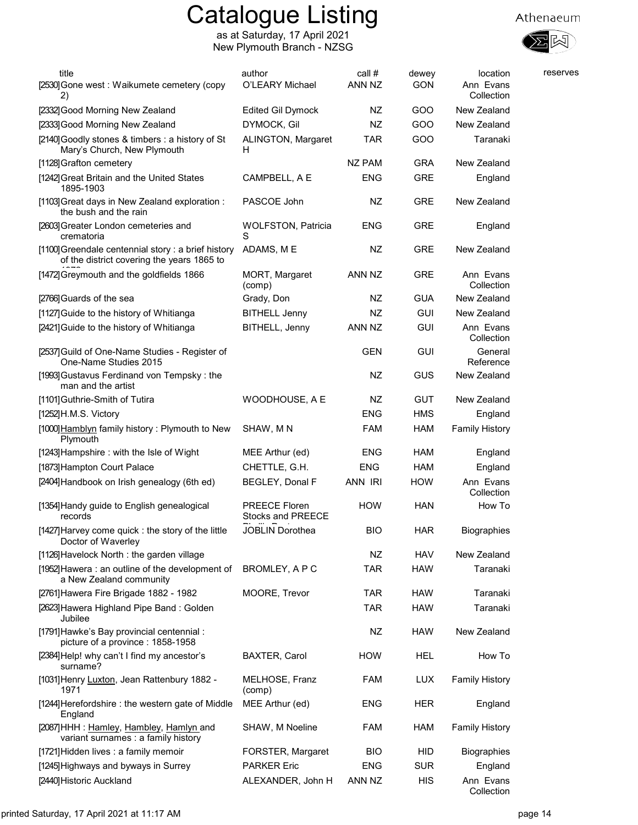

| title<br>[2530] Gone west: Waikumete cemetery (copy<br>2)                                        | author<br>O'LEARY Michael                        | call #<br>ANN NZ | dewey<br><b>GON</b> | location<br>Ann Evans<br>Collection | reserves |
|--------------------------------------------------------------------------------------------------|--------------------------------------------------|------------------|---------------------|-------------------------------------|----------|
| [2332] Good Morning New Zealand                                                                  | <b>Edited Gil Dymock</b>                         | NZ               | GOO                 | New Zealand                         |          |
| [2333] Good Morning New Zealand                                                                  | DYMOCK, Gil                                      | NZ               | GOO                 | New Zealand                         |          |
| [2140] Goodly stones & timbers : a history of St<br>Mary's Church, New Plymouth                  | ALINGTON, Margaret<br>H                          | <b>TAR</b>       | GOO                 | Taranaki                            |          |
| [1128] Grafton cemetery                                                                          |                                                  | <b>NZ PAM</b>    | <b>GRA</b>          | New Zealand                         |          |
| [1242] Great Britain and the United States<br>1895-1903                                          | CAMPBELL, A E                                    | <b>ENG</b>       | GRE                 | England                             |          |
| [1103] Great days in New Zealand exploration :<br>the bush and the rain                          | PASCOE John                                      | NZ               | <b>GRE</b>          | New Zealand                         |          |
| [2603] Greater London cemeteries and<br>crematoria                                               | <b>WOLFSTON, Patricia</b><br>S                   | <b>ENG</b>       | <b>GRE</b>          | England                             |          |
| [1100] Greendale centennial story: a brief history<br>of the district covering the years 1865 to | ADAMS, ME                                        | NZ               | <b>GRE</b>          | New Zealand                         |          |
| [1472] Greymouth and the goldfields 1866                                                         | MORT, Margaret<br>(comp)                         | ANN NZ           | <b>GRE</b>          | Ann Evans<br>Collection             |          |
| [2766] Guards of the sea                                                                         | Grady, Don                                       | ΝZ               | <b>GUA</b>          | New Zealand                         |          |
| [1127] Guide to the history of Whitianga                                                         | <b>BITHELL Jenny</b>                             | NZ               | <b>GUI</b>          | New Zealand                         |          |
| [2421] Guide to the history of Whitianga                                                         | BITHELL, Jenny                                   | ANN NZ           | <b>GUI</b>          | Ann Evans<br>Collection             |          |
| [2537] Guild of One-Name Studies - Register of<br>One-Name Studies 2015                          |                                                  | <b>GEN</b>       | <b>GUI</b>          | General<br>Reference                |          |
| [1993] Gustavus Ferdinand von Tempsky: the<br>man and the artist                                 |                                                  | NZ               | GUS                 | New Zealand                         |          |
| [1101] Guthrie-Smith of Tutira                                                                   | WOODHOUSE, A E                                   | NZ               | <b>GUT</b>          | New Zealand                         |          |
| [1252]H.M.S. Victory                                                                             |                                                  | <b>ENG</b>       | <b>HMS</b>          | England                             |          |
| [1000] Hamblyn family history: Plymouth to New<br>Plymouth                                       | SHAW, MN                                         | <b>FAM</b>       | <b>HAM</b>          | <b>Family History</b>               |          |
| [1243] Hampshire: with the Isle of Wight                                                         | MEE Arthur (ed)                                  | <b>ENG</b>       | <b>HAM</b>          | England                             |          |
| [1873] Hampton Court Palace                                                                      | CHETTLE, G.H.                                    | <b>ENG</b>       | <b>HAM</b>          | England                             |          |
| [2404] Handbook on Irish genealogy (6th ed)                                                      | BEGLEY, Donal F                                  | ANN IRI          | <b>HOW</b>          | Ann Evans<br>Collection             |          |
| [1354] Handy guide to English genealogical<br>records                                            | <b>PREECE Floren</b><br><b>Stocks and PREECE</b> | <b>HOW</b>       | <b>HAN</b>          | How To                              |          |
| [1427] Harvey come quick : the story of the little<br>Doctor of Waverley                         | JOBLIN Dorothea                                  | <b>BIO</b>       | <b>HAR</b>          | <b>Biographies</b>                  |          |
| [1126] Havelock North: the garden village                                                        |                                                  | NZ               | <b>HAV</b>          | New Zealand                         |          |
| [1952] Hawera : an outline of the development of<br>a New Zealand community                      | BROMLEY, A P C                                   | <b>TAR</b>       | <b>HAW</b>          | Taranaki                            |          |
| [2761] Hawera Fire Brigade 1882 - 1982                                                           | MOORE, Trevor                                    | <b>TAR</b>       | <b>HAW</b>          | Taranaki                            |          |
| [2623] Hawera Highland Pipe Band: Golden<br>Jubilee                                              |                                                  | <b>TAR</b>       | <b>HAW</b>          | Taranaki                            |          |
| [1791] Hawke's Bay provincial centennial :<br>picture of a province: 1858-1958                   |                                                  | NZ               | <b>HAW</b>          | New Zealand                         |          |
| [2384] Help! why can't I find my ancestor's<br>surname?                                          | BAXTER, Carol                                    | <b>HOW</b>       | HEL                 | How To                              |          |
| [1031] Henry Luxton, Jean Rattenbury 1882 -<br>1971                                              | MELHOSE, Franz<br>(comp)                         | FAM              | <b>LUX</b>          | <b>Family History</b>               |          |
| [1244] Herefordshire: the western gate of Middle<br>England                                      | MEE Arthur (ed)                                  | ENG              | <b>HER</b>          | England                             |          |
| [2087] HHH: Hamley, Hambley, Hamlyn and<br>variant surnames : a family history                   | SHAW, M Noeline                                  | <b>FAM</b>       | <b>HAM</b>          | <b>Family History</b>               |          |
| [1721] Hidden lives : a family memoir                                                            | FORSTER, Margaret                                | <b>BIO</b>       | HID                 | <b>Biographies</b>                  |          |
| [1245] Highways and byways in Surrey                                                             | <b>PARKER Eric</b>                               | <b>ENG</b>       | <b>SUR</b>          | England                             |          |
| [2440] Historic Auckland                                                                         | ALEXANDER, John H                                | ANN NZ           | <b>HIS</b>          | Ann Evans<br>Collection             |          |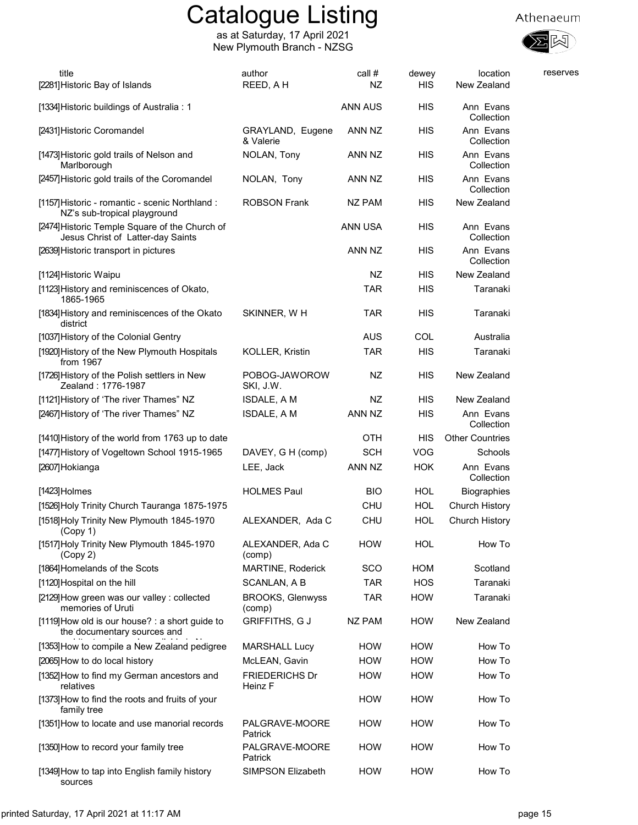

| title<br>[2281] Historic Bay of Islands                                             | author<br>REED, AH                | call #<br>NZ   | dewey<br><b>HIS</b> | location<br>New Zealand               | reserves |
|-------------------------------------------------------------------------------------|-----------------------------------|----------------|---------------------|---------------------------------------|----------|
| [1334] Historic buildings of Australia: 1                                           |                                   | <b>ANN AUS</b> | НIS                 | Ann Evans                             |          |
| [2431] Historic Coromandel                                                          | GRAYLAND, Eugene                  | ANN NZ         | <b>HIS</b>          | Collection<br>Ann Evans<br>Collection |          |
| [1473] Historic gold trails of Nelson and<br>Marlborough                            | & Valerie<br>NOLAN, Tony          | ANN NZ         | <b>HIS</b>          | Ann Evans<br>Collection               |          |
| [2457] Historic gold trails of the Coromandel                                       | NOLAN, Tony                       | ANN NZ         | <b>HIS</b>          | Ann Evans<br>Collection               |          |
| [1157] Historic - romantic - scenic Northland :<br>NZ's sub-tropical playground     | <b>ROBSON Frank</b>               | <b>NZ PAM</b>  | <b>HIS</b>          | New Zealand                           |          |
| [2474] Historic Temple Square of the Church of<br>Jesus Christ of Latter-day Saints |                                   | ANN USA        | <b>HIS</b>          | Ann Evans<br>Collection               |          |
| [2639] Historic transport in pictures                                               |                                   | ANN NZ         | HIS                 | Ann Evans<br>Collection               |          |
| [1124] Historic Waipu                                                               |                                   | NZ             | <b>HIS</b>          | New Zealand                           |          |
| [1123] History and reminiscences of Okato,<br>1865-1965                             |                                   | TAR            | HIS                 | Taranaki                              |          |
| [1834] History and reminiscences of the Okato<br>district                           | SKINNER, WH                       | <b>TAR</b>     | HIS                 | Taranaki                              |          |
| [1037] History of the Colonial Gentry                                               |                                   | <b>AUS</b>     | COL                 | Australia                             |          |
| [1920] History of the New Plymouth Hospitals<br>from 1967                           | <b>KOLLER, Kristin</b>            | <b>TAR</b>     | <b>HIS</b>          | Taranaki                              |          |
| [1726] History of the Polish settlers in New<br>Zealand: 1776-1987                  | POBOG-JAWOROW<br>SKI, J.W.        | NZ             | <b>HIS</b>          | New Zealand                           |          |
| [1121] History of 'The river Thames" NZ                                             | ISDALE, A M                       | NZ             | <b>HIS</b>          | New Zealand                           |          |
| [2467] History of 'The river Thames" NZ                                             | ISDALE, A M                       | ANN NZ         | <b>HIS</b>          | Ann Evans<br>Collection               |          |
| [1410] History of the world from 1763 up to date                                    |                                   | <b>OTH</b>     | HIS                 | <b>Other Countries</b>                |          |
| [1477] History of Vogeltown School 1915-1965                                        | DAVEY, G H (comp)                 | <b>SCH</b>     | <b>VOG</b>          | Schools                               |          |
| [2607]Hokianga                                                                      | LEE, Jack                         | ANN NZ         | <b>HOK</b>          | Ann Evans<br>Collection               |          |
| $[1423]$ Holmes                                                                     | <b>HOLMES Paul</b>                | <b>BIO</b>     | HOL                 | Biographies                           |          |
| [1526] Holy Trinity Church Tauranga 1875-1975                                       |                                   | <b>CHU</b>     | <b>HOL</b>          | Church History                        |          |
| [1518] Holy Trinity New Plymouth 1845-1970<br>(Copy 1)                              | ALEXANDER, Ada C                  | <b>CHU</b>     | <b>HOL</b>          | Church History                        |          |
| [1517] Holy Trinity New Plymouth 1845-1970<br>(Copy 2)                              | ALEXANDER, Ada C<br>(comp)        | <b>HOW</b>     | HOL                 | How To                                |          |
| [1864] Homelands of the Scots                                                       | MARTINE, Roderick                 | <b>SCO</b>     | <b>HOM</b>          | Scotland                              |          |
| [1120] Hospital on the hill                                                         | SCANLAN, A B                      | <b>TAR</b>     | <b>HOS</b>          | Taranaki                              |          |
| [2129] How green was our valley : collected<br>memories of Uruti                    | <b>BROOKS, Glenwyss</b><br>(comp) | TAR            | <b>HOW</b>          | Taranaki                              |          |
| [1119] How old is our house? : a short guide to<br>the documentary sources and      | <b>GRIFFITHS, GJ</b>              | <b>NZ PAM</b>  | <b>HOW</b>          | New Zealand                           |          |
| [1353] How to compile a New Zealand pedigree                                        | <b>MARSHALL Lucy</b>              | <b>HOW</b>     | <b>HOW</b>          | How To                                |          |
| [2065] How to do local history                                                      | McLEAN, Gavin                     | <b>HOW</b>     | <b>HOW</b>          | How To                                |          |
| [1352] How to find my German ancestors and<br>relatives                             | <b>FRIEDERICHS Dr</b><br>Heinz F  | <b>HOW</b>     | <b>HOW</b>          | How To                                |          |
| [1373] How to find the roots and fruits of your<br>family tree                      |                                   | <b>HOW</b>     | <b>HOW</b>          | How To                                |          |
| [1351] How to locate and use manorial records                                       | PALGRAVE-MOORE<br>Patrick         | <b>HOW</b>     | <b>HOW</b>          | How To                                |          |
| [1350] How to record your family tree                                               | PALGRAVE-MOORE<br>Patrick         | <b>HOW</b>     | <b>HOW</b>          | How To                                |          |
| [1349] How to tap into English family history<br>sources                            | SIMPSON Elizabeth                 | <b>HOW</b>     | <b>HOW</b>          | How To                                |          |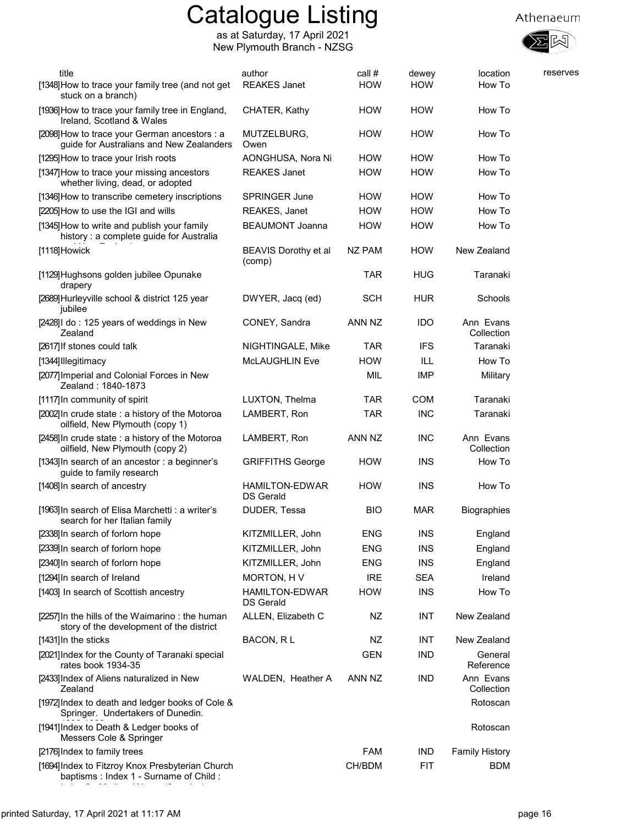as at Saturday, 17 April 2021 New Plymouth Branch - NZSG



| title<br>[1348] How to trace your family tree (and not get<br>stuck on a branch)            | author<br><b>REAKES Janet</b>             | call #<br><b>HOW</b> | dewey<br><b>HOW</b> | location<br>How To      | reserves |
|---------------------------------------------------------------------------------------------|-------------------------------------------|----------------------|---------------------|-------------------------|----------|
| [1936] How to trace your family tree in England,<br>Ireland, Scotland & Wales               | CHATER, Kathy                             | <b>HOW</b>           | <b>HOW</b>          | How To                  |          |
| [2098] How to trace your German ancestors : a<br>guide for Australians and New Zealanders   | MUTZELBURG,<br>Owen                       | <b>HOW</b>           | <b>HOW</b>          | How To                  |          |
| [1295] How to trace your Irish roots                                                        | AONGHUSA, Nora Ni                         | <b>HOW</b>           | <b>HOW</b>          | How To                  |          |
| [1347] How to trace your missing ancestors<br>whether living, dead, or adopted              | <b>REAKES Janet</b>                       | <b>HOW</b>           | <b>HOW</b>          | How To                  |          |
| [1346] How to transcribe cemetery inscriptions                                              | <b>SPRINGER June</b>                      | <b>HOW</b>           | <b>HOW</b>          | How To                  |          |
| [2205] How to use the IGI and wills                                                         | REAKES, Janet                             | <b>HOW</b>           | <b>HOW</b>          | How To                  |          |
| [1345] How to write and publish your family<br>history: a complete guide for Australia      | <b>BEAUMONT Joanna</b>                    | <b>HOW</b>           | <b>HOW</b>          | How To                  |          |
| [1118] Howick                                                                               | BEAVIS Dorothy et al<br>(comp)            | NZ PAM               | <b>HOW</b>          | New Zealand             |          |
| [1129] Hughsons golden jubilee Opunake<br>drapery                                           |                                           | TAR                  | <b>HUG</b>          | Taranaki                |          |
| [2689] Hurleyville school & district 125 year<br>jubilee                                    | DWYER, Jacq (ed)                          | <b>SCH</b>           | <b>HUR</b>          | Schools                 |          |
| [2428] I do: 125 years of weddings in New<br>Zealand                                        | CONEY, Sandra                             | ANN NZ               | <b>IDO</b>          | Ann Evans<br>Collection |          |
| [2617] If stones could talk                                                                 | NIGHTINGALE, Mike                         | TAR                  | <b>IFS</b>          | Taranaki                |          |
| [1344] Illegitimacy                                                                         | <b>McLAUGHLIN Eve</b>                     | <b>HOW</b>           | ILL                 | How To                  |          |
| [2077] Imperial and Colonial Forces in New<br>Zealand: 1840-1873                            |                                           | <b>MIL</b>           | <b>IMP</b>          | Military                |          |
| [1117] In community of spirit                                                               | LUXTON, Thelma                            | <b>TAR</b>           | <b>COM</b>          | Taranaki                |          |
| [2002] In crude state : a history of the Motoroa<br>oilfield, New Plymouth (copy 1)         | LAMBERT, Ron                              | <b>TAR</b>           | <b>INC</b>          | Taranaki                |          |
| [2458] In crude state : a history of the Motoroa<br>oilfield, New Plymouth (copy 2)         | LAMBERT, Ron                              | ANN NZ               | <b>INC</b>          | Ann Evans<br>Collection |          |
| [1343] In search of an ancestor: a beginner's<br>guide to family research                   | <b>GRIFFITHS George</b>                   | <b>HOW</b>           | <b>INS</b>          | How To                  |          |
| [1408] In search of ancestry                                                                | <b>HAMILTON-EDWAR</b><br><b>DS Gerald</b> | <b>HOW</b>           | <b>INS</b>          | How To                  |          |
| [1963] In search of Elisa Marchetti : a writer's<br>search for her Italian family           | DUDER, Tessa                              | <b>BIO</b>           | <b>MAR</b>          | Biographies             |          |
| [2338] In search of forlorn hope                                                            | KITZMILLER, John                          | ENG                  | <b>INS</b>          | England                 |          |
| [2339] In search of forlorn hope                                                            | KITZMILLER, John                          | <b>ENG</b>           | <b>INS</b>          | England                 |          |
| [2340] In search of forlorn hope                                                            | KITZMILLER, John                          | <b>ENG</b>           | <b>INS</b>          | England                 |          |
| [1294] In search of Ireland                                                                 | MORTON, HV                                | <b>IRE</b>           | <b>SEA</b>          | Ireland                 |          |
| [1403] In search of Scottish ancestry                                                       | <b>HAMILTON-EDWAR</b><br>DS Gerald        | <b>HOW</b>           | <b>INS</b>          | How To                  |          |
| [2257] In the hills of the Waimarino: the human<br>story of the development of the district | ALLEN, Elizabeth C                        | NZ                   | <b>INT</b>          | New Zealand             |          |
| [1431] In the sticks                                                                        | BACON, RL                                 | NZ                   | <b>INT</b>          | New Zealand             |          |
| [2021] Index for the County of Taranaki special<br>rates book 1934-35                       |                                           | <b>GEN</b>           | <b>IND</b>          | General<br>Reference    |          |
| [2433] Index of Aliens naturalized in New<br>Zealand                                        | WALDEN, Heather A                         | ANN NZ               | <b>IND</b>          | Ann Evans<br>Collection |          |
| [1972] Index to death and ledger books of Cole &<br>Springer. Undertakers of Dunedin.       |                                           |                      |                     | Rotoscan                |          |
| [1941] Index to Death & Ledger books of<br>Messers Cole & Springer                          |                                           |                      |                     | Rotoscan                |          |
| [2176] Index to family trees                                                                |                                           | <b>FAM</b>           | IND.                | <b>Family History</b>   |          |
| [1694] Index to Fitzroy Knox Presbyterian Church<br>baptisms: Index 1 - Surname of Child:   |                                           | CH/BDM               | <b>FIT</b>          | <b>BDM</b>              |          |

Index 2 - Mothers' Name (2 copies)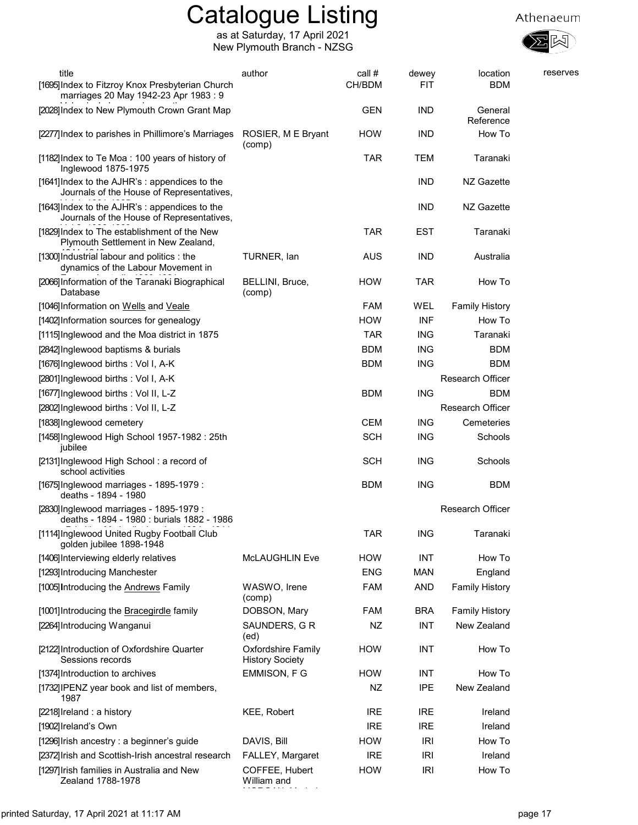





| title<br>[1695] Index to Fitzroy Knox Presbyterian Church<br>marriages 20 May 1942-23 Apr 1983 : 9 | author                                              | call #<br>CH/BDM | dewey<br>FIT | location<br><b>BDM</b>  | reserves |
|----------------------------------------------------------------------------------------------------|-----------------------------------------------------|------------------|--------------|-------------------------|----------|
| [2028] Index to New Plymouth Crown Grant Map                                                       |                                                     | <b>GEN</b>       | <b>IND</b>   | General<br>Reference    |          |
| [2277] Index to parishes in Phillimore's Marriages                                                 | ROSIER, M E Bryant<br>(comp)                        | <b>HOW</b>       | <b>IND</b>   | How To                  |          |
| [1182] Index to Te Moa: 100 years of history of<br>Inglewood 1875-1975                             |                                                     | <b>TAR</b>       | TEM          | Taranaki                |          |
| [1641] Index to the AJHR's : appendices to the<br>Journals of the House of Representatives,        |                                                     |                  | <b>IND</b>   | NZ Gazette              |          |
| [1643] Index to the AJHR's : appendices to the<br>Journals of the House of Representatives,        |                                                     |                  | <b>IND</b>   | NZ Gazette              |          |
| [1829] Index to The establishment of the New<br>Plymouth Settlement in New Zealand,                |                                                     | <b>TAR</b>       | <b>EST</b>   | Taranaki                |          |
| [1300] Industrial labour and politics : the<br>dynamics of the Labour Movement in                  | TURNER, Ian                                         | <b>AUS</b>       | <b>IND</b>   | Australia               |          |
| [2066] Information of the Taranaki Biographical<br>Database                                        | BELLINI, Bruce,<br>(comp)                           | <b>HOW</b>       | <b>TAR</b>   | How To                  |          |
| [1046] Information on Wells and Veale                                                              |                                                     | <b>FAM</b>       | WEL          | <b>Family History</b>   |          |
| [1402] Information sources for genealogy                                                           |                                                     | <b>HOW</b>       | <b>INF</b>   | How To                  |          |
| [1115] Inglewood and the Moa district in 1875                                                      |                                                     | <b>TAR</b>       | <b>ING</b>   | Taranaki                |          |
| [2842] Inglewood baptisms & burials                                                                |                                                     | <b>BDM</b>       | <b>ING</b>   | <b>BDM</b>              |          |
| [1676] Inglewood births: Vol I, A-K                                                                |                                                     | <b>BDM</b>       | <b>ING</b>   | <b>BDM</b>              |          |
| [2801]Inglewood births: Vol I, A-K                                                                 |                                                     |                  |              | <b>Research Officer</b> |          |
| [1677] Inglewood births: Vol II, L-Z                                                               |                                                     | <b>BDM</b>       | <b>ING</b>   | <b>BDM</b>              |          |
| [2802] Inglewood births: Vol II, L-Z                                                               |                                                     |                  |              | Research Officer        |          |
| [1838] Inglewood cemetery                                                                          |                                                     | <b>CEM</b>       | <b>ING</b>   | Cemeteries              |          |
| [1458] Inglewood High School 1957-1982 : 25th<br>jubilee                                           |                                                     | <b>SCH</b>       | <b>ING</b>   | Schools                 |          |
| [2131] Inglewood High School: a record of<br>school activities                                     |                                                     | <b>SCH</b>       | <b>ING</b>   | Schools                 |          |
| [1675] Inglewood marriages - 1895-1979 :<br>deaths - 1894 - 1980                                   |                                                     | <b>BDM</b>       | <b>ING</b>   | <b>BDM</b>              |          |
| [2830] Inglewood marriages - 1895-1979 :<br>deaths - 1894 - 1980 : burials 1882 - 1986             |                                                     |                  |              | <b>Research Officer</b> |          |
| [1114] Inglewood United Rugby Football Club<br>golden jubilee 1898-1948                            |                                                     | <b>TAR</b>       | <b>ING</b>   | Taranaki                |          |
| [1406] Interviewing elderly relatives                                                              | McLAUGHLIN Eve                                      | <b>HOW</b>       | <b>INT</b>   | How To                  |          |
| [1293] Introducing Manchester                                                                      |                                                     | <b>ENG</b>       | <b>MAN</b>   | England                 |          |
| [1005] Introducing the Andrews Family                                                              | WASWO, Irene<br>(comp)                              | <b>FAM</b>       | <b>AND</b>   | <b>Family History</b>   |          |
| [1001] Introducing the Bracegirdle family                                                          | DOBSON, Mary                                        | <b>FAM</b>       | <b>BRA</b>   | <b>Family History</b>   |          |
| [2264] Introducing Wanganui                                                                        | SAUNDERS, G R<br>(ed)                               | <b>NZ</b>        | INT          | New Zealand             |          |
| [2122] Introduction of Oxfordshire Quarter<br>Sessions records                                     | <b>Oxfordshire Family</b><br><b>History Society</b> | <b>HOW</b>       | <b>INT</b>   | How To                  |          |
| [1374] Introduction to archives                                                                    | EMMISON, F G                                        | <b>HOW</b>       | <b>INT</b>   | How To                  |          |
| [1732] IPENZ year book and list of members,<br>1987                                                |                                                     | <b>NZ</b>        | <b>IPE</b>   | New Zealand             |          |
| [2218] Ireland : a history                                                                         | KEE, Robert                                         | <b>IRE</b>       | <b>IRE</b>   | Ireland                 |          |
| [1902] Ireland's Own                                                                               |                                                     | <b>IRE</b>       | <b>IRE</b>   | Ireland                 |          |
| [1296] Irish ancestry : a beginner's guide                                                         | DAVIS, Bill                                         | <b>HOW</b>       | <b>IRI</b>   | How To                  |          |
| [2372] Irish and Scottish-Irish ancestral research                                                 | FALLEY, Margaret                                    | <b>IRE</b>       | <b>IRI</b>   | Ireland                 |          |
| [1297] Irish families in Australia and New<br>Zealand 1788-1978                                    | COFFEE, Hubert<br>William and                       | <b>HOW</b>       | <b>IRI</b>   | How To                  |          |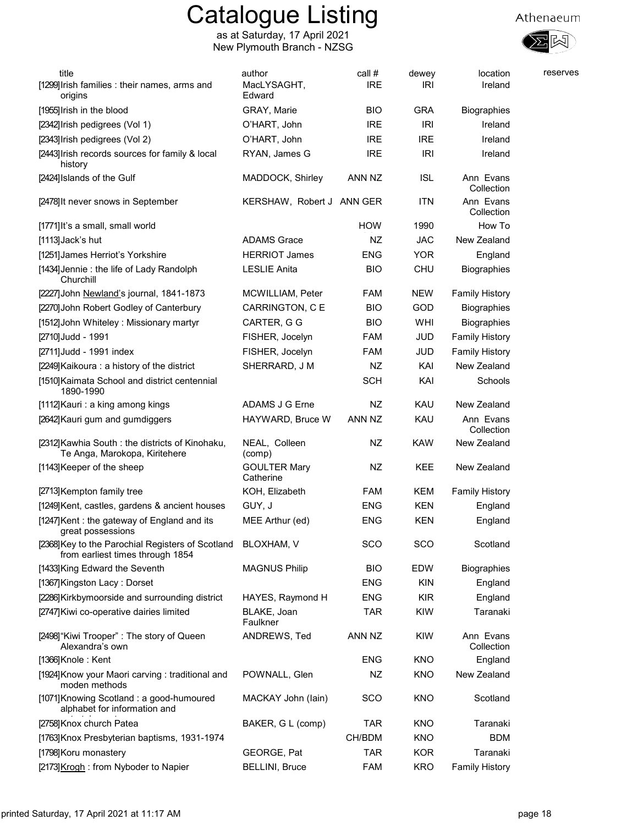

| title<br>[1299] Irish families: their names, arms and<br>origins                      | author<br>MacLYSAGHT,<br>Edward  | call #<br><b>IRE</b> | dewey<br>IRI | location<br>Ireland     | reserves |
|---------------------------------------------------------------------------------------|----------------------------------|----------------------|--------------|-------------------------|----------|
| [1955] Irish in the blood                                                             | GRAY, Marie                      | <b>BIO</b>           | <b>GRA</b>   | <b>Biographies</b>      |          |
| [2342] Irish pedigrees (Vol 1)                                                        | O'HART, John                     | <b>IRE</b>           | <b>IRI</b>   | Ireland                 |          |
| [2343] Irish pedigrees (Vol 2)                                                        | O'HART, John                     | <b>IRE</b>           | <b>IRE</b>   | Ireland                 |          |
| [2443] Irish records sources for family & local<br>history                            | RYAN, James G                    | <b>IRE</b>           | <b>IRI</b>   | Ireland                 |          |
| [2424] Islands of the Gulf                                                            | MADDOCK, Shirley                 | ANN NZ               | <b>ISL</b>   | Ann Evans<br>Collection |          |
| [2478] It never snows in September                                                    | KERSHAW, Robert J ANN GER        |                      | <b>ITN</b>   | Ann Evans<br>Collection |          |
| [1771] It's a small, small world                                                      |                                  | <b>HOW</b>           | 1990         | How To                  |          |
| [1113]Jack's hut                                                                      | <b>ADAMS Grace</b>               | NZ                   | <b>JAC</b>   | New Zealand             |          |
| [1251] James Herriot's Yorkshire                                                      | <b>HERRIOT James</b>             | <b>ENG</b>           | <b>YOR</b>   | England                 |          |
| [1434] Jennie : the life of Lady Randolph<br>Churchill                                | <b>LESLIE Anita</b>              | <b>BIO</b>           | <b>CHU</b>   | <b>Biographies</b>      |          |
| [2227] John Newland's journal, 1841-1873                                              | MCWILLIAM, Peter                 | <b>FAM</b>           | <b>NEW</b>   | <b>Family History</b>   |          |
| [2270] John Robert Godley of Canterbury                                               | CARRINGTON, C E                  | <b>BIO</b>           | GOD          | <b>Biographies</b>      |          |
| [1512] John Whiteley: Missionary martyr                                               | CARTER, G G                      | <b>BIO</b>           | WHI          | <b>Biographies</b>      |          |
| [2710] Judd - 1991                                                                    | FISHER, Jocelyn                  | <b>FAM</b>           | JUD          | <b>Family History</b>   |          |
| [2711] Judd - 1991 index                                                              | FISHER, Jocelyn                  | FAM                  | JUD          | <b>Family History</b>   |          |
| [2249] Kaikoura : a history of the district                                           | SHERRARD, J M                    | NZ                   | KAI          | New Zealand             |          |
| [1510] Kaimata School and district centennial<br>1890-1990                            |                                  | <b>SCH</b>           | KAI          | Schools                 |          |
| [1112] Kauri: a king among kings                                                      | ADAMS J G Erne                   | NZ                   | KAU          | New Zealand             |          |
| [2642] Kauri gum and gumdiggers                                                       | HAYWARD, Bruce W                 | ANN NZ               | KAU          | Ann Evans<br>Collection |          |
| [2312] Kawhia South: the districts of Kinohaku,<br>Te Anga, Marokopa, Kiritehere      | NEAL, Colleen<br>(comp)          | NZ                   | <b>KAW</b>   | New Zealand             |          |
| [1143] Keeper of the sheep                                                            | <b>GOULTER Mary</b><br>Catherine | NZ                   | KEE          | New Zealand             |          |
| [2713] Kempton family tree                                                            | KOH, Elizabeth                   | FAM                  | KEM          | <b>Family History</b>   |          |
| [1249] Kent, castles, gardens & ancient houses                                        | GUY, J                           | <b>ENG</b>           | <b>KEN</b>   | England                 |          |
| [1247] Kent: the gateway of England and its<br>great possessions                      | MEE Arthur (ed)                  | <b>ENG</b>           | <b>KEN</b>   | England                 |          |
| [2368] Key to the Parochial Registers of Scotland<br>from earliest times through 1854 | BLOXHAM, V                       | SCO                  | SCO          | Scotland                |          |
| [1433] King Edward the Seventh                                                        | <b>MAGNUS Philip</b>             | <b>BIO</b>           | <b>EDW</b>   | <b>Biographies</b>      |          |
| [1367] Kingston Lacy: Dorset                                                          |                                  | <b>ENG</b>           | <b>KIN</b>   | England                 |          |
| [2286] Kirkbymoorside and surrounding district                                        | HAYES, Raymond H                 | <b>ENG</b>           | <b>KIR</b>   | England                 |          |
| [2747] Kiwi co-operative dairies limited                                              | BLAKE, Joan<br>Faulkner          | <b>TAR</b>           | KIW          | Taranaki                |          |
| [2498] "Kiwi Trooper" : The story of Queen<br>Alexandra's own                         | ANDREWS, Ted                     | ANN NZ               | <b>KIW</b>   | Ann Evans<br>Collection |          |
| [1366] Knole: Kent                                                                    |                                  | <b>ENG</b>           | <b>KNO</b>   | England                 |          |
| [1924] Know your Maori carving: traditional and<br>moden methods                      | POWNALL, Glen                    | <b>NZ</b>            | <b>KNO</b>   | New Zealand             |          |
| [1071] Knowing Scotland: a good-humoured<br>alphabet for information and              | MACKAY John (lain)               | <b>SCO</b>           | <b>KNO</b>   | Scotland                |          |
| [2758] Knox church Patea                                                              | BAKER, G L (comp)                | <b>TAR</b>           | <b>KNO</b>   | Taranaki                |          |
| [1763] Knox Presbyterian baptisms, 1931-1974                                          |                                  | CH/BDM               | <b>KNO</b>   | <b>BDM</b>              |          |
| [1798] Koru monastery                                                                 | GEORGE, Pat                      | <b>TAR</b>           | <b>KOR</b>   | Taranaki                |          |
| [2173] Krogh: from Nyboder to Napier                                                  | <b>BELLINI</b> , Bruce           | FAM                  | <b>KRO</b>   | <b>Family History</b>   |          |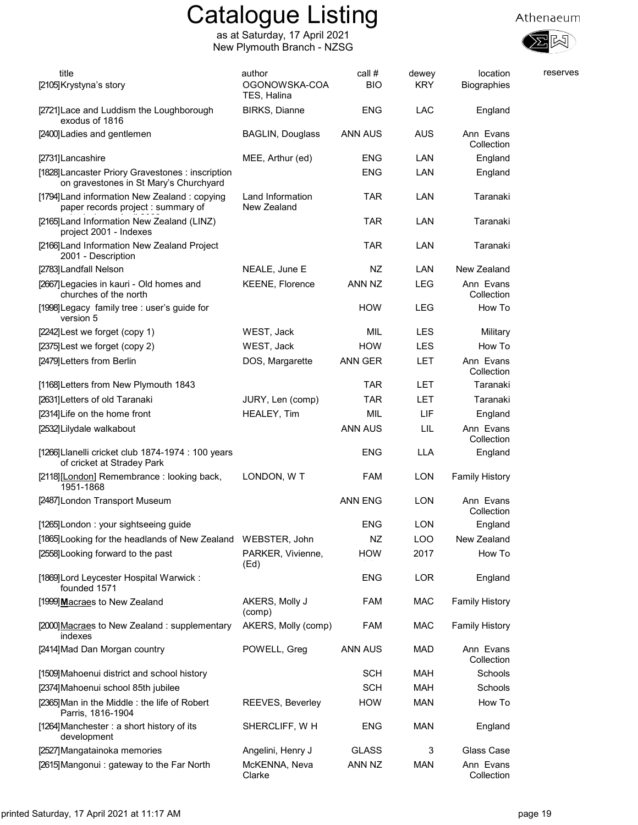

| title<br>[2105] Krystyna's story                                                            | author<br>OGONOWSKA-COA<br>TES, Halina | call #<br><b>BIO</b> | dewey<br><b>KRY</b> | location<br>Biographies | reserves |
|---------------------------------------------------------------------------------------------|----------------------------------------|----------------------|---------------------|-------------------------|----------|
| [2721] Lace and Luddism the Loughborough<br>exodus of 1816                                  | <b>BIRKS, Dianne</b>                   | ENG                  | <b>LAC</b>          | England                 |          |
| [2400] Ladies and gentlemen                                                                 | <b>BAGLIN, Douglass</b>                | ANN AUS              | <b>AUS</b>          | Ann Evans<br>Collection |          |
| [2731]Lancashire                                                                            | MEE, Arthur (ed)                       | ENG                  | LAN                 | England                 |          |
| [1828] Lancaster Priory Gravestones : inscription<br>on gravestones in St Mary's Churchyard |                                        | <b>ENG</b>           | LAN                 | England                 |          |
| [1794] Land information New Zealand: copying<br>paper records project : summary of          | Land Information<br>New Zealand        | <b>TAR</b>           | LAN                 | Taranaki                |          |
| [2165] Land Information New Zealand (LINZ)<br>project 2001 - Indexes                        |                                        | <b>TAR</b>           | LAN                 | Taranaki                |          |
| [2166] Land Information New Zealand Project<br>2001 - Description                           |                                        | TAR                  | LAN                 | Taranaki                |          |
| [2783] Landfall Nelson                                                                      | NEALE, June E                          | NZ                   | LAN                 | New Zealand             |          |
| [2667] Legacies in kauri - Old homes and<br>churches of the north                           | <b>KEENE, Florence</b>                 | ANN NZ               | <b>LEG</b>          | Ann Evans<br>Collection |          |
| [1998] Legacy family tree : user's guide for<br>version 5                                   |                                        | <b>HOW</b>           | <b>LEG</b>          | How To                  |          |
| [2242] Lest we forget (copy 1)                                                              | WEST, Jack                             | MIL                  | LES                 | Military                |          |
| [2375] Lest we forget (copy 2)                                                              | WEST, Jack                             | <b>HOW</b>           | <b>LES</b>          | How To                  |          |
| [2479] Letters from Berlin                                                                  | DOS, Margarette                        | <b>ANN GER</b>       | <b>LET</b>          | Ann Evans<br>Collection |          |
| [1168] Letters from New Plymouth 1843                                                       |                                        | <b>TAR</b>           | LET.                | Taranaki                |          |
| [2631] Letters of old Taranaki                                                              | JURY, Len (comp)                       | TAR                  | <b>LET</b>          | Taranaki                |          |
| [2314] Life on the home front                                                               | HEALEY, Tim                            | MIL                  | LIF                 | England                 |          |
| [2532] Lilydale walkabout                                                                   |                                        | <b>ANN AUS</b>       | LIL                 | Ann Evans<br>Collection |          |
| [1266] Llanelli cricket club 1874-1974 : 100 years<br>of cricket at Stradey Park            |                                        | <b>ENG</b>           | <b>LLA</b>          | England                 |          |
| [2118][London] Remembrance: looking back,<br>1951-1868                                      | LONDON, W T                            | <b>FAM</b>           | <b>LON</b>          | <b>Family History</b>   |          |
| [2487] London Transport Museum                                                              |                                        | <b>ANN ENG</b>       | <b>LON</b>          | Ann Evans<br>Collection |          |
| [1265] London: your sightseeing guide                                                       |                                        | <b>ENG</b>           | <b>LON</b>          | England                 |          |
| [1865] Looking for the headlands of New Zealand                                             | WEBSTER, John                          | ΝZ                   | LOO                 | New Zealand             |          |
| [2558] Looking forward to the past                                                          | PARKER, Vivienne,<br>(Ed)              | <b>HOW</b>           | 2017                | How To                  |          |
| [1869] Lord Leycester Hospital Warwick:<br>founded 1571                                     |                                        | <b>ENG</b>           | LOR                 | England                 |          |
| [1999] Macraes to New Zealand                                                               | AKERS, Molly J<br>(comp)               | <b>FAM</b>           | <b>MAC</b>          | <b>Family History</b>   |          |
| [2000] Macraes to New Zealand: supplementary<br>indexes                                     | AKERS, Molly (comp)                    | FAM                  | <b>MAC</b>          | <b>Family History</b>   |          |
| [2414] Mad Dan Morgan country                                                               | POWELL, Greg                           | ANN AUS              | MAD                 | Ann Evans<br>Collection |          |
| [1509] Mahoenui district and school history                                                 |                                        | <b>SCH</b>           | <b>MAH</b>          | Schools                 |          |
| [2374] Mahoenui school 85th jubilee                                                         |                                        | <b>SCH</b>           | <b>MAH</b>          | Schools                 |          |
| [2365] Man in the Middle: the life of Robert<br>Parris, 1816-1904                           | REEVES, Beverley                       | <b>HOW</b>           | <b>MAN</b>          | How To                  |          |
| [1264] Manchester : a short history of its<br>development                                   | SHERCLIFF, W H                         | <b>ENG</b>           | <b>MAN</b>          | England                 |          |
| [2527] Mangatainoka memories                                                                | Angelini, Henry J                      | <b>GLASS</b>         | 3                   | Glass Case              |          |
| [2615] Mangonui: gateway to the Far North                                                   | McKENNA, Neva<br>Clarke                | ANN NZ               | <b>MAN</b>          | Ann Evans<br>Collection |          |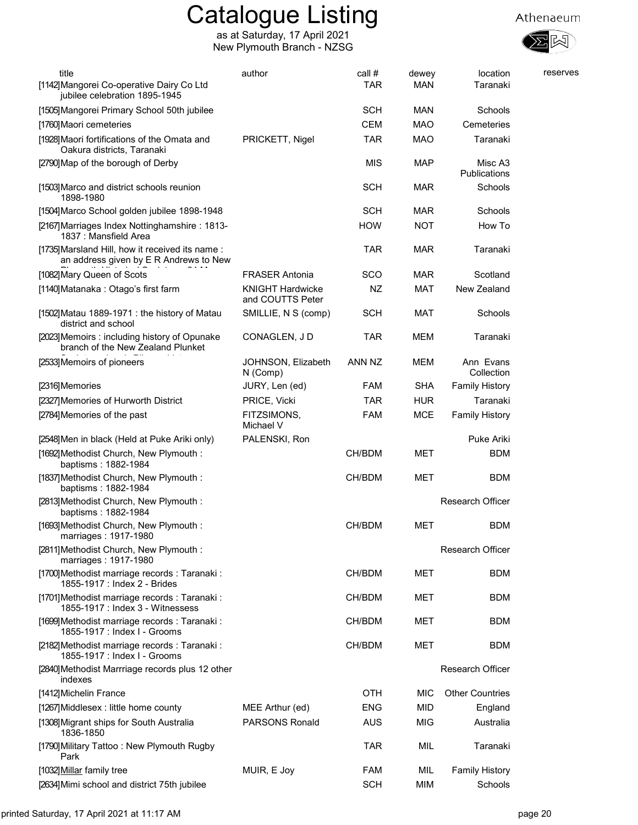



| title<br>[1142] Mangorei Co-operative Dairy Co Ltd<br>jubilee celebration 1895-1945       | author                                      | call #<br><b>TAR</b> | dewey<br><b>MAN</b> | location<br>Taranaki    | reserves |
|-------------------------------------------------------------------------------------------|---------------------------------------------|----------------------|---------------------|-------------------------|----------|
| [1505] Mangorei Primary School 50th jubilee                                               |                                             | <b>SCH</b>           | <b>MAN</b>          | Schools                 |          |
| [1760] Maori cemeteries                                                                   |                                             | <b>CEM</b>           | <b>MAO</b>          | Cemeteries              |          |
| [1928] Maori fortifications of the Omata and<br>Oakura districts, Taranaki                | PRICKETT, Nigel                             | <b>TAR</b>           | <b>MAO</b>          | Taranaki                |          |
| [2790] Map of the borough of Derby                                                        |                                             | <b>MIS</b>           | <b>MAP</b>          | Misc A3<br>Publications |          |
| [1503] Marco and district schools reunion<br>1898-1980                                    |                                             | <b>SCH</b>           | MAR                 | Schools                 |          |
| [1504] Marco School golden jubilee 1898-1948                                              |                                             | <b>SCH</b>           | <b>MAR</b>          | Schools                 |          |
| [2167] Marriages Index Nottinghamshire: 1813-<br>1837 : Mansfield Area                    |                                             | <b>HOW</b>           | <b>NOT</b>          | How To                  |          |
| [1735] Marsland Hill, how it received its name:<br>an address given by E R Andrews to New |                                             | <b>TAR</b>           | MAR                 | Taranaki                |          |
| [1082] Mary Queen of Scots                                                                | <b>FRASER Antonia</b>                       | sco                  | MAR                 | Scotland                |          |
| [1140]Matanaka : Otago's first farm                                                       | <b>KNIGHT Hardwicke</b><br>and COUTTS Peter | NZ                   | MAT                 | New Zealand             |          |
| [1502] Matau 1889-1971 : the history of Matau<br>district and school                      | SMILLIE, N S (comp)                         | <b>SCH</b>           | <b>MAT</b>          | Schools                 |          |
| [2023] Memoirs: including history of Opunake<br>branch of the New Zealand Plunket         | CONAGLEN, J D                               | <b>TAR</b>           | <b>MEM</b>          | Taranaki                |          |
| [2533] Memoirs of pioneers                                                                | JOHNSON, Elizabeth<br>N (Comp)              | ANN NZ               | MEM                 | Ann Evans<br>Collection |          |
| [2316]Memories                                                                            | JURY, Len (ed)                              | <b>FAM</b>           | <b>SHA</b>          | <b>Family History</b>   |          |
| [2327] Memories of Hurworth District                                                      | PRICE, Vicki                                | <b>TAR</b>           | <b>HUR</b>          | Taranaki                |          |
| [2784] Memories of the past                                                               | FITZSIMONS,<br>Michael V                    | <b>FAM</b>           | <b>MCE</b>          | <b>Family History</b>   |          |
| [2548] Men in black (Held at Puke Ariki only)                                             | PALENSKI, Ron                               |                      |                     | Puke Ariki              |          |
| [1692] Methodist Church, New Plymouth:<br>baptisms: 1882-1984                             |                                             | CH/BDM               | MET                 | <b>BDM</b>              |          |
| [1837] Methodist Church, New Plymouth:<br>baptisms: 1882-1984                             |                                             | CH/BDM               | MET                 | <b>BDM</b>              |          |
| [2813] Methodist Church, New Plymouth:<br>baptisms: 1882-1984                             |                                             |                      |                     | <b>Research Officer</b> |          |
| [1693] Methodist Church, New Plymouth:<br>marriages: 1917-1980                            |                                             | CH/BDM               | MET                 | <b>BDM</b>              |          |
| [2811] Methodist Church, New Plymouth:<br>marriages: 1917-1980                            |                                             |                      |                     | <b>Research Officer</b> |          |
| [1700] Methodist marriage records : Taranaki :<br>1855-1917 : Index 2 - Brides            |                                             | CH/BDM               | MET                 | <b>BDM</b>              |          |
| [1701]Methodist marriage records: Taranaki:<br>1855-1917 : Index 3 - Witnessess           |                                             | CH/BDM               | MET                 | <b>BDM</b>              |          |
| [1699] Methodist marriage records: Taranaki:<br>1855-1917 : Index I - Grooms              |                                             | CH/BDM               | MET                 | <b>BDM</b>              |          |
| [2182] Methodist marriage records: Taranaki:<br>1855-1917 : Index I - Grooms              |                                             | CH/BDM               | MET                 | <b>BDM</b>              |          |
| [2840] Methodist Marrriage records plus 12 other<br>indexes                               |                                             |                      |                     | Research Officer        |          |
| [1412] Michelin France                                                                    |                                             | <b>OTH</b>           | MIC                 | <b>Other Countries</b>  |          |
| [1267] Middlesex : little home county                                                     | MEE Arthur (ed)                             | <b>ENG</b>           | <b>MID</b>          | England                 |          |
| [1308] Migrant ships for South Australia<br>1836-1850                                     | <b>PARSONS Ronald</b>                       | <b>AUS</b>           | <b>MIG</b>          | Australia               |          |
| [1790] Military Tattoo: New Plymouth Rugby<br>Park                                        |                                             | <b>TAR</b>           | MIL                 | Taranaki                |          |
| [1032] Millar family tree                                                                 | MUIR, E Joy                                 | <b>FAM</b>           | MIL                 | <b>Family History</b>   |          |
| [2634] Mimi school and district 75th jubilee                                              |                                             | <b>SCH</b>           | MIM                 | Schools                 |          |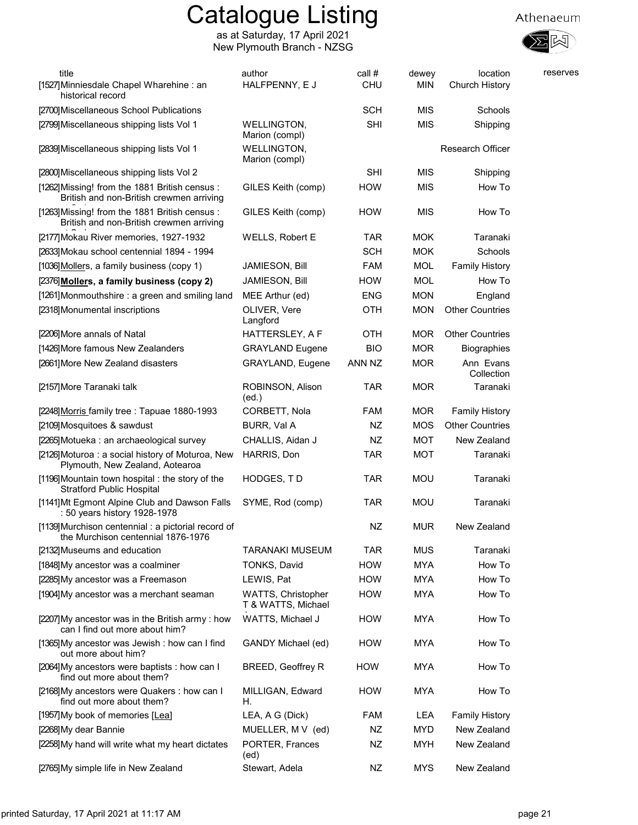

| title<br>[1527] Minniesdale Chapel Wharehine: an<br>historical record                     | author<br>HALFPENNY, E J                 | call #<br><b>CHU</b> | dewey<br>MIN | location<br>Church History | reserves |
|-------------------------------------------------------------------------------------------|------------------------------------------|----------------------|--------------|----------------------------|----------|
| [2700] Miscellaneous School Publications                                                  |                                          | <b>SCH</b>           | MIS          | Schools                    |          |
| [2799] Miscellaneous shipping lists Vol 1                                                 | <b>WELLINGTON,</b><br>Marion (compl)     | <b>SHI</b>           | <b>MIS</b>   | Shipping                   |          |
| [2839] Miscellaneous shipping lists Vol 1                                                 | WELLINGTON,<br>Marion (compl)            |                      |              | <b>Research Officer</b>    |          |
| [2800] Miscellaneous shipping lists Vol 2                                                 |                                          | <b>SHI</b>           | <b>MIS</b>   | Shipping                   |          |
| [1262] Missing! from the 1881 British census:<br>British and non-British crewmen arriving | GILES Keith (comp)                       | <b>HOW</b>           | <b>MIS</b>   | How To                     |          |
| [1263] Missing! from the 1881 British census:<br>British and non-British crewmen arriving | GILES Keith (comp)                       | <b>HOW</b>           | <b>MIS</b>   | How To                     |          |
| [2177] Mokau River memories, 1927-1932                                                    | WELLS, Robert E                          | <b>TAR</b>           | <b>MOK</b>   | Taranaki                   |          |
| [2633] Mokau school centennial 1894 - 1994                                                |                                          | <b>SCH</b>           | <b>MOK</b>   | Schools                    |          |
| [1036] Mollers, a family business (copy 1)                                                | JAMIESON, Bill                           | <b>FAM</b>           | <b>MOL</b>   | <b>Family History</b>      |          |
| [2376] Mollers, a family business (copy 2)                                                | JAMIESON, Bill                           | <b>HOW</b>           | <b>MOL</b>   | How To                     |          |
| [1261] Monmouthshire : a green and smiling land                                           | MEE Arthur (ed)                          | <b>ENG</b>           | <b>MON</b>   | England                    |          |
| [2318] Monumental inscriptions                                                            | OLIVER, Vere<br>Langford                 | <b>OTH</b>           | <b>MON</b>   | <b>Other Countries</b>     |          |
| [2206] More annals of Natal                                                               | HATTERSLEY, A F                          | OTH                  | <b>MOR</b>   | <b>Other Countries</b>     |          |
| [1426] More famous New Zealanders                                                         | <b>GRAYLAND Eugene</b>                   | <b>BIO</b>           | <b>MOR</b>   | Biographies                |          |
| [2661] More New Zealand disasters                                                         | GRAYLAND, Eugene                         | ANN NZ               | <b>MOR</b>   | Ann Evans<br>Collection    |          |
| [2157] More Taranaki talk                                                                 | ROBINSON, Alison<br>(ed.)                | <b>TAR</b>           | <b>MOR</b>   | Taranaki                   |          |
| [2248] Morris family tree: Tapuae 1880-1993                                               | CORBETT, Nola                            | FAM                  | <b>MOR</b>   | <b>Family History</b>      |          |
| [2109] Mosquitoes & sawdust                                                               | BURR, Val A                              | NZ                   | <b>MOS</b>   | <b>Other Countries</b>     |          |
| [2265] Motueka : an archaeological survey                                                 | CHALLIS, Aidan J                         | NZ                   | <b>MOT</b>   | New Zealand                |          |
| [2126] Moturoa: a social history of Moturoa, New<br>Plymouth, New Zealand, Aotearoa       | HARRIS, Don                              | <b>TAR</b>           | <b>MOT</b>   | Taranaki                   |          |
| [1196] Mountain town hospital : the story of the<br><b>Stratford Public Hospital</b>      | HODGES, TD                               | <b>TAR</b>           | <b>MOU</b>   | Taranaki                   |          |
| [1141] Mt Egmont Alpine Club and Dawson Falls<br>: 50 years history 1928-1978             | SYME, Rod (comp)                         | <b>TAR</b>           | <b>MOU</b>   | Taranaki                   |          |
| [1139] Murchison centennial: a pictorial record of<br>the Murchison centennial 1876-1976  |                                          | NZ                   | <b>MUR</b>   | New Zealand                |          |
| [2132] Museums and education                                                              | <b>TARANAKI MUSEUM</b>                   | <b>TAR</b>           | <b>MUS</b>   | Taranaki                   |          |
| [1848] My ancestor was a coalminer                                                        | TONKS, David                             | <b>HOW</b>           | <b>MYA</b>   | How To                     |          |
| [2285] My ancestor was a Freemason                                                        | LEWIS, Pat                               | <b>HOW</b>           | <b>MYA</b>   | How To                     |          |
| [1904] My ancestor was a merchant seaman                                                  | WATTS, Christopher<br>T & WATTS, Michael | <b>HOW</b>           | <b>MYA</b>   | How To                     |          |
| [2207]My ancestor was in the British army : how<br>can I find out more about him?         | WATTS, Michael J                         | <b>HOW</b>           | <b>MYA</b>   | How To                     |          |
| [1365] My ancestor was Jewish: how can I find<br>out more about him?                      | GANDY Michael (ed)                       | <b>HOW</b>           | <b>MYA</b>   | How To                     |          |
| [2064] My ancestors were baptists : how can I<br>find out more about them?                | <b>BREED, Geoffrey R</b>                 | HOW                  | <b>MYA</b>   | How To                     |          |
| [2168] My ancestors were Quakers : how can I<br>find out more about them?                 | MILLIGAN, Edward<br>Н.                   | <b>HOW</b>           | <b>MYA</b>   | How To                     |          |
| [1957] My book of memories [Lea]                                                          | LEA, A G (Dick)                          | FAM                  | LEA          | <b>Family History</b>      |          |
| [2268] My dear Bannie                                                                     | MUELLER, M V (ed)                        | NZ                   | <b>MYD</b>   | New Zealand                |          |
| [2258] My hand will write what my heart dictates                                          | PORTER, Frances<br>(ed)                  | NZ                   | <b>MYH</b>   | New Zealand                |          |
| [2765] My simple life in New Zealand                                                      | Stewart, Adela                           | NZ                   | <b>MYS</b>   | New Zealand                |          |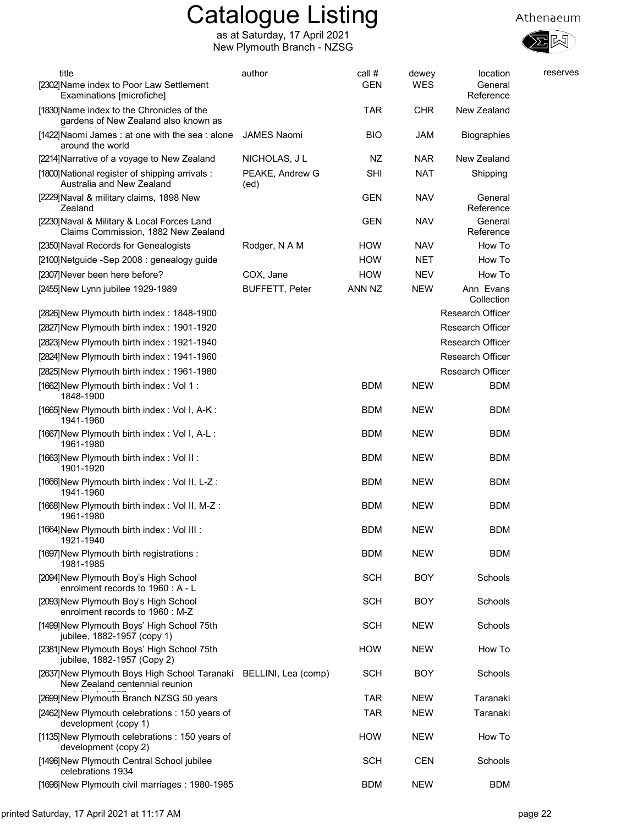

| title<br>[2302] Name index to Poor Law Settlement<br>Examinations [microfiche]                      | author                  | call #<br><b>GEN</b> | dewey<br><b>WES</b> | location<br>General<br>Reference | reserves |
|-----------------------------------------------------------------------------------------------------|-------------------------|----------------------|---------------------|----------------------------------|----------|
| [1830] Name index to the Chronicles of the<br>gardens of New Zealand also known as                  |                         | <b>TAR</b>           | <b>CHR</b>          | New Zealand                      |          |
| [1422] Naomi James: at one with the sea: alone<br>around the world                                  | <b>JAMES Naomi</b>      | <b>BIO</b>           | JAM                 | Biographies                      |          |
| [2214] Narrative of a voyage to New Zealand                                                         | NICHOLAS, J L           | NZ                   | <b>NAR</b>          | New Zealand                      |          |
| [1800] National register of shipping arrivals :<br>Australia and New Zealand                        | PEAKE, Andrew G<br>(ed) | SHI                  | <b>NAT</b>          | Shipping                         |          |
| [2229] Naval & military claims, 1898 New<br>Zealand                                                 |                         | <b>GEN</b>           | <b>NAV</b>          | General<br>Reference             |          |
| [2230] Naval & Military & Local Forces Land<br>Claims Commission, 1882 New Zealand                  |                         | <b>GEN</b>           | <b>NAV</b>          | General<br>Reference             |          |
| [2350] Naval Records for Genealogists                                                               | Rodger, N A M           | <b>HOW</b>           | <b>NAV</b>          | How To                           |          |
| [2100] Netguide - Sep 2008 : genealogy guide                                                        |                         | <b>HOW</b>           | <b>NET</b>          | How To                           |          |
| [2307] Never been here before?                                                                      | COX, Jane               | <b>HOW</b>           | <b>NEV</b>          | How To                           |          |
| [2455] New Lynn jubilee 1929-1989                                                                   | <b>BUFFETT, Peter</b>   | ANN NZ               | <b>NEW</b>          | Ann Evans<br>Collection          |          |
| [2826] New Plymouth birth index: 1848-1900                                                          |                         |                      |                     | <b>Research Officer</b>          |          |
| [2827] New Plymouth birth index: 1901-1920                                                          |                         |                      |                     | <b>Research Officer</b>          |          |
| [2823] New Plymouth birth index: 1921-1940                                                          |                         |                      |                     | <b>Research Officer</b>          |          |
| [2824] New Plymouth birth index: 1941-1960                                                          |                         |                      |                     | <b>Research Officer</b>          |          |
| [2825] New Plymouth birth index: 1961-1980                                                          |                         |                      |                     | Research Officer                 |          |
| [1662] New Plymouth birth index: Vol 1:<br>1848-1900                                                |                         | <b>BDM</b>           | <b>NEW</b>          | <b>BDM</b>                       |          |
| [1665] New Plymouth birth index: Vol I, A-K:<br>1941-1960                                           |                         | <b>BDM</b>           | <b>NEW</b>          | <b>BDM</b>                       |          |
| [1667] New Plymouth birth index: Vol I, A-L:<br>1961-1980                                           |                         | <b>BDM</b>           | <b>NEW</b>          | <b>BDM</b>                       |          |
| [1663] New Plymouth birth index: Vol II:<br>1901-1920                                               |                         | <b>BDM</b>           | <b>NEW</b>          | BDM                              |          |
| [1666] New Plymouth birth index: Vol II, L-Z:<br>1941-1960                                          |                         | <b>BDM</b>           | <b>NEW</b>          | <b>BDM</b>                       |          |
| [1668] New Plymouth birth index: Vol II, M-Z:<br>1961-1980                                          |                         | <b>BDM</b>           | <b>NEW</b>          | BDM                              |          |
| [1664] New Plymouth birth index : Vol III :<br>1921-1940                                            |                         | <b>BDM</b>           | <b>NEW</b>          | <b>BDM</b>                       |          |
| [1697] New Plymouth birth registrations :<br>1981-1985                                              |                         | <b>BDM</b>           | <b>NEW</b>          | <b>BDM</b>                       |          |
| [2094] New Plymouth Boy's High School<br>enrolment records to 1960 : A - L                          |                         | <b>SCH</b>           | <b>BOY</b>          | Schools                          |          |
| [2093] New Plymouth Boy's High School<br>enrolment records to 1960 : M-Z                            |                         | <b>SCH</b>           | <b>BOY</b>          | Schools                          |          |
| [1499] New Plymouth Boys' High School 75th<br>jubilee, 1882-1957 (copy 1)                           |                         | <b>SCH</b>           | <b>NEW</b>          | Schools                          |          |
| [2381] New Plymouth Boys' High School 75th<br>jubilee, 1882-1957 (Copy 2)                           |                         | <b>HOW</b>           | <b>NEW</b>          | How To                           |          |
| [2637] New Plymouth Boys High School Taranaki BELLINI, Lea (comp)<br>New Zealand centennial reunion |                         | <b>SCH</b>           | <b>BOY</b>          | Schools                          |          |
| [2699] New Plymouth Branch NZSG 50 years                                                            |                         | <b>TAR</b>           | <b>NEW</b>          | Taranaki                         |          |
| [2462] New Plymouth celebrations: 150 years of<br>development (copy 1)                              |                         | TAR                  | <b>NEW</b>          | Taranaki                         |          |
| [1135] New Plymouth celebrations: 150 years of<br>development (copy 2)                              |                         | <b>HOW</b>           | <b>NEW</b>          | How To                           |          |
| [1496] New Plymouth Central School jubilee<br>celebrations 1934                                     |                         | <b>SCH</b>           | <b>CEN</b>          | Schools                          |          |
| [1696] New Plymouth civil marriages: 1980-1985                                                      |                         | <b>BDM</b>           | <b>NEW</b>          | <b>BDM</b>                       |          |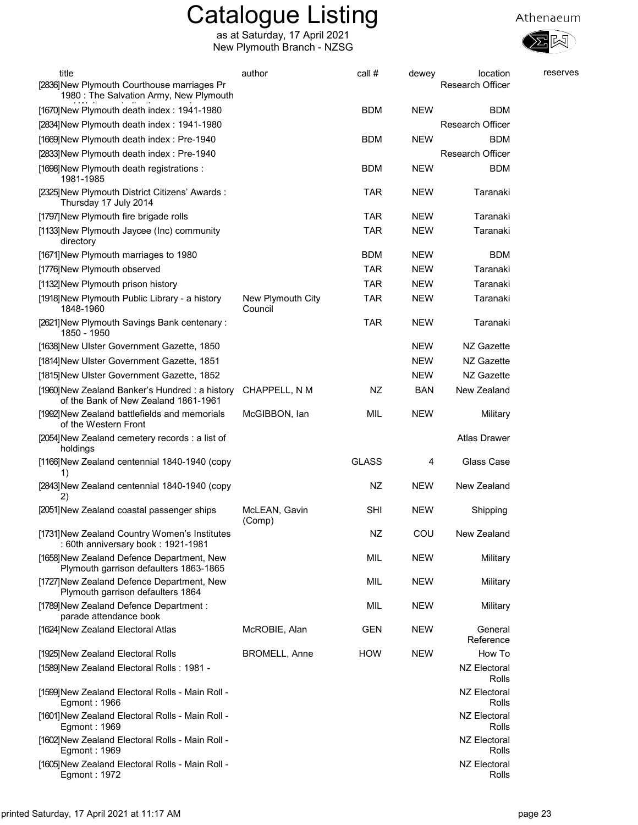

| title                                                                                  | author                       | call #       | dewey      | location                     | reserves |
|----------------------------------------------------------------------------------------|------------------------------|--------------|------------|------------------------------|----------|
| [2836] New Plymouth Courthouse marriages Pr<br>1980 : The Salvation Army, New Plymouth |                              |              |            | Research Officer             |          |
| [1670] New Plymouth death index: 1941-1980                                             |                              | <b>BDM</b>   | <b>NEW</b> | <b>BDM</b>                   |          |
| [2834] New Plymouth death index: 1941-1980                                             |                              |              |            | <b>Research Officer</b>      |          |
| [1669] New Plymouth death index: Pre-1940                                              |                              | <b>BDM</b>   | <b>NEW</b> | BDM                          |          |
| [2833] New Plymouth death index: Pre-1940                                              |                              |              |            | <b>Research Officer</b>      |          |
| [1698] New Plymouth death registrations :<br>1981-1985                                 |                              | <b>BDM</b>   | <b>NEW</b> | <b>BDM</b>                   |          |
| [2325] New Plymouth District Citizens' Awards:<br>Thursday 17 July 2014                |                              | <b>TAR</b>   | <b>NEW</b> | Taranaki                     |          |
| [1797] New Plymouth fire brigade rolls                                                 |                              | <b>TAR</b>   | <b>NEW</b> | Taranaki                     |          |
| [1133] New Plymouth Jaycee (Inc) community<br>directory                                |                              | <b>TAR</b>   | <b>NEW</b> | Taranaki                     |          |
| [1671] New Plymouth marriages to 1980                                                  |                              | <b>BDM</b>   | <b>NEW</b> | <b>BDM</b>                   |          |
| [1776] New Plymouth observed                                                           |                              | <b>TAR</b>   | <b>NEW</b> | Taranaki                     |          |
| [1132] New Plymouth prison history                                                     |                              | <b>TAR</b>   | <b>NEW</b> | Taranaki                     |          |
| [1918] New Plymouth Public Library - a history<br>1848-1960                            | New Plymouth City<br>Council | <b>TAR</b>   | <b>NEW</b> | Taranaki                     |          |
| [2621] New Plymouth Savings Bank centenary:<br>1850 - 1950                             |                              | <b>TAR</b>   | <b>NEW</b> | Taranaki                     |          |
| [1638] New Ulster Government Gazette, 1850                                             |                              |              | <b>NEW</b> | NZ Gazette                   |          |
| [1814] New Ulster Government Gazette, 1851                                             |                              |              | <b>NEW</b> | NZ Gazette                   |          |
| [1815] New Ulster Government Gazette, 1852                                             |                              |              | <b>NEW</b> | NZ Gazette                   |          |
| [1960] New Zealand Banker's Hundred: a history<br>of the Bank of New Zealand 1861-1961 | CHAPPELL, N M                | NZ           | <b>BAN</b> | New Zealand                  |          |
| [1992] New Zealand battlefields and memorials<br>of the Western Front                  | McGIBBON, lan                | MIL          | <b>NEW</b> | Military                     |          |
| [2054] New Zealand cemetery records : a list of<br>holdings                            |                              |              |            | <b>Atlas Drawer</b>          |          |
| [1166] New Zealand centennial 1840-1940 (copy<br>1)                                    |                              | <b>GLASS</b> | 4          | Glass Case                   |          |
| [2843] New Zealand centennial 1840-1940 (copy<br>2)                                    |                              | NZ           | <b>NEW</b> | New Zealand                  |          |
| [2051]New Zealand coastal passenger ships                                              | McLEAN, Gavin<br>(Comp)      | SHI          | <b>NEW</b> | Shipping                     |          |
| [1731] New Zealand Country Women's Institutes<br>: 60th anniversary book : 1921-1981   |                              | <b>NZ</b>    | COU        | New Zealand                  |          |
| [1658] New Zealand Defence Department, New<br>Plymouth garrison defaulters 1863-1865   |                              | MIL          | <b>NEW</b> | Military                     |          |
| [1727] New Zealand Defence Department, New<br>Plymouth garrison defaulters 1864        |                              | MIL          | <b>NEW</b> | Military                     |          |
| [1789] New Zealand Defence Department :<br>parade attendance book                      |                              | MIL          | <b>NEW</b> | Military                     |          |
| [1624] New Zealand Electoral Atlas                                                     | McROBIE, Alan                | <b>GEN</b>   | <b>NEW</b> | General<br>Reference         |          |
| [1925] New Zealand Electoral Rolls                                                     | <b>BROMELL, Anne</b>         | <b>HOW</b>   | <b>NEW</b> | How To                       |          |
| [1589] New Zealand Electoral Rolls: 1981 -                                             |                              |              |            | <b>NZ Electoral</b>          |          |
| [1599] New Zealand Electoral Rolls - Main Roll -                                       |                              |              |            | Rolls<br>NZ Electoral        |          |
| Egmont: 1966<br>[1601] New Zealand Electoral Rolls - Main Roll -                       |                              |              |            | Rolls<br>NZ Electoral        |          |
| Egmont: 1969<br>[1602] New Zealand Electoral Rolls - Main Roll -                       |                              |              |            | Rolls<br><b>NZ Electoral</b> |          |
| Egmont: 1969                                                                           |                              |              |            | Rolls                        |          |
| [1605] New Zealand Electoral Rolls - Main Roll -<br>Egmont: 1972                       |                              |              |            | <b>NZ Electoral</b><br>Rolls |          |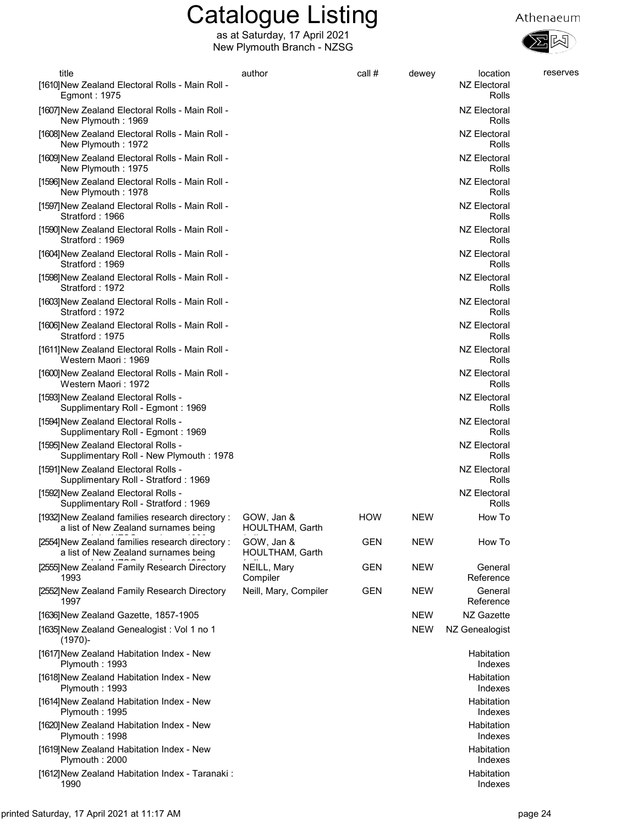

| title<br>[1610] New Zealand Electoral Rolls - Main Roll -<br>Egmont: 1975                | author                        | call #     | dewey      | location<br>NZ Electoral<br>Rolls | reserves |
|------------------------------------------------------------------------------------------|-------------------------------|------------|------------|-----------------------------------|----------|
| [1607] New Zealand Electoral Rolls - Main Roll -<br>New Plymouth: 1969                   |                               |            |            | NZ Electoral<br>Rolls             |          |
| [1608] New Zealand Electoral Rolls - Main Roll -<br>New Plymouth: 1972                   |                               |            |            | NZ Electoral<br>Rolls             |          |
| [1609] New Zealand Electoral Rolls - Main Roll -<br>New Plymouth: 1975                   |                               |            |            | NZ Electoral<br>Rolls             |          |
| [1596] New Zealand Electoral Rolls - Main Roll -<br>New Plymouth: 1978                   |                               |            |            | NZ Electoral<br>Rolls             |          |
| [1597] New Zealand Electoral Rolls - Main Roll -<br>Stratford: 1966                      |                               |            |            | NZ Electoral<br>Rolls             |          |
| [1590] New Zealand Electoral Rolls - Main Roll -<br>Stratford: 1969                      |                               |            |            | NZ Electoral<br>Rolls             |          |
| [1604] New Zealand Electoral Rolls - Main Roll -<br>Stratford: 1969                      |                               |            |            | <b>NZ Electoral</b><br>Rolls      |          |
| [1598] New Zealand Electoral Rolls - Main Roll -<br>Stratford: 1972                      |                               |            |            | <b>NZ Electoral</b><br>Rolls      |          |
| [1603] New Zealand Electoral Rolls - Main Roll -<br>Stratford: 1972                      |                               |            |            | <b>NZ Electoral</b><br>Rolls      |          |
| [1606] New Zealand Electoral Rolls - Main Roll -<br>Stratford: 1975                      |                               |            |            | <b>NZ Electoral</b><br>Rolls      |          |
| [1611] New Zealand Electoral Rolls - Main Roll -<br>Western Maori : 1969                 |                               |            |            | <b>NZ Electoral</b><br>Rolls      |          |
| [1600] New Zealand Electoral Rolls - Main Roll -<br>Western Maori : 1972                 |                               |            |            | NZ Electoral<br>Rolls             |          |
| [1593] New Zealand Electoral Rolls -<br>Supplimentary Roll - Egmont: 1969                |                               |            |            | <b>NZ Electoral</b><br>Rolls      |          |
| [1594] New Zealand Electoral Rolls -<br>Supplimentary Roll - Egmont: 1969                |                               |            |            | NZ Electoral<br>Rolls             |          |
| [1595] New Zealand Electoral Rolls -<br>Supplimentary Roll - New Plymouth: 1978          |                               |            |            | NZ Electoral<br>Rolls             |          |
| [1591] New Zealand Electoral Rolls -<br>Supplimentary Roll - Stratford: 1969             |                               |            |            | NZ Electoral<br>Rolls             |          |
| [1592] New Zealand Electoral Rolls -<br>Supplimentary Roll - Stratford: 1969             |                               |            |            | NZ Electoral<br>Rolls             |          |
| [1932] New Zealand families research directory :<br>a list of New Zealand surnames being | GOW, Jan &<br>HOULTHAM, Garth | <b>HOW</b> | <b>NEW</b> | How To                            |          |
| [2554] New Zealand families research directory:<br>a list of New Zealand surnames being  | GOW, Jan &<br>HOULTHAM, Garth | <b>GEN</b> | <b>NEW</b> | How To                            |          |
| [2555] New Zealand Family Research Directory<br>1993                                     | NEILL, Mary<br>Compiler       | <b>GEN</b> | <b>NEW</b> | General<br>Reference              |          |
| [2552] New Zealand Family Research Directory<br>1997                                     | Neill, Mary, Compiler         | <b>GEN</b> | <b>NEW</b> | General<br>Reference              |          |
| [1636] New Zealand Gazette, 1857-1905                                                    |                               |            | <b>NEW</b> | NZ Gazette                        |          |
| [1635] New Zealand Genealogist: Vol 1 no 1<br>$(1970)$ -                                 |                               |            | <b>NEW</b> | NZ Genealogist                    |          |
| [1617] New Zealand Habitation Index - New<br>Plymouth: 1993                              |                               |            |            | Habitation<br>Indexes             |          |
| [1618] New Zealand Habitation Index - New<br>Plymouth: 1993                              |                               |            |            | Habitation<br>Indexes             |          |
| [1614] New Zealand Habitation Index - New<br>Plymouth: 1995                              |                               |            |            | Habitation<br>Indexes             |          |
| [1620] New Zealand Habitation Index - New<br>Plymouth: 1998                              |                               |            |            | Habitation<br>Indexes             |          |
| [1619] New Zealand Habitation Index - New<br>Plymouth: 2000                              |                               |            |            | Habitation<br>Indexes             |          |
| [1612] New Zealand Habitation Index - Taranaki:<br>1990                                  |                               |            |            | Habitation<br>Indexes             |          |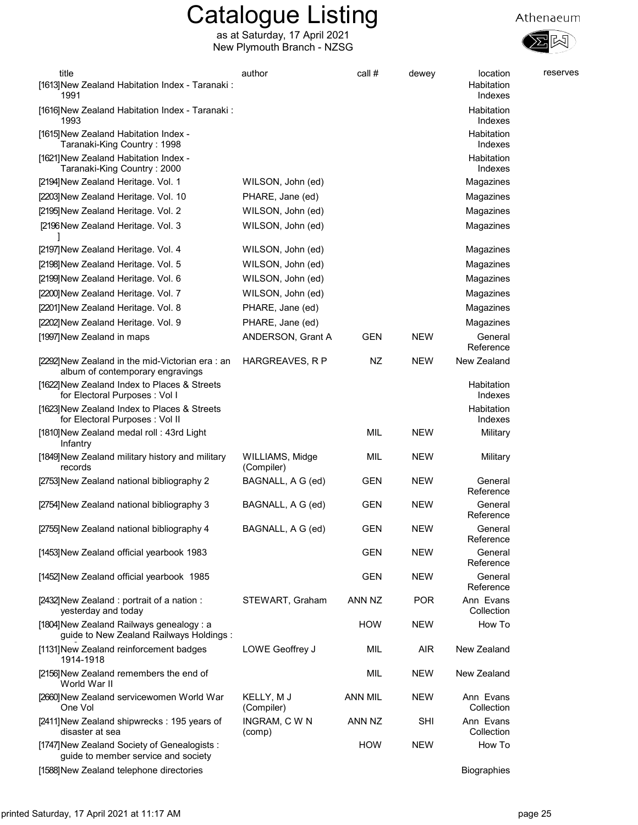

Athenaeum

as at Saturday, 17 April 2021 New Plymouth Branch - NZSG

| title<br>[1613] New Zealand Habitation Index - Taranaki:<br>1991                      | author                        | call #         | dewey      | location<br>Habitation<br>Indexes | reserves |
|---------------------------------------------------------------------------------------|-------------------------------|----------------|------------|-----------------------------------|----------|
| [1616] New Zealand Habitation Index - Taranaki:<br>1993                               |                               |                |            | Habitation<br>Indexes             |          |
| [1615] New Zealand Habitation Index -<br>Taranaki-King Country: 1998                  |                               |                |            | Habitation<br>Indexes             |          |
| [1621] New Zealand Habitation Index -<br>Taranaki-King Country: 2000                  |                               |                |            | Habitation<br>Indexes             |          |
| [2194] New Zealand Heritage. Vol. 1                                                   | WILSON, John (ed)             |                |            | Magazines                         |          |
| [2203] New Zealand Heritage. Vol. 10                                                  | PHARE, Jane (ed)              |                |            | Magazines                         |          |
| [2195] New Zealand Heritage. Vol. 2                                                   | WILSON, John (ed)             |                |            | Magazines                         |          |
| [2196New Zealand Heritage. Vol. 3                                                     | WILSON, John (ed)             |                |            | Magazines                         |          |
| [2197] New Zealand Heritage. Vol. 4                                                   | WILSON, John (ed)             |                |            | Magazines                         |          |
| [2198] New Zealand Heritage. Vol. 5                                                   | WILSON, John (ed)             |                |            | Magazines                         |          |
| [2199] New Zealand Heritage. Vol. 6                                                   | WILSON, John (ed)             |                |            | Magazines                         |          |
| [2200] New Zealand Heritage. Vol. 7                                                   | WILSON, John (ed)             |                |            | Magazines                         |          |
| [2201] New Zealand Heritage. Vol. 8                                                   | PHARE, Jane (ed)              |                |            | Magazines                         |          |
| [2202] New Zealand Heritage. Vol. 9                                                   | PHARE, Jane (ed)              |                |            | Magazines                         |          |
| [1997] New Zealand in maps                                                            | ANDERSON, Grant A             | <b>GEN</b>     | <b>NEW</b> | General<br>Reference              |          |
| [2292] New Zealand in the mid-Victorian era: an<br>album of contemporary engravings   | HARGREAVES, R P               | NZ             | <b>NEW</b> | New Zealand                       |          |
| [1622] New Zealand Index to Places & Streets<br>for Electoral Purposes: Vol I         |                               |                |            | Habitation<br>Indexes             |          |
| [1623] New Zealand Index to Places & Streets<br>for Electoral Purposes : Vol II       |                               |                |            | Habitation<br>Indexes             |          |
| [1810] New Zealand medal roll: 43rd Light<br>Infantry                                 |                               | MIL            | <b>NEW</b> | Military                          |          |
| [1849] New Zealand military history and military<br>records                           | WILLIAMS, Midge<br>(Compiler) | MIL            | <b>NEW</b> | Military                          |          |
| [2753] New Zealand national bibliography 2                                            | BAGNALL, A G (ed)             | GEN            | <b>NEW</b> | General<br>Reference              |          |
| [2754] New Zealand national bibliography 3                                            | BAGNALL, A G (ed)             | <b>GEN</b>     | <b>NEW</b> | General<br>Reference              |          |
| [2755] New Zealand national bibliography 4                                            | BAGNALL, A G (ed)             | <b>GEN</b>     | <b>NEW</b> | General<br>Reference              |          |
| [1453] New Zealand official yearbook 1983                                             |                               | <b>GEN</b>     | NEW        | General<br>Reference              |          |
| [1452] New Zealand official yearbook 1985                                             |                               | <b>GEN</b>     | <b>NEW</b> | General<br>Reference              |          |
| [2432] New Zealand: portrait of a nation:<br>yesterday and today                      | STEWART, Graham               | ANN NZ         | <b>POR</b> | Ann Evans<br>Collection           |          |
| [1804] New Zealand Railways genealogy : a<br>guide to New Zealand Railways Holdings : |                               | <b>HOW</b>     | <b>NEW</b> | How To                            |          |
| [1131] New Zealand reinforcement badges<br>1914-1918                                  | LOWE Geoffrey J               | MIL            | <b>AIR</b> | New Zealand                       |          |
| [2156] New Zealand remembers the end of<br>World War II                               |                               | MIL            | <b>NEW</b> | New Zealand                       |          |
| [2660] New Zealand servicewomen World War<br>One Vol                                  | KELLY, M J<br>(Compiler)      | <b>ANN MIL</b> | <b>NEW</b> | Ann Evans<br>Collection           |          |
| [2411] New Zealand shipwrecks: 195 years of<br>disaster at sea                        | INGRAM, C W N<br>(comp)       | ANN NZ         | <b>SHI</b> | Ann Evans<br>Collection           |          |
| [1747] New Zealand Society of Genealogists:<br>guide to member service and society    |                               | <b>HOW</b>     | <b>NEW</b> | How To                            |          |

[1588]New Zealand telephone directories and the settlement of the settlement of the Biographies of the Biographies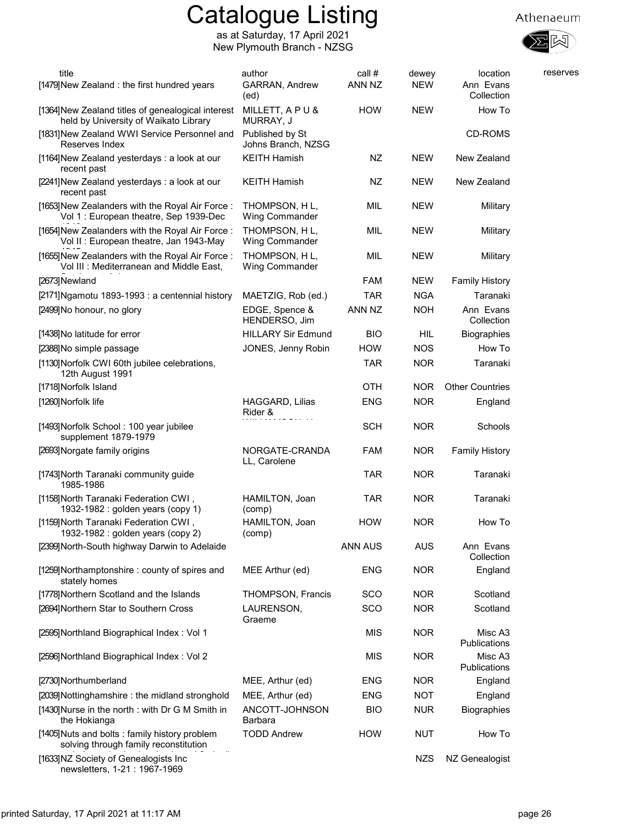





| title<br>[1479] New Zealand: the first hundred years                                        | author<br>GARRAN, Andrew<br>(ed)       | call #<br>ANN NZ | dewey<br><b>NEW</b> | location<br>Ann Evans<br>Collection | reserves |
|---------------------------------------------------------------------------------------------|----------------------------------------|------------------|---------------------|-------------------------------------|----------|
| [1364] New Zealand titles of genealogical interest<br>held by University of Waikato Library | MILLETT, APU&<br>MURRAY, J             | <b>HOW</b>       | <b>NEW</b>          | How To                              |          |
| [1831] New Zealand WWI Service Personnel and<br>Reserves Index                              | Published by St<br>Johns Branch, NZSG  |                  |                     | CD-ROMS                             |          |
| [1164] New Zealand yesterdays: a look at our<br>recent past                                 | <b>KEITH Hamish</b>                    | NZ               | <b>NEW</b>          | New Zealand                         |          |
| [2241]New Zealand yesterdays: a look at our<br>recent past                                  | <b>KEITH Hamish</b>                    | NZ               | <b>NEW</b>          | New Zealand                         |          |
| [1653] New Zealanders with the Royal Air Force:<br>Vol 1 : European theatre, Sep 1939-Dec   | THOMPSON, HL,<br><b>Wing Commander</b> | MIL              | <b>NEW</b>          | Military                            |          |
| [1654] New Zealanders with the Royal Air Force:<br>Vol II : European theatre, Jan 1943-May  | THOMPSON, HL,<br><b>Wing Commander</b> | MIL              | <b>NEW</b>          | Military                            |          |
| [1655] New Zealanders with the Royal Air Force:<br>Vol III : Mediterranean and Middle East, | THOMPSON, HL,<br><b>Wing Commander</b> | MIL              | <b>NEW</b>          | Military                            |          |
| [2673]Newland                                                                               |                                        | <b>FAM</b>       | <b>NEW</b>          | <b>Family History</b>               |          |
| [2171] Ngamotu 1893-1993 : a centennial history                                             | MAETZIG, Rob (ed.)                     | <b>TAR</b>       | <b>NGA</b>          | Taranaki                            |          |
| [2499] No honour, no glory                                                                  | EDGE, Spence &<br>HENDERSO, Jim        | ANN NZ           | <b>NOH</b>          | Ann Evans<br>Collection             |          |
| [1438] No latitude for error                                                                | <b>HILLARY Sir Edmund</b>              | <b>BIO</b>       | HIL                 | <b>Biographies</b>                  |          |
| [2388] No simple passage                                                                    | JONES, Jenny Robin                     | <b>HOW</b>       | <b>NOS</b>          | How To                              |          |
| [1130] Norfolk CWI 60th jubilee celebrations,<br>12th August 1991                           |                                        | <b>TAR</b>       | <b>NOR</b>          | Taranaki                            |          |
| [1718] Norfolk Island                                                                       |                                        | <b>OTH</b>       | <b>NOR</b>          | <b>Other Countries</b>              |          |
| [1260] Norfolk life                                                                         | HAGGARD, Lilias<br>Rider &             | <b>ENG</b>       | <b>NOR</b>          | England                             |          |
| [1493] Norfolk School: 100 year jubilee<br>supplement 1879-1979                             |                                        | <b>SCH</b>       | <b>NOR</b>          | Schools                             |          |
| [2693] Norgate family origins                                                               | NORGATE-CRANDA<br>LL, Carolene         | <b>FAM</b>       | <b>NOR</b>          | <b>Family History</b>               |          |
| [1743] North Taranaki community guide<br>1985-1986                                          |                                        | <b>TAR</b>       | <b>NOR</b>          | Taranaki                            |          |
| [1158] North Taranaki Federation CWI,<br>1932-1982 : golden years (copy 1)                  | HAMILTON, Joan<br>(comp)               | TAR              | <b>NOR</b>          | Taranaki                            |          |
| [1159] North Taranaki Federation CWI,<br>1932-1982 : golden years (copy 2)                  | HAMILTON, Joan<br>(comp)               | <b>HOW</b>       | <b>NOR</b>          | How To                              |          |
| [2399] North-South highway Darwin to Adelaide                                               |                                        | ANN AUS          | <b>AUS</b>          | Ann Evans<br>Collection             |          |
| [1259] Northamptonshire: county of spires and<br>stately homes                              | MEE Arthur (ed)                        | <b>ENG</b>       | <b>NOR</b>          | England                             |          |
| [1778] Northern Scotland and the Islands                                                    | <b>THOMPSON, Francis</b>               | SCO              | <b>NOR</b>          | Scotland                            |          |
| [2694] Northern Star to Southern Cross                                                      | LAURENSON,<br>Graeme                   | SCO              | <b>NOR</b>          | Scotland                            |          |
| [2595] Northland Biographical Index: Vol 1                                                  |                                        | <b>MIS</b>       | <b>NOR</b>          | Misc A3<br>Publications             |          |
| [2596] Northland Biographical Index: Vol 2                                                  |                                        | <b>MIS</b>       | <b>NOR</b>          | Misc A3<br>Publications             |          |
| [2730] Northumberland                                                                       | MEE, Arthur (ed)                       | <b>ENG</b>       | <b>NOR</b>          | England                             |          |
| [2039] Nottinghamshire: the midland stronghold                                              | MEE, Arthur (ed)                       | <b>ENG</b>       | <b>NOT</b>          | England                             |          |
| [1430] Nurse in the north: with Dr G M Smith in<br>the Hokianga                             | ANCOTT-JOHNSON<br><b>Barbara</b>       | <b>BIO</b>       | <b>NUR</b>          | <b>Biographies</b>                  |          |
| [1405] Nuts and bolts: family history problem<br>solving through family reconstitution      | <b>TODD Andrew</b>                     | <b>HOW</b>       | <b>NUT</b>          | How To                              |          |
| [1633] NZ Society of Genealogists Inc<br>newsletters, 1-21: 1967-1969                       |                                        |                  | <b>NZS</b>          | NZ Genealogist                      |          |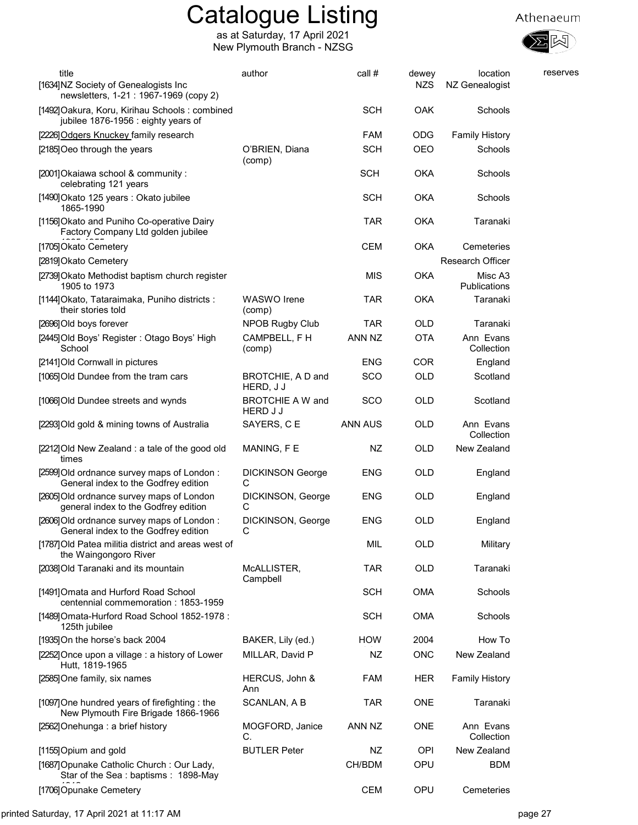



| title<br>[1634]NZ Society of Genealogists Inc                                                                                  | author                                     | call #         | dewey<br><b>NZS</b> | location<br>NZ Genealogist | reserves |
|--------------------------------------------------------------------------------------------------------------------------------|--------------------------------------------|----------------|---------------------|----------------------------|----------|
| newsletters, 1-21: 1967-1969 (copy 2)<br>[1492] Oakura, Koru, Kirihau Schools: combined<br>jubilee 1876-1956 : eighty years of |                                            | <b>SCH</b>     | <b>OAK</b>          | Schools                    |          |
| [2226] Odgers Knuckey family research                                                                                          |                                            | <b>FAM</b>     | <b>ODG</b>          | <b>Family History</b>      |          |
| [2185] Oeo through the years                                                                                                   | O'BRIEN, Diana                             | <b>SCH</b>     | <b>OEO</b>          | Schools                    |          |
| [2001] Okaiawa school & community:                                                                                             | (comp)                                     | <b>SCH</b>     | <b>OKA</b>          | Schools                    |          |
| celebrating 121 years                                                                                                          |                                            |                |                     |                            |          |
| [1490] Okato 125 years: Okato jubilee<br>1865-1990                                                                             |                                            | <b>SCH</b>     | <b>OKA</b>          | Schools                    |          |
| [1156] Okato and Puniho Co-operative Dairy<br>Factory Company Ltd golden jubilee                                               |                                            | <b>TAR</b>     | <b>OKA</b>          | Taranaki                   |          |
| [1705] Okato Cemetery                                                                                                          |                                            | <b>CEM</b>     | <b>OKA</b>          | Cemeteries                 |          |
| [2819] Okato Cemetery                                                                                                          |                                            |                |                     | <b>Research Officer</b>    |          |
| [2739] Okato Methodist baptism church register<br>1905 to 1973                                                                 |                                            | <b>MIS</b>     | <b>OKA</b>          | Misc A3<br>Publications    |          |
| [1144] Okato, Tataraimaka, Puniho districts :<br>their stories told                                                            | <b>WASWO</b> Irene<br>(comp)               | TAR            | <b>OKA</b>          | Taranaki                   |          |
| [2696] Old boys forever                                                                                                        | <b>NPOB Rugby Club</b>                     | <b>TAR</b>     | OLD                 | Taranaki                   |          |
| [2445]Old Boys' Register: Otago Boys' High<br>School                                                                           | CAMPBELL, F H<br>(comp)                    | ANN NZ         | <b>OTA</b>          | Ann Evans<br>Collection    |          |
| [2141] Old Cornwall in pictures                                                                                                |                                            | <b>ENG</b>     | <b>COR</b>          | England                    |          |
| [1065] Old Dundee from the tram cars                                                                                           | BROTCHIE, A D and<br>HERD, J J             | SCO            | <b>OLD</b>          | Scotland                   |          |
| [1066] Old Dundee streets and wynds                                                                                            | <b>BROTCHIE A W and</b><br><b>HERD J J</b> | <b>SCO</b>     | <b>OLD</b>          | Scotland                   |          |
| [2293] Old gold & mining towns of Australia                                                                                    | SAYERS, C E                                | <b>ANN AUS</b> | <b>OLD</b>          | Ann Evans<br>Collection    |          |
| [2212]Old New Zealand : a tale of the good old<br>times                                                                        | MANING, F E                                | NZ             | <b>OLD</b>          | New Zealand                |          |
| [2599] Old ordnance survey maps of London:<br>General index to the Godfrey edition                                             | <b>DICKINSON George</b><br>С               | <b>ENG</b>     | <b>OLD</b>          | England                    |          |
| [2605] Old ordnance survey maps of London<br>general index to the Godfrey edition                                              | DICKINSON, George<br>С                     | ENG            | <b>OLD</b>          | England                    |          |
| [2606] Old ordnance survey maps of London:<br>General index to the Godfrey edition                                             | DICKINSON, George<br>C                     | <b>ENG</b>     | <b>OLD</b>          | England                    |          |
| [1787] Old Patea militia district and areas west of<br>the Waingongoro River                                                   |                                            | MIL            | <b>OLD</b>          | Military                   |          |
| [2038] Old Taranaki and its mountain                                                                                           | McALLISTER,<br>Campbell                    | <b>TAR</b>     | <b>OLD</b>          | Taranaki                   |          |
| [1491] Omata and Hurford Road School<br>centennial commemoration: 1853-1959                                                    |                                            | <b>SCH</b>     | <b>OMA</b>          | Schools                    |          |
| [1489] Omata-Hurford Road School 1852-1978 :<br>125th jubilee                                                                  |                                            | <b>SCH</b>     | <b>OMA</b>          | Schools                    |          |
| [1935] On the horse's back 2004                                                                                                | BAKER, Lily (ed.)                          | <b>HOW</b>     | 2004                | How To                     |          |
| [2252] Once upon a village : a history of Lower<br>Hutt, 1819-1965                                                             | MILLAR, David P                            | NZ             | <b>ONC</b>          | New Zealand                |          |
| [2585] One family, six names                                                                                                   | HERCUS, John &<br>Ann                      | <b>FAM</b>     | <b>HER</b>          | <b>Family History</b>      |          |
| [1097] One hundred years of firefighting: the<br>New Plymouth Fire Brigade 1866-1966                                           | SCANLAN, A B                               | <b>TAR</b>     | <b>ONE</b>          | Taranaki                   |          |
| [2562] Onehunga: a brief history                                                                                               | MOGFORD, Janice<br>C.                      | ANN NZ         | <b>ONE</b>          | Ann Evans<br>Collection    |          |
| [1155] Opium and gold                                                                                                          | <b>BUTLER Peter</b>                        | NZ             | <b>OPI</b>          | New Zealand                |          |
| [1687] Opunake Catholic Church: Our Lady,<br>Star of the Sea: baptisms: 1898-May                                               |                                            | CH/BDM         | OPU                 | <b>BDM</b>                 |          |
| [1706] Opunake Cemetery                                                                                                        |                                            | <b>CEM</b>     | OPU                 | Cemeteries                 |          |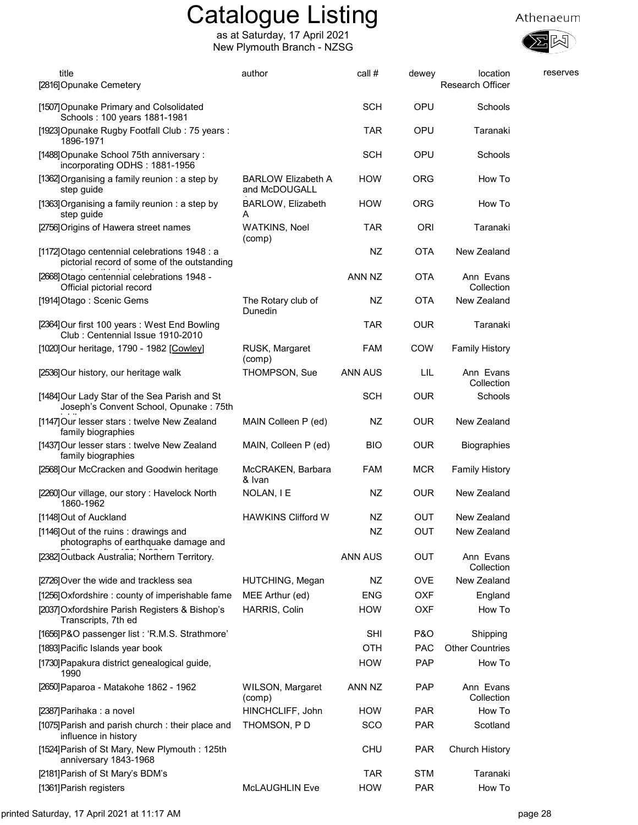



| title<br>[2816] Opunake Cemetery                                                             | author                                     | call #     | dewey          | location<br>Research Officer | reserves |
|----------------------------------------------------------------------------------------------|--------------------------------------------|------------|----------------|------------------------------|----------|
| [1507] Opunake Primary and Colsolidated<br>Schools: 100 years 1881-1981                      |                                            | <b>SCH</b> | OPU            | Schools                      |          |
| [1923] Opunake Rugby Footfall Club: 75 years:<br>1896-1971                                   |                                            | <b>TAR</b> | <b>OPU</b>     | Taranaki                     |          |
| [1488] Opunake School 75th anniversary:<br>incorporating ODHS: 1881-1956                     |                                            | <b>SCH</b> | <b>OPU</b>     | Schools                      |          |
| [1362] Organising a family reunion: a step by<br>step guide                                  | <b>BARLOW Elizabeth A</b><br>and McDOUGALL | <b>HOW</b> | <b>ORG</b>     | How To                       |          |
| [1363] Organising a family reunion: a step by<br>step guide                                  | BARLOW, Elizabeth<br>A                     | <b>HOW</b> | <b>ORG</b>     | How To                       |          |
| [2756] Origins of Hawera street names                                                        | <b>WATKINS, Noel</b><br>(comp)             | <b>TAR</b> | <b>ORI</b>     | Taranaki                     |          |
| [1172] Otago centennial celebrations 1948 : a<br>pictorial record of some of the outstanding |                                            | NZ         | <b>OTA</b>     | New Zealand                  |          |
| [2668] Otago centennial celebrations 1948 -<br>Official pictorial record                     |                                            | ANN NZ     | <b>OTA</b>     | Ann Evans<br>Collection      |          |
| [1914] Otago: Scenic Gems                                                                    | The Rotary club of<br>Dunedin              | NZ         | <b>OTA</b>     | New Zealand                  |          |
| [2364] Our first 100 years: West End Bowling<br>Club: Centennial Issue 1910-2010             |                                            | <b>TAR</b> | <b>OUR</b>     | Taranaki                     |          |
| [1020] Our heritage, 1790 - 1982 [Cowley]                                                    | RUSK, Margaret<br>(comp)                   | <b>FAM</b> | <b>COW</b>     | <b>Family History</b>        |          |
| [2536] Our history, our heritage walk                                                        | THOMPSON, Sue                              | ANN AUS    | LIL            | Ann Evans<br>Collection      |          |
| [1484] Our Lady Star of the Sea Parish and St<br>Joseph's Convent School, Opunake: 75th      |                                            | <b>SCH</b> | <b>OUR</b>     | Schools                      |          |
| [1147] Our lesser stars: twelve New Zealand<br>family biographies                            | MAIN Colleen P (ed)                        | NZ         | <b>OUR</b>     | New Zealand                  |          |
| [1437] Our lesser stars : twelve New Zealand<br>family biographies                           | MAIN, Colleen P (ed)                       | <b>BIO</b> | <b>OUR</b>     | <b>Biographies</b>           |          |
| [2568] Our McCracken and Goodwin heritage                                                    | McCRAKEN, Barbara<br>& Ivan                | <b>FAM</b> | <b>MCR</b>     | <b>Family History</b>        |          |
| [2260] Our village, our story: Havelock North<br>1860-1962                                   | NOLAN, I E                                 | NZ         | <b>OUR</b>     | New Zealand                  |          |
| [1148] Out of Auckland                                                                       | <b>HAWKINS Clifford W</b>                  | NZ         | <b>OUT</b>     | New Zealand                  |          |
| [1146]Out of the ruins : drawings and<br>photographs of earthquake damage and                |                                            | NZ         | OUT            | New Zealand                  |          |
| [2382] Outback Australia; Northern Territory.                                                |                                            | ANN AUS    | OUT            | Ann Evans<br>Collection      |          |
| [2726] Over the wide and trackless sea                                                       | HUTCHING, Megan                            | NZ         | <b>OVE</b>     | New Zealand                  |          |
| [1256] Oxfordshire: county of imperishable fame                                              | MEE Arthur (ed)                            | <b>ENG</b> | <b>OXF</b>     | England                      |          |
| [2037] Oxfordshire Parish Registers & Bishop's<br>Transcripts, 7th ed                        | HARRIS, Colin                              | <b>HOW</b> | <b>OXF</b>     | How To                       |          |
| [1656] P&O passenger list: 'R.M.S. Strathmore'                                               |                                            | <b>SHI</b> | <b>P&amp;O</b> | Shipping                     |          |
| [1893] Pacific Islands year book                                                             |                                            | <b>OTH</b> | <b>PAC</b>     | <b>Other Countries</b>       |          |
| [1730] Papakura district genealogical guide,<br>1990                                         |                                            | <b>HOW</b> | <b>PAP</b>     | How To                       |          |
| [2650] Paparoa - Matakohe 1862 - 1962                                                        | WILSON, Margaret<br>(comp)                 | ANN NZ     | <b>PAP</b>     | Ann Evans<br>Collection      |          |
| [2387] Parihaka : a novel                                                                    | HINCHCLIFF, John                           | <b>HOW</b> | <b>PAR</b>     | How To                       |          |
| [1075] Parish and parish church: their place and<br>influence in history                     | THOMSON, PD                                | SCO        | <b>PAR</b>     | Scotland                     |          |
| [1524] Parish of St Mary, New Plymouth: 125th<br>anniversary 1843-1968                       |                                            | <b>CHU</b> | <b>PAR</b>     | Church History               |          |
| [2181] Parish of St Mary's BDM's                                                             |                                            | <b>TAR</b> | <b>STM</b>     | Taranaki                     |          |
| [1361] Parish registers                                                                      | <b>McLAUGHLIN Eve</b>                      | <b>HOW</b> | <b>PAR</b>     | How To                       |          |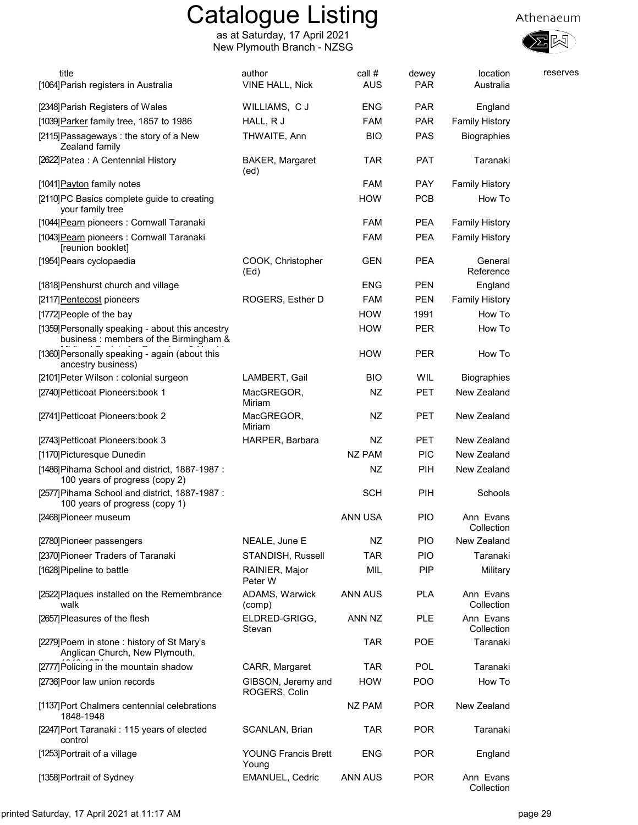

| title<br>[1064] Parish registers in Australia                                             | author<br><b>VINE HALL, Nick</b>    | call #<br><b>AUS</b> | dewey<br><b>PAR</b> | location<br>Australia   | reserves |
|-------------------------------------------------------------------------------------------|-------------------------------------|----------------------|---------------------|-------------------------|----------|
| [2348] Parish Registers of Wales                                                          | WILLIAMS, C J                       | <b>ENG</b>           | <b>PAR</b>          | England                 |          |
| [1039] Parker family tree, 1857 to 1986                                                   | HALL, R J                           | FAM                  | <b>PAR</b>          | <b>Family History</b>   |          |
| [2115] Passageways: the story of a New<br>Zealand family                                  | THWAITE, Ann                        | <b>BIO</b>           | <b>PAS</b>          | <b>Biographies</b>      |          |
| [2622] Patea: A Centennial History                                                        | <b>BAKER, Margaret</b><br>(ed)      | <b>TAR</b>           | <b>PAT</b>          | Taranaki                |          |
| [1041] Payton family notes                                                                |                                     | <b>FAM</b>           | <b>PAY</b>          | <b>Family History</b>   |          |
| [2110]PC Basics complete guide to creating<br>your family tree                            |                                     | <b>HOW</b>           | <b>PCB</b>          | How To                  |          |
| [1044] Pearn pioneers : Cornwall Taranaki                                                 |                                     | <b>FAM</b>           | <b>PEA</b>          | <b>Family History</b>   |          |
| [1043] Pearn pioneers : Cornwall Taranaki<br>[reunion booklet]                            |                                     | <b>FAM</b>           | <b>PEA</b>          | <b>Family History</b>   |          |
| [1954] Pears cyclopaedia                                                                  | COOK, Christopher<br>(Ed)           | <b>GEN</b>           | <b>PEA</b>          | General<br>Reference    |          |
| [1818] Penshurst church and village                                                       |                                     | <b>ENG</b>           | <b>PEN</b>          | England                 |          |
| [2117] Pentecost pioneers                                                                 | ROGERS, Esther D                    | <b>FAM</b>           | <b>PEN</b>          | <b>Family History</b>   |          |
| [1772] People of the bay                                                                  |                                     | <b>HOW</b>           | 1991                | How To                  |          |
| [1359] Personally speaking - about this ancestry<br>business: members of the Birmingham & |                                     | <b>HOW</b>           | <b>PER</b>          | How To                  |          |
| [1360] Personally speaking - again (about this<br>ancestry business)                      |                                     | <b>HOW</b>           | <b>PER</b>          | How To                  |          |
| [2101] Peter Wilson: colonial surgeon                                                     | LAMBERT, Gail                       | <b>BIO</b>           | WIL                 | Biographies             |          |
| [2740] Petticoat Pioneers: book 1                                                         | MacGREGOR,<br>Miriam                | NZ                   | PET                 | New Zealand             |          |
| [2741] Petticoat Pioneers: book 2                                                         | MacGREGOR,<br>Miriam                | NZ                   | <b>PET</b>          | New Zealand             |          |
| [2743] Petticoat Pioneers: book 3                                                         | HARPER, Barbara                     | NZ                   | <b>PET</b>          | New Zealand             |          |
| [1170] Picturesque Dunedin                                                                |                                     | <b>NZ PAM</b>        | <b>PIC</b>          | New Zealand             |          |
| [1486] Pihama School and district, 1887-1987 :<br>100 years of progress (copy 2)          |                                     | NZ                   | PIH                 | New Zealand             |          |
| [2577] Pihama School and district, 1887-1987 :<br>100 years of progress (copy 1)          |                                     | <b>SCH</b>           | PIH                 | Schools                 |          |
| [2468] Pioneer museum                                                                     |                                     | ANN USA              | <b>PIO</b>          | Ann Evans<br>Collection |          |
| [2780] Pioneer passengers                                                                 | NEALE, June E                       | NZ                   | <b>PIO</b>          | New Zealand             |          |
| [2370] Pioneer Traders of Taranaki                                                        | STANDISH, Russell                   | <b>TAR</b>           | PIO                 | Taranaki                |          |
| [1628] Pipeline to battle                                                                 | RAINIER, Major<br>Peter W           | MIL                  | <b>PIP</b>          | Military                |          |
| [2522] Plaques installed on the Remembrance<br>walk                                       | ADAMS, Warwick<br>(comp)            | ANN AUS              | <b>PLA</b>          | Ann Evans<br>Collection |          |
| [2657] Pleasures of the flesh                                                             | ELDRED-GRIGG,<br>Stevan             | ANN NZ               | <b>PLE</b>          | Ann Evans<br>Collection |          |
| [2279] Poem in stone: history of St Mary's<br>Anglican Church, New Plymouth,              |                                     | <b>TAR</b>           | POE                 | Taranaki                |          |
| [2777] Policing in the mountain shadow                                                    | CARR, Margaret                      | <b>TAR</b>           | <b>POL</b>          | Taranaki                |          |
| [2736] Poor law union records                                                             | GIBSON, Jeremy and<br>ROGERS, Colin | <b>HOW</b>           | <b>POO</b>          | How To                  |          |
| [1137] Port Chalmers centennial celebrations<br>1848-1948                                 |                                     | NZ PAM               | <b>POR</b>          | New Zealand             |          |
| [2247]Port Taranaki: 115 years of elected<br>control                                      | SCANLAN, Brian                      | <b>TAR</b>           | <b>POR</b>          | Taranaki                |          |
| [1253] Portrait of a village                                                              | <b>YOUNG Francis Brett</b><br>Young | <b>ENG</b>           | <b>POR</b>          | England                 |          |
| [1358] Portrait of Sydney                                                                 | <b>EMANUEL, Cedric</b>              | ANN AUS              | <b>POR</b>          | Ann Evans<br>Collection |          |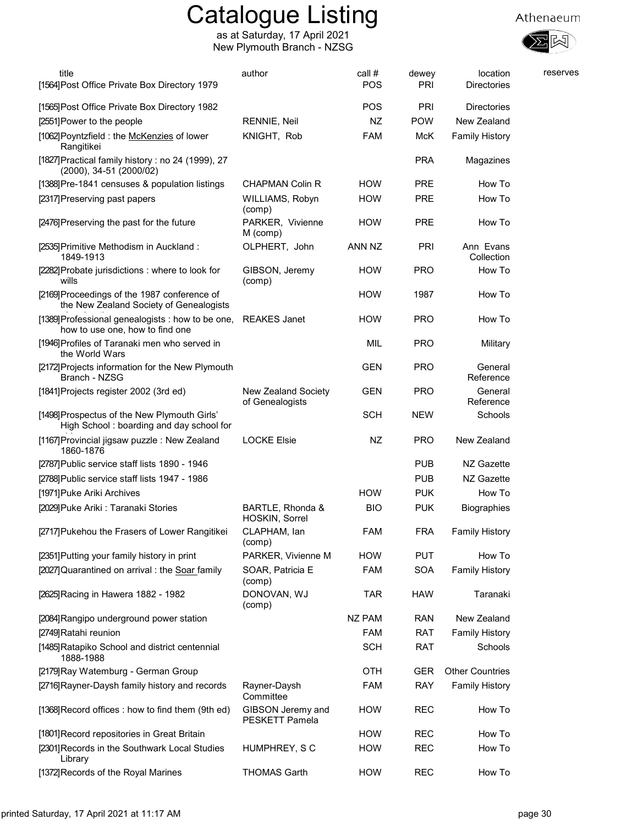

| title<br>[1564] Post Office Private Box Directory 1979                                   | author                                    | call #<br>POS | dewey<br>PRI | location<br><b>Directories</b> | reserves |
|------------------------------------------------------------------------------------------|-------------------------------------------|---------------|--------------|--------------------------------|----------|
| [1565] Post Office Private Box Directory 1982                                            |                                           | POS           | PRI          | <b>Directories</b>             |          |
| [2551] Power to the people                                                               | RENNIE, Neil                              | NZ            | <b>POW</b>   | New Zealand                    |          |
| [1062] Poyntzfield : the McKenzies of lower<br>Rangitikei                                | KNIGHT, Rob                               | <b>FAM</b>    | McK          | <b>Family History</b>          |          |
| [1827] Practical family history : no 24 (1999), 27<br>(2000), 34-51 (2000/02)            |                                           |               | <b>PRA</b>   | Magazines                      |          |
| [1388] Pre-1841 censuses & population listings                                           | CHAPMAN Colin R                           | <b>HOW</b>    | <b>PRE</b>   | How To                         |          |
| [2317] Preserving past papers                                                            | WILLIAMS, Robyn<br>(comp)                 | <b>HOW</b>    | <b>PRE</b>   | How To                         |          |
| [2476] Preserving the past for the future                                                | PARKER, Vivienne<br>M (comp)              | <b>HOW</b>    | <b>PRE</b>   | How To                         |          |
| [2535] Primitive Methodism in Auckland:<br>1849-1913                                     | OLPHERT, John                             | ANN NZ        | PRI          | Ann Evans<br>Collection        |          |
| [2282] Probate jurisdictions: where to look for<br>wills                                 | GIBSON, Jeremy<br>(comp)                  | <b>HOW</b>    | <b>PRO</b>   | How To                         |          |
| [2169] Proceedings of the 1987 conference of<br>the New Zealand Society of Genealogists  |                                           | <b>HOW</b>    | 1987         | How To                         |          |
| [1389] Professional genealogists : how to be one,<br>how to use one, how to find one     | <b>REAKES Janet</b>                       | <b>HOW</b>    | <b>PRO</b>   | How To                         |          |
| [1946] Profiles of Taranaki men who served in<br>the World Wars                          |                                           | MIL           | <b>PRO</b>   | Military                       |          |
| [2172] Projects information for the New Plymouth<br>Branch - NZSG                        |                                           | <b>GEN</b>    | <b>PRO</b>   | General<br>Reference           |          |
| [1841] Projects register 2002 (3rd ed)                                                   | New Zealand Society<br>of Genealogists    | <b>GEN</b>    | <b>PRO</b>   | General<br>Reference           |          |
| [1498] Prospectus of the New Plymouth Girls'<br>High School: boarding and day school for |                                           | <b>SCH</b>    | <b>NEW</b>   | Schools                        |          |
| [1167] Provincial jigsaw puzzle: New Zealand<br>1860-1876                                | <b>LOCKE Elsie</b>                        | NZ            | <b>PRO</b>   | New Zealand                    |          |
| [2787] Public service staff lists 1890 - 1946                                            |                                           |               | <b>PUB</b>   | NZ Gazette                     |          |
| [2788] Public service staff lists 1947 - 1986                                            |                                           |               | <b>PUB</b>   | NZ Gazette                     |          |
| [1971] Puke Ariki Archives                                                               |                                           | <b>HOW</b>    | <b>PUK</b>   | How To                         |          |
| [2029] Puke Ariki: Taranaki Stories                                                      | BARTLE, Rhonda &<br><b>HOSKIN, Sorrel</b> | <b>BIO</b>    | <b>PUK</b>   | Biographies                    |          |
| [2717] Pukehou the Frasers of Lower Rangitikei                                           | CLAPHAM, lan<br>(comp)                    | FAM           | <b>FRA</b>   | <b>Family History</b>          |          |
| [2351] Putting your family history in print                                              | PARKER, Vivienne M                        | <b>HOW</b>    | <b>PUT</b>   | How To                         |          |
| [2027] Quarantined on arrival: the Soar family                                           | SOAR, Patricia E<br>(comp)                | <b>FAM</b>    | <b>SOA</b>   | <b>Family History</b>          |          |
| [2625] Racing in Hawera 1882 - 1982                                                      | DONOVAN, WJ<br>(comp)                     | <b>TAR</b>    | <b>HAW</b>   | Taranaki                       |          |
| [2084] Rangipo underground power station                                                 |                                           | <b>NZ PAM</b> | <b>RAN</b>   | New Zealand                    |          |
| [2749] Ratahi reunion                                                                    |                                           | FAM           | <b>RAT</b>   | <b>Family History</b>          |          |
| [1485] Ratapiko School and district centennial<br>1888-1988                              |                                           | <b>SCH</b>    | <b>RAT</b>   | Schools                        |          |
| [2179] Ray Watemburg - German Group                                                      |                                           | OTH           | GER          | <b>Other Countries</b>         |          |
| [2716] Rayner-Daysh family history and records                                           | Rayner-Daysh<br>Committee                 | <b>FAM</b>    | <b>RAY</b>   | <b>Family History</b>          |          |
| [1368] Record offices : how to find them (9th ed)                                        | GIBSON Jeremy and<br>PESKETT Pamela       | <b>HOW</b>    | <b>REC</b>   | How To                         |          |
| [1801] Record repositories in Great Britain                                              |                                           | <b>HOW</b>    | <b>REC</b>   | How To                         |          |
| [2301] Records in the Southwark Local Studies<br>Library                                 | HUMPHREY, SC                              | <b>HOW</b>    | <b>REC</b>   | How To                         |          |
| [1372] Records of the Royal Marines                                                      | <b>THOMAS Garth</b>                       | <b>HOW</b>    | <b>REC</b>   | How To                         |          |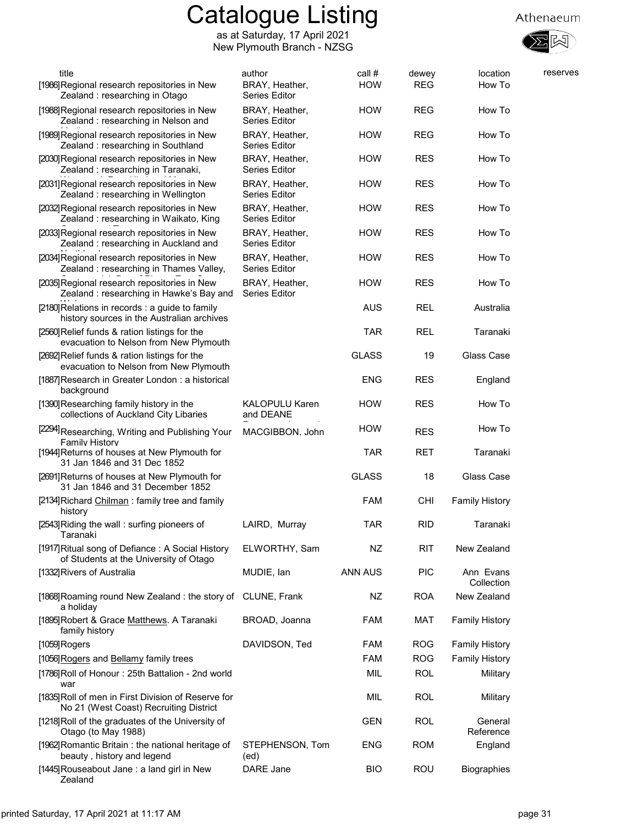



| title                      | [1986] Regional research repositories in New<br>Zealand: researching in Otago                 | author<br>BRAY, Heather,<br><b>Series Editor</b> | call #<br><b>HOW</b> | dewey<br><b>REG</b> | location<br>How To      | reserves |
|----------------------------|-----------------------------------------------------------------------------------------------|--------------------------------------------------|----------------------|---------------------|-------------------------|----------|
|                            | [1988] Regional research repositories in New<br>Zealand: researching in Nelson and            | BRAY, Heather,<br><b>Series Editor</b>           | <b>HOW</b>           | <b>REG</b>          | How To                  |          |
|                            | [1989] Regional research repositories in New<br>Zealand: researching in Southland             | BRAY, Heather,<br><b>Series Editor</b>           | <b>HOW</b>           | <b>REG</b>          | How To                  |          |
|                            | [2030] Regional research repositories in New<br>Zealand: researching in Taranaki,             | BRAY, Heather,<br><b>Series Editor</b>           | <b>HOW</b>           | <b>RES</b>          | How To                  |          |
|                            | [2031] Regional research repositories in New<br>Zealand: researching in Wellington            | BRAY, Heather,<br><b>Series Editor</b>           | <b>HOW</b>           | <b>RES</b>          | How To                  |          |
|                            | [2032] Regional research repositories in New<br>Zealand: researching in Waikato, King         | BRAY, Heather,<br><b>Series Editor</b>           | <b>HOW</b>           | <b>RES</b>          | How To                  |          |
|                            | [2033] Regional research repositories in New<br>Zealand: researching in Auckland and          | BRAY, Heather,<br><b>Series Editor</b>           | <b>HOW</b>           | <b>RES</b>          | How To                  |          |
|                            | [2034] Regional research repositories in New<br>Zealand: researching in Thames Valley,        | BRAY, Heather,<br><b>Series Editor</b>           | <b>HOW</b>           | <b>RES</b>          | How To                  |          |
|                            | [2035] Regional research repositories in New<br>Zealand: researching in Hawke's Bay and       | BRAY, Heather,<br>Series Editor                  | <b>HOW</b>           | <b>RES</b>          | How To                  |          |
|                            | [2180] Relations in records : a guide to family<br>history sources in the Australian archives |                                                  | <b>AUS</b>           | <b>REL</b>          | Australia               |          |
|                            | [2560] Relief funds & ration listings for the<br>evacuation to Nelson from New Plymouth       |                                                  | TAR                  | <b>REL</b>          | Taranaki                |          |
|                            | [2692] Relief funds & ration listings for the<br>evacuation to Nelson from New Plymouth       |                                                  | <b>GLASS</b>         | 19                  | Glass Case              |          |
| background                 | [1887] Research in Greater London: a historical                                               |                                                  | <b>ENG</b>           | <b>RES</b>          | England                 |          |
|                            | [1390] Researching family history in the<br>collections of Auckland City Libaries             | <b>KALOPULU Karen</b><br>and DEANE               | <b>HOW</b>           | <b>RES</b>          | How To                  |          |
| <b>Family History</b>      | [2294] Researching, Writing and Publishing Your                                               | MACGIBBON. John                                  | <b>HOW</b>           | <b>RES</b>          | How To                  |          |
|                            | [1944] Returns of houses at New Plymouth for<br>31 Jan 1846 and 31 Dec 1852                   |                                                  | TAR                  | <b>RET</b>          | Taranaki                |          |
|                            | [2691] Returns of houses at New Plymouth for<br>31 Jan 1846 and 31 December 1852              |                                                  | <b>GLASS</b>         | 18                  | Glass Case              |          |
| history                    | [2134] Richard Chilman: family tree and family                                                |                                                  | <b>FAM</b>           | <b>CHI</b>          | <b>Family History</b>   |          |
| Taranaki                   | [2543] Riding the wall: surfing pioneers of                                                   | LAIRD, Murray                                    | TAR                  | <b>RID</b>          | Taranaki                |          |
|                            | [1917] Ritual song of Defiance: A Social History<br>of Students at the University of Otago    | ELWORTHY, Sam                                    | NZ                   | <b>RIT</b>          | New Zealand             |          |
| [1332] Rivers of Australia |                                                                                               | MUDIE, Ian                                       | <b>ANN AUS</b>       | <b>PIC</b>          | Ann Evans<br>Collection |          |
| a holiday                  | [1868] Roaming round New Zealand: the story of CLUNE, Frank                                   |                                                  | NZ                   | <b>ROA</b>          | New Zealand             |          |
| family history             | [1895] Robert & Grace Matthews. A Taranaki                                                    | BROAD, Joanna                                    | <b>FAM</b>           | <b>MAT</b>          | <b>Family History</b>   |          |
| [1059] Rogers              |                                                                                               | DAVIDSON, Ted                                    | <b>FAM</b>           | <b>ROG</b>          | <b>Family History</b>   |          |
|                            | [1056] Rogers and Bellamy family trees                                                        |                                                  | <b>FAM</b>           | <b>ROG</b>          | <b>Family History</b>   |          |
| war                        | [1786] Roll of Honour: 25th Battalion - 2nd world                                             |                                                  | MIL                  | <b>ROL</b>          | Military                |          |
|                            | [1835] Roll of men in First Division of Reserve for<br>No 21 (West Coast) Recruiting District |                                                  | MIL                  | <b>ROL</b>          | Military                |          |
| Otago (to May 1988)        | [1218] Roll of the graduates of the University of                                             |                                                  | GEN                  | <b>ROL</b>          | General<br>Reference    |          |
|                            | [1962] Romantic Britain: the national heritage of<br>beauty, history and legend               | STEPHENSON, Tom<br>(ed)                          | <b>ENG</b>           | <b>ROM</b>          | England                 |          |
| Zealand                    | [1445] Rouseabout Jane: a land girl in New                                                    | DARE Jane                                        | <b>BIO</b>           | ROU                 | <b>Biographies</b>      |          |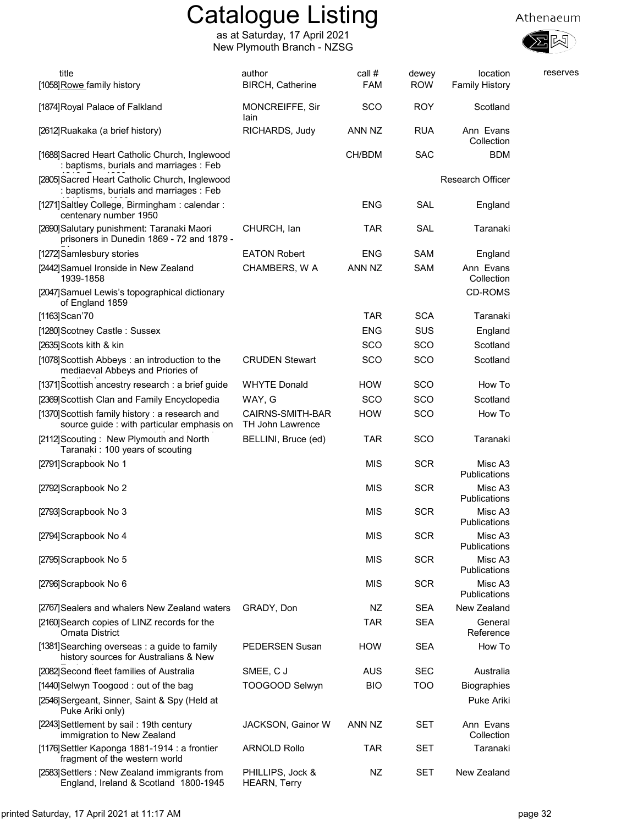

| title<br>[1058] Rowe family history                                                          | author<br><b>BIRCH, Catherine</b>       | call #<br><b>FAM</b> | dewey<br><b>ROW</b> | location<br><b>Family History</b> | reserves |
|----------------------------------------------------------------------------------------------|-----------------------------------------|----------------------|---------------------|-----------------------------------|----------|
| [1874] Royal Palace of Falkland                                                              | MONCREIFFE, Sir<br>lain                 | SCO                  | <b>ROY</b>          | Scotland                          |          |
| [2612]Ruakaka (a brief history)                                                              | RICHARDS, Judy                          | ANN NZ               | <b>RUA</b>          | Ann Evans<br>Collection           |          |
| [1688] Sacred Heart Catholic Church, Inglewood<br>: baptisms, burials and marriages : Feb    |                                         | CH/BDM               | <b>SAC</b>          | <b>BDM</b>                        |          |
| [2805] Sacred Heart Catholic Church, Inglewood<br>: baptisms, burials and marriages : Feb    |                                         |                      |                     | Research Officer                  |          |
| [1271] Saltley College, Birmingham: calendar:<br>centenary number 1950                       |                                         | <b>ENG</b>           | <b>SAL</b>          | England                           |          |
| [2690] Salutary punishment: Taranaki Maori<br>prisoners in Dunedin 1869 - 72 and 1879 -      | CHURCH, lan                             | <b>TAR</b>           | <b>SAL</b>          | Taranaki                          |          |
| [1272] Samlesbury stories                                                                    | <b>EATON Robert</b>                     | <b>ENG</b>           | <b>SAM</b>          | England                           |          |
| [2442] Samuel Ironside in New Zealand<br>1939-1858                                           | CHAMBERS, W A                           | ANN NZ               | <b>SAM</b>          | Ann Evans<br>Collection           |          |
| [2047] Samuel Lewis's topographical dictionary<br>of England 1859                            |                                         |                      |                     | CD-ROMS                           |          |
| [1163] Scan'70                                                                               |                                         | <b>TAR</b>           | <b>SCA</b>          | Taranaki                          |          |
| [1280] Scotney Castle: Sussex                                                                |                                         | <b>ENG</b>           | SUS                 | England                           |          |
| [2635] Scots kith & kin                                                                      |                                         | SCO                  | SCO                 | Scotland                          |          |
| [1078] Scottish Abbeys: an introduction to the<br>mediaeval Abbeys and Priories of           | <b>CRUDEN Stewart</b>                   | <b>SCO</b>           | SCO                 | Scotland                          |          |
| [1371] Scottish ancestry research : a brief guide                                            | <b>WHYTE Donald</b>                     | <b>HOW</b>           | SCO                 | How To                            |          |
| [2369] Scottish Clan and Family Encyclopedia                                                 | WAY, G                                  | SCO                  | SCO                 | Scotland                          |          |
| [1370] Scottish family history: a research and<br>source guide : with particular emphasis on | CAIRNS-SMITH-BAR<br>TH John Lawrence    | <b>HOW</b>           | SCO                 | How To                            |          |
| [2112] Scouting: New Plymouth and North<br>Taranaki: 100 years of scouting                   | BELLINI, Bruce (ed)                     | <b>TAR</b>           | SCO                 | Taranaki                          |          |
| [2791]Scrapbook No 1                                                                         |                                         | <b>MIS</b>           | <b>SCR</b>          | Misc A3<br>Publications           |          |
| [2792] Scrapbook No 2                                                                        |                                         | MIS                  | SCR                 | Misc A3<br>Publications           |          |
| [2793] Scrapbook No 3                                                                        |                                         | <b>MIS</b>           | <b>SCR</b>          | Misc A3<br>Publications           |          |
| [2794] Scrapbook No 4                                                                        |                                         | <b>MIS</b>           | <b>SCR</b>          | Misc A3<br>Publications           |          |
| [2795] Scrapbook No 5                                                                        |                                         | <b>MIS</b>           | <b>SCR</b>          | Misc A3<br>Publications           |          |
| [2796] Scrapbook No 6                                                                        |                                         | <b>MIS</b>           | <b>SCR</b>          | Misc A3<br>Publications           |          |
| [2767] Sealers and whalers New Zealand waters                                                | GRADY, Don                              | NZ                   | <b>SEA</b>          | New Zealand                       |          |
| [2160] Search copies of LINZ records for the<br><b>Omata District</b>                        |                                         | <b>TAR</b>           | <b>SEA</b>          | General<br>Reference              |          |
| [1381] Searching overseas: a guide to family<br>history sources for Australians & New        | <b>PEDERSEN Susan</b>                   | <b>HOW</b>           | <b>SEA</b>          | How To                            |          |
| [2082] Second fleet families of Australia                                                    | SMEE, CJ                                | <b>AUS</b>           | <b>SEC</b>          | Australia                         |          |
| [1440] Selwyn Toogood: out of the bag                                                        | TOOGOOD Selwyn                          | <b>BIO</b>           | <b>TOO</b>          | <b>Biographies</b>                |          |
| [2546] Sergeant, Sinner, Saint & Spy (Held at<br>Puke Ariki only)                            |                                         |                      |                     | Puke Ariki                        |          |
| [2243] Settlement by sail: 19th century<br>immigration to New Zealand                        | JACKSON, Gainor W                       | ANN NZ               | <b>SET</b>          | Ann Evans<br>Collection           |          |
| [1176] Settler Kaponga 1881-1914 : a frontier<br>fragment of the western world               | <b>ARNOLD Rollo</b>                     | <b>TAR</b>           | <b>SET</b>          | Taranaki                          |          |
| [2583] Settlers: New Zealand immigrants from<br>England, Ireland & Scotland 1800-1945        | PHILLIPS, Jock &<br><b>HEARN, Terry</b> | NZ                   | <b>SET</b>          | New Zealand                       |          |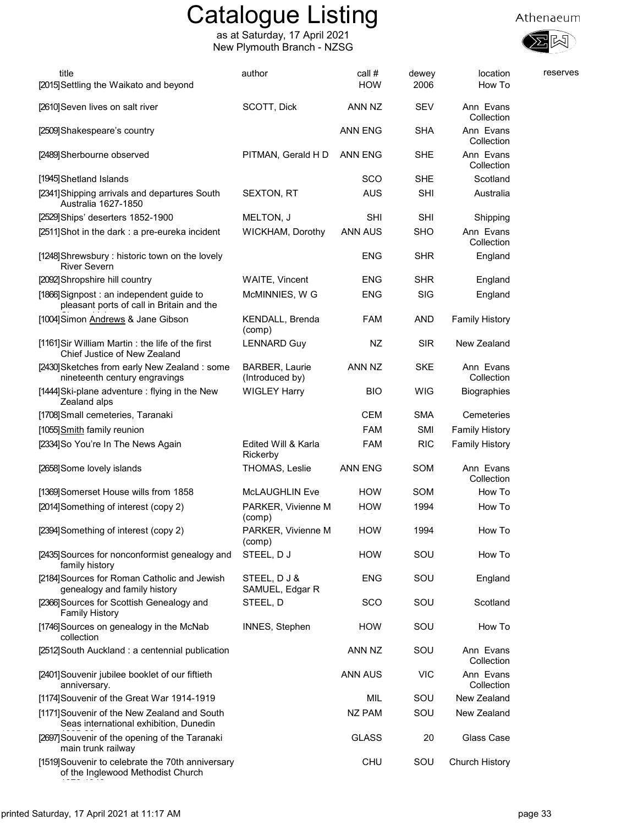as at Saturday, 17 April 2021 New Plymouth Branch - NZSG





| title<br>[2015] Settling the Waikato and beyond                                        | author                                   | call #<br><b>HOW</b> | dewey<br>2006 | location<br>How To      | reserves |
|----------------------------------------------------------------------------------------|------------------------------------------|----------------------|---------------|-------------------------|----------|
| [2610] Seven lives on salt river                                                       | SCOTT, Dick                              | ANN NZ               | <b>SEV</b>    | Ann Evans<br>Collection |          |
| [2509] Shakespeare's country                                                           |                                          | <b>ANN ENG</b>       | <b>SHA</b>    | Ann Evans<br>Collection |          |
| [2489] Sherbourne observed                                                             | PITMAN, Gerald H D                       | <b>ANN ENG</b>       | <b>SHE</b>    | Ann Evans<br>Collection |          |
| [1945] Shetland Islands                                                                |                                          | SCO                  | <b>SHE</b>    | Scotland                |          |
| [2341] Shipping arrivals and departures South<br>Australia 1627-1850                   | SEXTON, RT                               | <b>AUS</b>           | <b>SHI</b>    | Australia               |          |
| [2529] Ships' deserters 1852-1900                                                      | MELTON, J                                | <b>SHI</b>           | <b>SHI</b>    | Shipping                |          |
| [2511] Shot in the dark : a pre-eureka incident                                        | WICKHAM, Dorothy                         | <b>ANN AUS</b>       | <b>SHO</b>    | Ann Evans<br>Collection |          |
| [1248] Shrewsbury: historic town on the lovely<br><b>River Severn</b>                  |                                          | <b>ENG</b>           | <b>SHR</b>    | England                 |          |
| [2092] Shropshire hill country                                                         | <b>WAITE, Vincent</b>                    | <b>ENG</b>           | <b>SHR</b>    | England                 |          |
| [1866] Signpost: an independent guide to<br>pleasant ports of call in Britain and the  | McMINNIES, W G                           | <b>ENG</b>           | SIG           | England                 |          |
| [1004] Simon Andrews & Jane Gibson                                                     | KENDALL, Brenda<br>(comp)                | <b>FAM</b>           | AND           | <b>Family History</b>   |          |
| [1161] Sir William Martin: the life of the first<br>Chief Justice of New Zealand       | <b>LENNARD Guy</b>                       | NZ                   | <b>SIR</b>    | New Zealand             |          |
| [2430] Sketches from early New Zealand: some<br>nineteenth century engravings          | <b>BARBER, Laurie</b><br>(Introduced by) | ANN NZ               | <b>SKE</b>    | Ann Evans<br>Collection |          |
| [1444] Ski-plane adventure : flying in the New<br>Zealand alps                         | <b>WIGLEY Harry</b>                      | <b>BIO</b>           | <b>WIG</b>    | <b>Biographies</b>      |          |
| [1708] Small cemeteries, Taranaki                                                      |                                          | <b>CEM</b>           | <b>SMA</b>    | Cemeteries              |          |
| [1055] Smith family reunion                                                            |                                          | <b>FAM</b>           | SMI           | <b>Family History</b>   |          |
| [2334] So You're In The News Again                                                     | Edited Will & Karla<br>Rickerby          | <b>FAM</b>           | <b>RIC</b>    | <b>Family History</b>   |          |
| [2658] Some lovely islands                                                             | THOMAS, Leslie                           | <b>ANN ENG</b>       | SOM           | Ann Evans<br>Collection |          |
| [1369] Somerset House wills from 1858                                                  | McLAUGHLIN Eve                           | <b>HOW</b>           | SOM           | How To                  |          |
| [2014] Something of interest (copy 2)                                                  | PARKER, Vivienne M<br>(comp)             | <b>HOW</b>           | 1994          | How To                  |          |
| [2394] Something of interest (copy 2)                                                  | PARKER, Vivienne M<br>(comp)             | <b>HOW</b>           | 1994          | How To                  |          |
| [2435] Sources for nonconformist genealogy and<br>family history                       | STEEL, DJ                                | <b>HOW</b>           | SOU           | How To                  |          |
| [2184] Sources for Roman Catholic and Jewish<br>genealogy and family history           | STEEL, DJ&<br>SAMUEL, Edgar R            | ENG                  | SOU           | England                 |          |
| [2366] Sources for Scottish Genealogy and<br><b>Family History</b>                     | STEEL, D                                 | <b>SCO</b>           | SOU           | Scotland                |          |
| [1746] Sources on genealogy in the McNab<br>collection                                 | INNES, Stephen                           | <b>HOW</b>           | SOU           | How To                  |          |
| [2512] South Auckland: a centennial publication                                        |                                          | ANN NZ               | SOU           | Ann Evans<br>Collection |          |
| [2401] Souvenir jubilee booklet of our fiftieth<br>anniversary.                        |                                          | <b>ANN AUS</b>       | <b>VIC</b>    | Ann Evans<br>Collection |          |
| [1174] Souvenir of the Great War 1914-1919                                             |                                          | MIL                  | SOU           | New Zealand             |          |
| [1171] Souvenir of the New Zealand and South<br>Seas international exhibition, Dunedin |                                          | NZ PAM               | SOU           | New Zealand             |          |
| [2697] Souvenir of the opening of the Taranaki<br>main trunk railway                   |                                          | <b>GLASS</b>         | 20            | Glass Case              |          |
| [1519] Souvenir to celebrate the 70th anniversary<br>of the Inglewood Methodist Church |                                          | <b>CHU</b>           | SOU           | Church History          |          |

1876-1946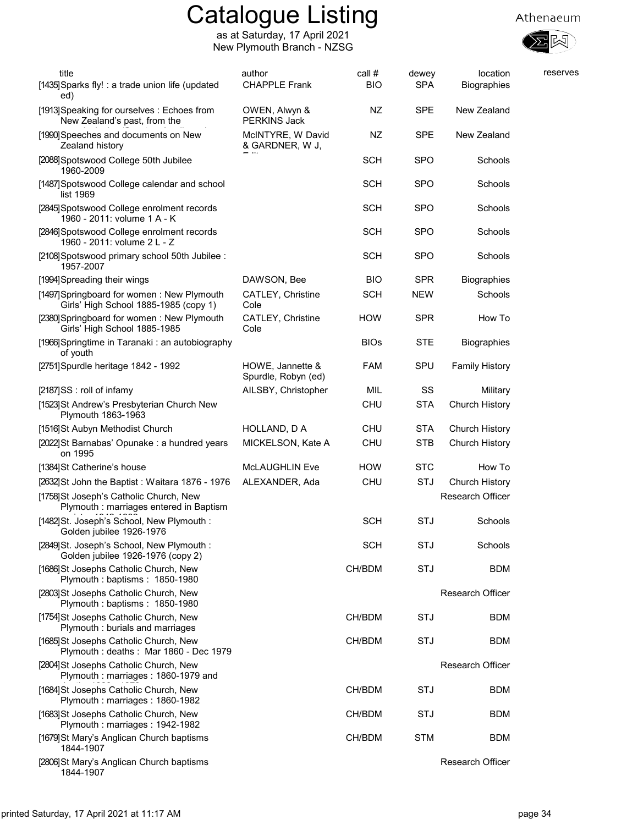

| title<br>[1435] Sparks fly! : a trade union life (updated                           | author<br><b>CHAPPLE Frank</b>          | call #<br><b>BIO</b> | dewey<br><b>SPA</b> | location<br>Biographies | reserves |
|-------------------------------------------------------------------------------------|-----------------------------------------|----------------------|---------------------|-------------------------|----------|
| ed)<br>[1913] Speaking for ourselves: Echoes from<br>New Zealand's past, from the   | OWEN, Alwyn &<br>PERKINS Jack           | NZ                   | <b>SPE</b>          | New Zealand             |          |
| [1990] Speeches and documents on New<br>Zealand history                             | McINTYRE, W David<br>& GARDNER, W J,    | NZ                   | <b>SPE</b>          | New Zealand             |          |
| [2088] Spotswood College 50th Jubilee<br>1960-2009                                  |                                         | <b>SCH</b>           | <b>SPO</b>          | Schools                 |          |
| [1487] Spotswood College calendar and school<br>list 1969                           |                                         | <b>SCH</b>           | <b>SPO</b>          | Schools                 |          |
| [2845] Spotswood College enrolment records<br>1960 - 2011: volume 1 A - K           |                                         | <b>SCH</b>           | <b>SPO</b>          | Schools                 |          |
| [2846] Spotswood College enrolment records<br>1960 - 2011: volume 2 L - Z           |                                         | <b>SCH</b>           | <b>SPO</b>          | Schools                 |          |
| [2108] Spotswood primary school 50th Jubilee:<br>1957-2007                          |                                         | <b>SCH</b>           | <b>SPO</b>          | Schools                 |          |
| [1994] Spreading their wings                                                        | DAWSON, Bee                             | <b>BIO</b>           | <b>SPR</b>          | <b>Biographies</b>      |          |
| [1497] Springboard for women: New Plymouth<br>Girls' High School 1885-1985 (copy 1) | <b>CATLEY, Christine</b><br>Cole        | <b>SCH</b>           | <b>NEW</b>          | Schools                 |          |
| [2380] Springboard for women: New Plymouth<br>Girls' High School 1885-1985          | <b>CATLEY, Christine</b><br>Cole        | <b>HOW</b>           | <b>SPR</b>          | How To                  |          |
| [1966] Springtime in Taranaki: an autobiography<br>of youth                         |                                         | <b>BIOs</b>          | <b>STE</b>          | <b>Biographies</b>      |          |
| [2751] Spurdle heritage 1842 - 1992                                                 | HOWE, Jannette &<br>Spurdle, Robyn (ed) | <b>FAM</b>           | SPU                 | <b>Family History</b>   |          |
| [2187]SS : roll of infamy                                                           | AILSBY, Christopher                     | MIL                  | SS                  | Military                |          |
| [1523] St Andrew's Presbyterian Church New<br>Plymouth 1863-1963                    |                                         | <b>CHU</b>           | <b>STA</b>          | Church History          |          |
| [1516]St Aubyn Methodist Church                                                     | HOLLAND, D A                            | CHU                  | <b>STA</b>          | Church History          |          |
| [2022] St Barnabas' Opunake : a hundred years<br>on 1995                            | MICKELSON, Kate A                       | <b>CHU</b>           | STB                 | Church History          |          |
| [1384] St Catherine's house                                                         | <b>McLAUGHLIN Eve</b>                   | <b>HOW</b>           | <b>STC</b>          | How To                  |          |
| [2632] St John the Baptist: Waitara 1876 - 1976                                     | ALEXANDER, Ada                          | <b>CHU</b>           | STJ                 | Church History          |          |
| [1758] St Joseph's Catholic Church, New<br>Plymouth : marriages entered in Baptism  |                                         |                      |                     | <b>Research Officer</b> |          |
| [1482]St. Joseph's School, New Plymouth :<br>Golden jubilee 1926-1976               |                                         | <b>SCH</b>           | STJ                 | Schools                 |          |
| [2849] St. Joseph's School, New Plymouth:<br>Golden jubilee 1926-1976 (copy 2)      |                                         | <b>SCH</b>           | <b>STJ</b>          | Schools                 |          |
| [1686] St Josephs Catholic Church, New<br>Plymouth: baptisms: 1850-1980             |                                         | CH/BDM               | STJ                 | <b>BDM</b>              |          |
| [2803] St Josephs Catholic Church, New<br>Plymouth: baptisms: 1850-1980             |                                         |                      |                     | <b>Research Officer</b> |          |
| [1754] St Josephs Catholic Church, New<br>Plymouth: burials and marriages           |                                         | CH/BDM               | STJ                 | <b>BDM</b>              |          |
| [1685] St Josephs Catholic Church, New<br>Plymouth: deaths: Mar 1860 - Dec 1979     |                                         | CH/BDM               | STJ                 | <b>BDM</b>              |          |
| [2804] St Josephs Catholic Church, New<br>Plymouth: marriages: 1860-1979 and        |                                         |                      |                     | <b>Research Officer</b> |          |
| [1684] St Josephs Catholic Church, New<br>Plymouth: marriages: 1860-1982            |                                         | CH/BDM               | STJ                 | <b>BDM</b>              |          |
| [1683] St Josephs Catholic Church, New<br>Plymouth: marriages: 1942-1982            |                                         | CH/BDM               | STJ                 | <b>BDM</b>              |          |
| [1679] St Mary's Anglican Church baptisms<br>1844-1907                              |                                         | CH/BDM               | <b>STM</b>          | <b>BDM</b>              |          |
| [2806] St Mary's Anglican Church baptisms<br>1844-1907                              |                                         |                      |                     | Research Officer        |          |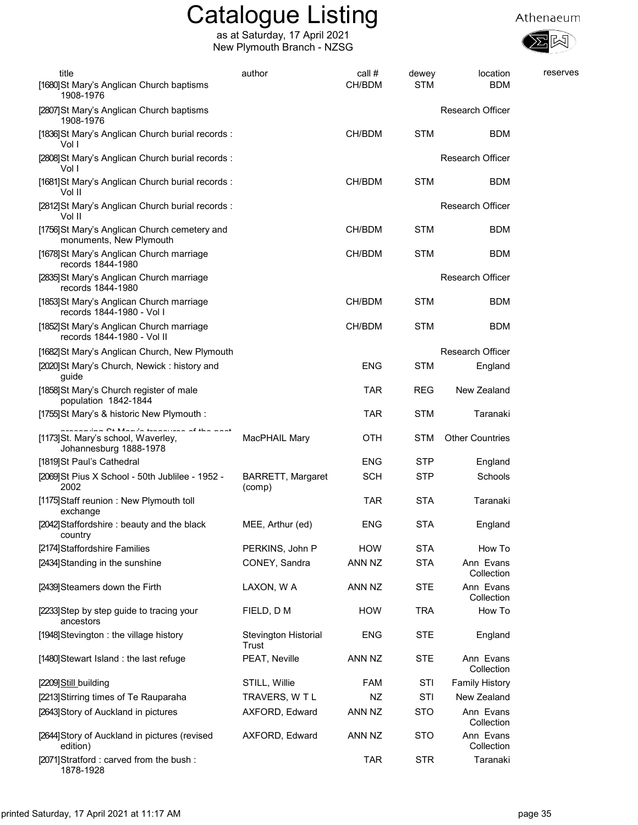

| title                                                                                                       | author                             | call #     | dewey      | location                | reserves |
|-------------------------------------------------------------------------------------------------------------|------------------------------------|------------|------------|-------------------------|----------|
| [1680] St Mary's Anglican Church baptisms<br>1908-1976                                                      |                                    | CH/BDM     | <b>STM</b> | <b>BDM</b>              |          |
| [2807]St Mary's Anglican Church baptisms<br>1908-1976                                                       |                                    |            |            | <b>Research Officer</b> |          |
| [1836] St Mary's Anglican Church burial records :<br>Vol I                                                  |                                    | CH/BDM     | <b>STM</b> | <b>BDM</b>              |          |
| [2808] St Mary's Anglican Church burial records:<br>Vol I                                                   |                                    |            |            | <b>Research Officer</b> |          |
| [1681] St Mary's Anglican Church burial records:<br>Vol II                                                  |                                    | CH/BDM     | <b>STM</b> | <b>BDM</b>              |          |
| [2812] St Mary's Anglican Church burial records:<br>Vol II                                                  |                                    |            |            | <b>Research Officer</b> |          |
| [1756] St Mary's Anglican Church cemetery and<br>monuments, New Plymouth                                    |                                    | CH/BDM     | <b>STM</b> | BDM                     |          |
| [1678] St Mary's Anglican Church marriage<br>records 1844-1980                                              |                                    | CH/BDM     | <b>STM</b> | <b>BDM</b>              |          |
| [2835] St Mary's Anglican Church marriage<br>records 1844-1980                                              |                                    |            |            | <b>Research Officer</b> |          |
| [1853] St Mary's Anglican Church marriage<br>records 1844-1980 - Vol I                                      |                                    | CH/BDM     | <b>STM</b> | <b>BDM</b>              |          |
| [1852] St Mary's Anglican Church marriage<br>records 1844-1980 - Vol II                                     |                                    | CH/BDM     | <b>STM</b> | BDM                     |          |
| [1682] St Mary's Anglican Church, New Plymouth                                                              |                                    |            |            | Research Officer        |          |
| [2020] St Mary's Church, Newick: history and<br>guide                                                       |                                    | <b>ENG</b> | <b>STM</b> | England                 |          |
| [1858] St Mary's Church register of male<br>population 1842-1844                                            |                                    | <b>TAR</b> | <b>REG</b> | New Zealand             |          |
| [1755] St Mary's & historic New Plymouth :                                                                  |                                    | <b>TAR</b> | <b>STM</b> | Taranaki                |          |
| samilian Of Manufactures and a state is set<br>[1173]St. Mary's school, Waverley,<br>Johannesburg 1888-1978 | MacPHAIL Mary                      | OTH        | STM        | <b>Other Countries</b>  |          |
| [1819] St Paul's Cathedral                                                                                  |                                    | <b>ENG</b> | <b>STP</b> | England                 |          |
| [2069] St Pius X School - 50th Jublilee - 1952 -<br>2002                                                    | <b>BARRETT, Margaret</b><br>(comp) | <b>SCH</b> | <b>STP</b> | Schools                 |          |
| [1175] Staff reunion: New Plymouth toll<br>exchange                                                         |                                    | <b>TAR</b> | <b>STA</b> | Taranaki                |          |
| [2042] Staffordshire: beauty and the black<br>country                                                       | MEE, Arthur (ed)                   | <b>ENG</b> | <b>STA</b> | England                 |          |
| [2174] Staffordshire Families                                                                               | PERKINS, John P                    | <b>HOW</b> | <b>STA</b> | How To                  |          |
| [2434] Standing in the sunshine                                                                             | CONEY, Sandra                      | ANN NZ     | <b>STA</b> | Ann Evans<br>Collection |          |
| [2439] Steamers down the Firth                                                                              | LAXON, W A                         | ANN NZ     | <b>STE</b> | Ann Evans<br>Collection |          |
| [2233] Step by step guide to tracing your<br>ancestors                                                      | FIELD, D M                         | <b>HOW</b> | <b>TRA</b> | How To                  |          |
| [1948] Stevington: the village history                                                                      | Stevington Historial<br>Trust      | <b>ENG</b> | <b>STE</b> | England                 |          |
| [1480] Stewart Island: the last refuge                                                                      | PEAT, Neville                      | ANN NZ     | <b>STE</b> | Ann Evans<br>Collection |          |
| [2209] Still_building                                                                                       | STILL, Willie                      | <b>FAM</b> | STI        | <b>Family History</b>   |          |
| [2213] Stirring times of Te Rauparaha                                                                       | TRAVERS, W T L                     | ΝZ         | STI        | New Zealand             |          |
| [2643] Story of Auckland in pictures                                                                        | AXFORD, Edward                     | ANN NZ     | <b>STO</b> | Ann Evans<br>Collection |          |
| [2644] Story of Auckland in pictures (revised<br>edition)                                                   | AXFORD, Edward                     | ANN NZ     | <b>STO</b> | Ann Evans<br>Collection |          |
| [2071] Stratford: carved from the bush:<br>1878-1928                                                        |                                    | <b>TAR</b> | <b>STR</b> | Taranaki                |          |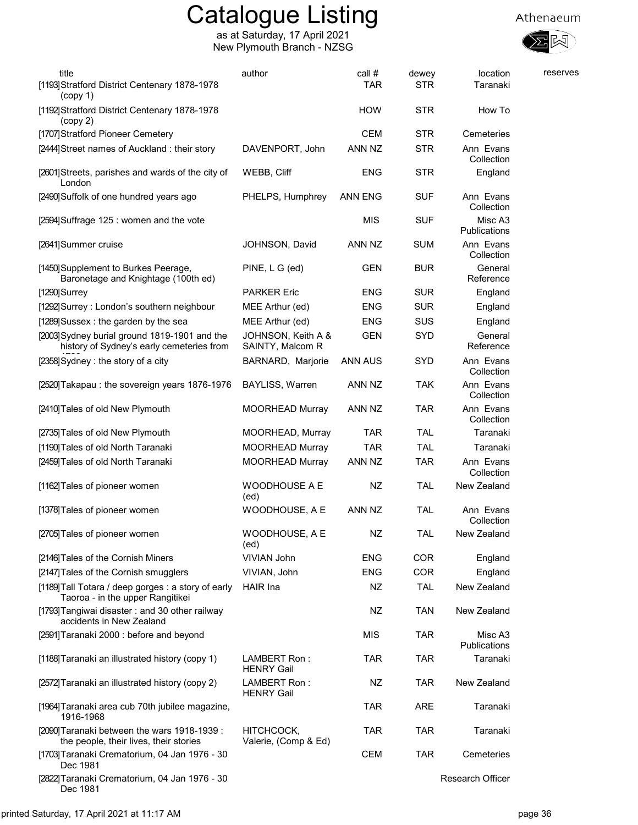



| title<br>[1193] Stratford District Centenary 1878-1978<br>(copy 1)                         | author                                 | call #<br>TAR | dewey<br><b>STR</b> | location<br>Taranaki    | reserves |
|--------------------------------------------------------------------------------------------|----------------------------------------|---------------|---------------------|-------------------------|----------|
| [1192] Stratford District Centenary 1878-1978<br>(copy 2)                                  |                                        | <b>HOW</b>    | <b>STR</b>          | How To                  |          |
| [1707] Stratford Pioneer Cemetery                                                          |                                        | <b>CEM</b>    | <b>STR</b>          | Cemeteries              |          |
| [2444] Street names of Auckland: their story                                               | DAVENPORT, John                        | ANN NZ        | <b>STR</b>          | Ann Evans<br>Collection |          |
| [2601] Streets, parishes and wards of the city of<br>London                                | WEBB, Cliff                            | <b>ENG</b>    | <b>STR</b>          | England                 |          |
| [2490] Suffolk of one hundred years ago                                                    | PHELPS, Humphrey                       | ANN ENG       | <b>SUF</b>          | Ann Evans<br>Collection |          |
| [2594] Suffrage 125 : women and the vote                                                   |                                        | <b>MIS</b>    | <b>SUF</b>          | Misc A3<br>Publications |          |
| [2641] Summer cruise                                                                       | JOHNSON, David                         | ANN NZ        | <b>SUM</b>          | Ann Evans<br>Collection |          |
| [1450] Supplement to Burkes Peerage,<br>Baronetage and Knightage (100th ed)                | PINE, L G (ed)                         | <b>GEN</b>    | <b>BUR</b>          | General<br>Reference    |          |
| [1290]Surrey                                                                               | <b>PARKER Eric</b>                     | <b>ENG</b>    | <b>SUR</b>          | England                 |          |
| [1292] Surrey: London's southern neighbour                                                 | MEE Arthur (ed)                        | <b>ENG</b>    | <b>SUR</b>          | England                 |          |
| [1289] Sussex : the garden by the sea                                                      | MEE Arthur (ed)                        | <b>ENG</b>    | SUS                 | England                 |          |
| [2003] Sydney burial ground 1819-1901 and the<br>history of Sydney's early cemeteries from | JOHNSON, Keith A &<br>SAINTY, Malcom R | <b>GEN</b>    | <b>SYD</b>          | General<br>Reference    |          |
| [2358] Sydney: the story of a city                                                         | BARNARD, Marjorie                      | ANN AUS       | <b>SYD</b>          | Ann Evans<br>Collection |          |
| [2520] Takapau: the sovereign years 1876-1976                                              | <b>BAYLISS, Warren</b>                 | ANN NZ        | <b>TAK</b>          | Ann Evans<br>Collection |          |
| [2410] Tales of old New Plymouth                                                           | <b>MOORHEAD Murray</b>                 | ANN NZ        | <b>TAR</b>          | Ann Evans<br>Collection |          |
| [2735] Tales of old New Plymouth                                                           | MOORHEAD, Murray                       | <b>TAR</b>    | <b>TAL</b>          | Taranaki                |          |
| [1190] Tales of old North Taranaki                                                         | <b>MOORHEAD Murray</b>                 | <b>TAR</b>    | <b>TAL</b>          | Taranaki                |          |
| [2459] Tales of old North Taranaki                                                         | <b>MOORHEAD Murray</b>                 | ANN NZ        | <b>TAR</b>          | Ann Evans<br>Collection |          |
| [1162] Tales of pioneer women                                                              | <b>WOODHOUSE A E</b><br>(ed)           | NZ            | <b>TAL</b>          | New Zealand             |          |
| [1378] Tales of pioneer women                                                              | WOODHOUSE, A E                         | ANN NZ        | <b>TAL</b>          | Ann Evans<br>Collection |          |
| [2705] Tales of pioneer women                                                              | WOODHOUSE, A E<br>(ed)                 | <b>NZ</b>     | TAL                 | New Zealand             |          |
| [2146] Tales of the Cornish Miners                                                         | <b>VIVIAN John</b>                     | <b>ENG</b>    | <b>COR</b>          | England                 |          |
| [2147] Tales of the Cornish smugglers                                                      | VIVIAN, John                           | <b>ENG</b>    | COR                 | England                 |          |
| [1189] Tall Totara / deep gorges : a story of early<br>Taoroa - in the upper Rangitikei    | <b>HAIR</b> Ina                        | NZ            | <b>TAL</b>          | New Zealand             |          |
| [1793] Tangiwai disaster: and 30 other railway<br>accidents in New Zealand                 |                                        | NZ            | <b>TAN</b>          | New Zealand             |          |
| [2591] Taranaki 2000 : before and beyond                                                   |                                        | <b>MIS</b>    | <b>TAR</b>          | Misc A3<br>Publications |          |
| [1188] Taranaki an illustrated history (copy 1)                                            | LAMBERT Ron:<br><b>HENRY Gail</b>      | <b>TAR</b>    | <b>TAR</b>          | Taranaki                |          |
| [2572] Taranaki an illustrated history (copy 2)                                            | LAMBERT Ron:<br><b>HENRY Gail</b>      | NZ            | <b>TAR</b>          | New Zealand             |          |
| [1964] Taranaki area cub 70th jubilee magazine,<br>1916-1968                               |                                        | <b>TAR</b>    | <b>ARE</b>          | Taranaki                |          |
| [2090] Taranaki between the wars 1918-1939 :<br>the people, their lives, their stories     | HITCHCOCK,<br>Valerie, (Comp & Ed)     | <b>TAR</b>    | <b>TAR</b>          | Taranaki                |          |
| [1703] Taranaki Crematorium, 04 Jan 1976 - 30<br>Dec 1981                                  |                                        | <b>CEM</b>    | <b>TAR</b>          | Cemeteries              |          |
| [2822] Taranaki Crematorium, 04 Jan 1976 - 30<br>Dec 1981                                  |                                        |               |                     | Research Officer        |          |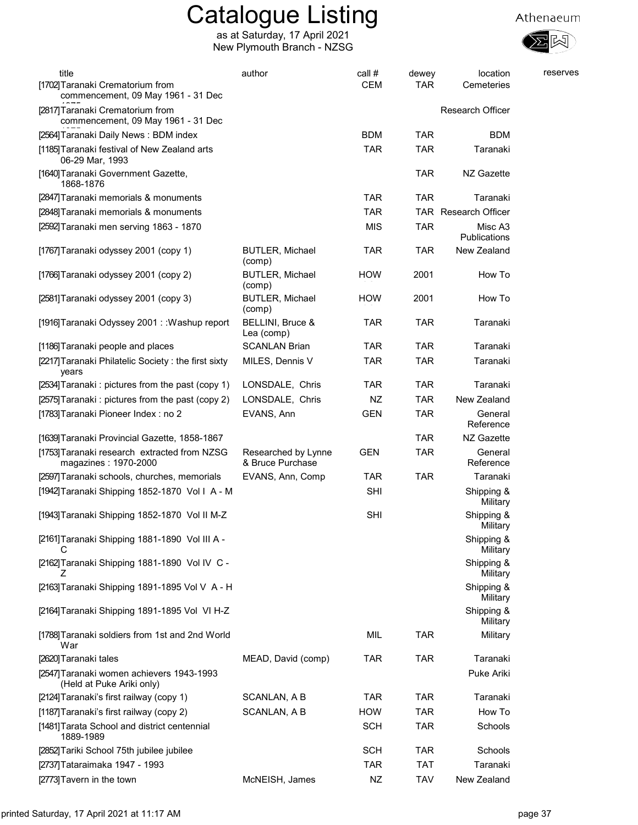

| title<br>[1702] Taranaki Crematorium from                                                                    | author                                  | call #<br><b>CEM</b> | dewey<br><b>TAR</b> | location<br>Cemeteries         | reserves |
|--------------------------------------------------------------------------------------------------------------|-----------------------------------------|----------------------|---------------------|--------------------------------|----------|
| commencement, 09 May 1961 - 31 Dec<br>[2817] Taranaki Crematorium from<br>commencement, 09 May 1961 - 31 Dec |                                         |                      |                     | <b>Research Officer</b>        |          |
| [2564] Taranaki Daily News: BDM index                                                                        |                                         | <b>BDM</b>           | <b>TAR</b>          | <b>BDM</b>                     |          |
| [1185] Taranaki festival of New Zealand arts<br>06-29 Mar, 1993                                              |                                         | <b>TAR</b>           | <b>TAR</b>          | Taranaki                       |          |
| [1640] Taranaki Government Gazette,<br>1868-1876                                                             |                                         |                      | <b>TAR</b>          | NZ Gazette                     |          |
| [2847] Taranaki memorials & monuments                                                                        |                                         | <b>TAR</b>           | <b>TAR</b>          | Taranaki                       |          |
| [2848] Taranaki memorials & monuments                                                                        |                                         | <b>TAR</b>           |                     | TAR Research Officer           |          |
| [2592] Taranaki men serving 1863 - 1870                                                                      |                                         | <b>MIS</b>           | <b>TAR</b>          | Misc A3<br><b>Publications</b> |          |
| [1767] Taranaki odyssey 2001 (copy 1)                                                                        | <b>BUTLER, Michael</b><br>(comp)        | <b>TAR</b>           | <b>TAR</b>          | New Zealand                    |          |
| [1766] Taranaki odyssey 2001 (copy 2)                                                                        | <b>BUTLER, Michael</b><br>(comp)        | <b>HOW</b>           | 2001                | How To                         |          |
| [2581] Taranaki odyssey 2001 (copy 3)                                                                        | <b>BUTLER, Michael</b><br>(comp)        | <b>HOW</b>           | 2001                | How To                         |          |
| [1916] Taranaki Odyssey 2001: : Washup report                                                                | BELLINI, Bruce &<br>Lea (comp)          | <b>TAR</b>           | <b>TAR</b>          | Taranaki                       |          |
| [1186] Taranaki people and places                                                                            | <b>SCANLAN Brian</b>                    | <b>TAR</b>           | <b>TAR</b>          | Taranaki                       |          |
| [2217] Taranaki Philatelic Society: the first sixty<br>years                                                 | MILES, Dennis V                         | <b>TAR</b>           | <b>TAR</b>          | Taranaki                       |          |
| [2534] Taranaki: pictures from the past (copy 1)                                                             | LONSDALE, Chris                         | <b>TAR</b>           | <b>TAR</b>          | Taranaki                       |          |
| [2575] Taranaki: pictures from the past (copy 2)                                                             | LONSDALE, Chris                         | NZ                   | <b>TAR</b>          | New Zealand                    |          |
| [1783] Taranaki Pioneer Index: no 2                                                                          | EVANS, Ann                              | <b>GEN</b>           | <b>TAR</b>          | General<br>Reference           |          |
| [1639] Taranaki Provincial Gazette, 1858-1867                                                                |                                         |                      | <b>TAR</b>          | NZ Gazette                     |          |
| [1753] Taranaki research extracted from NZSG<br>magazines: 1970-2000                                         | Researched by Lynne<br>& Bruce Purchase | <b>GEN</b>           | <b>TAR</b>          | General<br>Reference           |          |
| [2597] Taranaki schools, churches, memorials                                                                 | EVANS, Ann, Comp                        | <b>TAR</b>           | <b>TAR</b>          | Taranaki                       |          |
| [1942] Taranaki Shipping 1852-1870 Vol I A - M                                                               |                                         | <b>SHI</b>           |                     | Shipping &<br>Military         |          |
| [1943] Taranaki Shipping 1852-1870 Vol II M-Z                                                                |                                         | <b>SHI</b>           |                     | Shipping &<br>Military         |          |
| [2161] Taranaki Shipping 1881-1890 Vol III A -<br>С                                                          |                                         |                      |                     | Shipping &<br>Military         |          |
| [2162] Taranaki Shipping 1881-1890 Vol IV C -<br>∠                                                           |                                         |                      |                     | Shipping &<br>Military         |          |
| [2163] Taranaki Shipping 1891-1895 Vol V A - H                                                               |                                         |                      |                     | Shipping &<br>Military         |          |
| [2164] Taranaki Shipping 1891-1895 Vol VI H-Z                                                                |                                         |                      |                     | Shipping &<br>Military         |          |
| [1788] Taranaki soldiers from 1st and 2nd World<br>War                                                       |                                         | MIL                  | <b>TAR</b>          | Military                       |          |
| [2620] Taranaki tales                                                                                        | MEAD, David (comp)                      | <b>TAR</b>           | TAR                 | Taranaki                       |          |
| [2547] Taranaki women achievers 1943-1993<br>(Held at Puke Ariki only)                                       |                                         |                      |                     | Puke Ariki                     |          |
| [2124] Taranaki's first railway (copy 1)                                                                     | SCANLAN, A B                            | <b>TAR</b>           | <b>TAR</b>          | Taranaki                       |          |
| [1187] Taranaki's first railway (copy 2)                                                                     | SCANLAN, A B                            | <b>HOW</b>           | <b>TAR</b>          | How To                         |          |
| [1481] Tarata School and district centennial<br>1889-1989                                                    |                                         | <b>SCH</b>           | <b>TAR</b>          | Schools                        |          |
| [2852] Tariki School 75th jubilee jubilee                                                                    |                                         | <b>SCH</b>           | TAR                 | Schools                        |          |
| [2737] Tataraimaka 1947 - 1993                                                                               |                                         | <b>TAR</b>           | <b>TAT</b>          | Taranaki                       |          |
| [2773] Tavern in the town                                                                                    | McNEISH, James                          | NZ                   | <b>TAV</b>          | New Zealand                    |          |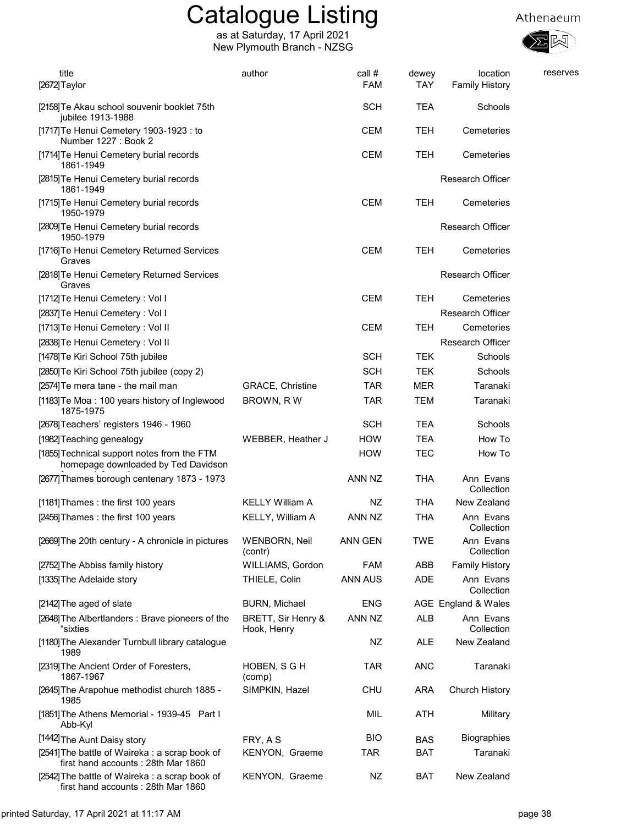



| title<br>[2672] Taylor                                                               | author                            | call #<br>FAM  | dewey<br><b>TAY</b> | location<br><b>Family History</b> | reserves |
|--------------------------------------------------------------------------------------|-----------------------------------|----------------|---------------------|-----------------------------------|----------|
| [2158] Te Akau school souvenir booklet 75th<br>jubilee 1913-1988                     |                                   | <b>SCH</b>     | <b>TEA</b>          | Schools                           |          |
| [1717] Te Henui Cemetery 1903-1923 : to<br>Number 1227 : Book 2                      |                                   | <b>CEM</b>     | TEH                 | Cemeteries                        |          |
| [1714] Te Henui Cemetery burial records<br>1861-1949                                 |                                   | <b>CEM</b>     | <b>TEH</b>          | Cemeteries                        |          |
| [2815] Te Henui Cemetery burial records<br>1861-1949                                 |                                   |                |                     | <b>Research Officer</b>           |          |
| [1715] Te Henui Cemetery burial records<br>1950-1979                                 |                                   | <b>CEM</b>     | TEH                 | Cemeteries                        |          |
| [2809] Te Henui Cemetery burial records<br>1950-1979                                 |                                   |                |                     | <b>Research Officer</b>           |          |
| [1716] Te Henui Cemetery Returned Services<br>Graves                                 |                                   | <b>CEM</b>     | TEH                 | Cemeteries                        |          |
| [2818] Te Henui Cemetery Returned Services<br>Graves                                 |                                   |                |                     | <b>Research Officer</b>           |          |
| [1712] Te Henui Cemetery: Vol I                                                      |                                   | <b>CEM</b>     | <b>TEH</b>          | Cemeteries                        |          |
| [2837] Te Henui Cemetery: Vol I                                                      |                                   |                |                     | <b>Research Officer</b>           |          |
| [1713] Te Henui Cemetery: Vol II                                                     |                                   | <b>CEM</b>     | TEH                 | Cemeteries                        |          |
| [2838] Te Henui Cemetery: Vol II                                                     |                                   |                |                     | Research Officer                  |          |
| [1478] Te Kiri School 75th jubilee                                                   |                                   | <b>SCH</b>     | <b>TEK</b>          | Schools                           |          |
| [2850] Te Kiri School 75th jubilee (copy 2)                                          |                                   | <b>SCH</b>     | <b>TEK</b>          | Schools                           |          |
| [2574] Te mera tane - the mail man                                                   | <b>GRACE, Christine</b>           | <b>TAR</b>     | <b>MER</b>          | Taranaki                          |          |
| [1183] Te Moa: 100 years history of Inglewood<br>1875-1975                           | BROWN, RW                         | <b>TAR</b>     | <b>TEM</b>          | Taranaki                          |          |
| [2678] Teachers' registers 1946 - 1960                                               |                                   | <b>SCH</b>     | <b>TEA</b>          | Schools                           |          |
| [1982] Teaching genealogy                                                            | WEBBER, Heather J                 | <b>HOW</b>     | <b>TEA</b>          | How To                            |          |
| [1855] Technical support notes from the FTM<br>homepage downloaded by Ted Davidson   |                                   | <b>HOW</b>     | TEC                 | How To                            |          |
| [2677] Thames borough centenary 1873 - 1973                                          |                                   | ANN NZ         | THA                 | Ann Evans<br>Collection           |          |
| [1181] Thames : the first 100 years                                                  | <b>KELLY William A</b>            | NZ             | THA                 | New Zealand                       |          |
| [2456] Thames: the first 100 years                                                   | <b>KELLY, William A</b>           | ANN NZ         | <b>THA</b>          | Ann Evans<br>Collection           |          |
| [2669] The 20th century - A chronicle in pictures                                    | <b>WENBORN, Neil</b><br>(contr)   | ANN GEN        | TWE                 | Ann Evans<br>Collection           |          |
| [2752] The Abbiss family history                                                     | WILLIAMS, Gordon                  | <b>FAM</b>     | ABB                 | <b>Family History</b>             |          |
| [1335] The Adelaide story                                                            | THIELE, Colin                     | <b>ANN AUS</b> | <b>ADE</b>          | Ann Evans<br>Collection           |          |
| [2142] The aged of slate                                                             | <b>BURN, Michael</b>              | <b>ENG</b>     |                     | AGE England & Wales               |          |
| [2648] The Albertlanders: Brave pioneers of the<br>"sixties                          | BRETT, Sir Henry &<br>Hook, Henry | ANN NZ         | <b>ALB</b>          | Ann Evans<br>Collection           |          |
| [1180] The Alexander Turnbull library catalogue<br>1989                              |                                   | <b>NZ</b>      | <b>ALE</b>          | New Zealand                       |          |
| [2319] The Ancient Order of Foresters,<br>1867-1967                                  | HOBEN, S G H<br>(comp)            | <b>TAR</b>     | <b>ANC</b>          | Taranaki                          |          |
| [2645] The Arapohue methodist church 1885 -<br>1985                                  | SIMPKIN, Hazel                    | <b>CHU</b>     | <b>ARA</b>          | Church History                    |          |
| [1851] The Athens Memorial - 1939-45 Part I<br>Abb-Kyl                               |                                   | MIL            | ATH                 | Military                          |          |
| [1442] The Aunt Daisy story                                                          | FRY, A S                          | <b>BIO</b>     | <b>BAS</b>          | <b>Biographies</b>                |          |
| [2541] The battle of Waireka : a scrap book of<br>first hand accounts: 28th Mar 1860 | KENYON, Graeme                    | TAR            | BAT                 | Taranaki                          |          |
| [2542] The battle of Waireka: a scrap book of<br>first hand accounts: 28th Mar 1860  | KENYON, Graeme                    | NZ             | <b>BAT</b>          | New Zealand                       |          |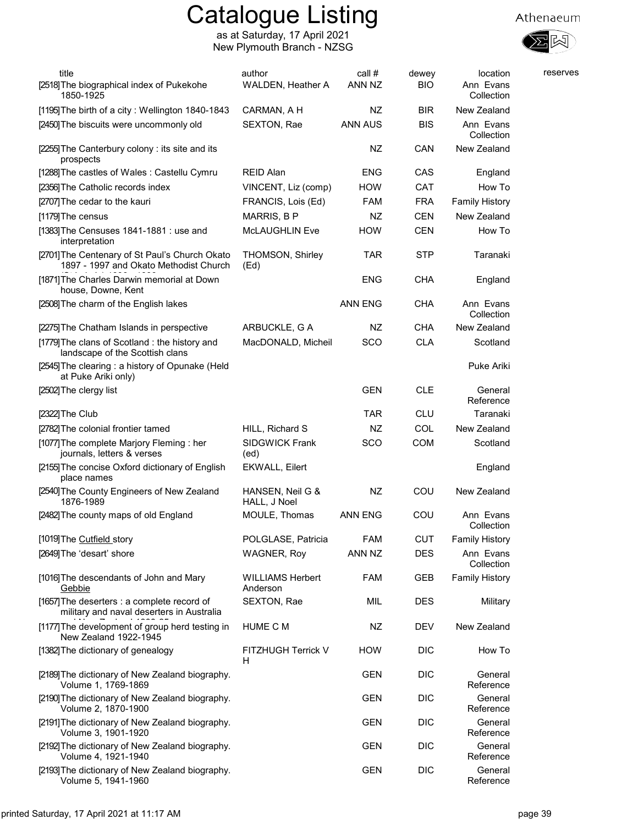

| title<br>[2518] The biographical index of Pukekohe<br>1850-1925                          | author<br>WALDEN, Heather A         | call $#$<br>ANN NZ | dewey<br><b>BIO</b> | location<br>Ann Evans<br>Collection | reserves |
|------------------------------------------------------------------------------------------|-------------------------------------|--------------------|---------------------|-------------------------------------|----------|
| [1195] The birth of a city: Wellington 1840-1843                                         | CARMAN, A H                         | NZ.                | <b>BIR</b>          | New Zealand                         |          |
| [2450] The biscuits were uncommonly old                                                  | SEXTON, Rae                         | <b>ANN AUS</b>     | <b>BIS</b>          | Ann Evans<br>Collection             |          |
| [2255] The Canterbury colony: its site and its<br>prospects                              |                                     | NZ                 | CAN                 | New Zealand                         |          |
| [1288] The castles of Wales: Castellu Cymru                                              | <b>REID Alan</b>                    | <b>ENG</b>         | CAS                 | England                             |          |
| [2356] The Catholic records index                                                        | VINCENT, Liz (comp)                 | <b>HOW</b>         | CAT                 | How To                              |          |
| [2707] The cedar to the kauri                                                            | FRANCIS, Lois (Ed)                  | FAM                | <b>FRA</b>          | <b>Family History</b>               |          |
| [1179] The census                                                                        | MARRIS, B P                         | NZ                 | <b>CEN</b>          | New Zealand                         |          |
| [1383] The Censuses 1841-1881 : use and<br>interpretation                                | <b>McLAUGHLIN Eve</b>               | <b>HOW</b>         | <b>CEN</b>          | How To                              |          |
| [2701] The Centenary of St Paul's Church Okato<br>1897 - 1997 and Okato Methodist Church | THOMSON, Shirley<br>(Ed)            | <b>TAR</b>         | <b>STP</b>          | Taranaki                            |          |
| [1871] The Charles Darwin memorial at Down<br>house, Downe, Kent                         |                                     | ENG                | <b>CHA</b>          | England                             |          |
| [2508] The charm of the English lakes                                                    |                                     | <b>ANN ENG</b>     | <b>CHA</b>          | Ann Evans<br>Collection             |          |
| [2275] The Chatham Islands in perspective                                                | ARBUCKLE, G A                       | NZ                 | <b>CHA</b>          | New Zealand                         |          |
| [1779] The clans of Scotland : the history and<br>landscape of the Scottish clans        | MacDONALD, Micheil                  | SCO                | <b>CLA</b>          | Scotland                            |          |
| [2545] The clearing : a history of Opunake (Held<br>at Puke Ariki only)                  |                                     |                    |                     | Puke Ariki                          |          |
| [2502] The clergy list                                                                   |                                     | <b>GEN</b>         | <b>CLE</b>          | General<br>Reference                |          |
| [2322]The Club                                                                           |                                     | <b>TAR</b>         | <b>CLU</b>          | Taranaki                            |          |
| [2782] The colonial frontier tamed                                                       | HILL, Richard S                     | NZ                 | COL                 | New Zealand                         |          |
| [1077] The complete Marjory Fleming : her<br>journals, letters & verses                  | <b>SIDGWICK Frank</b><br>(ed)       | SCO                | <b>COM</b>          | Scotland                            |          |
| [2155] The concise Oxford dictionary of English<br>place names                           | <b>EKWALL, Eilert</b>               |                    |                     | England                             |          |
| [2540] The County Engineers of New Zealand<br>1876-1989                                  | HANSEN, Neil G &<br>HALL, J Noel    | NZ                 | COU                 | New Zealand                         |          |
| [2482] The county maps of old England                                                    | MOULE, Thomas                       | <b>ANN ENG</b>     | COU                 | Ann Evans<br>Collection             |          |
| [1019] The Cutfield story                                                                | POLGLASE, Patricia                  | <b>FAM</b>         | <b>CUT</b>          | <b>Family History</b>               |          |
| [2649] The 'desart' shore                                                                | <b>WAGNER, Roy</b>                  | ANN NZ             | <b>DES</b>          | Ann Evans<br>Collection             |          |
| [1016] The descendants of John and Mary<br>Gebbie                                        | <b>WILLIAMS Herbert</b><br>Anderson | <b>FAM</b>         | GEB                 | <b>Family History</b>               |          |
| [1657] The deserters : a complete record of<br>military and naval deserters in Australia | SEXTON, Rae                         | MIL                | <b>DES</b>          | Military                            |          |
| [1177] The development of group herd testing in<br>New Zealand 1922-1945                 | HUME C M                            | NZ                 | <b>DEV</b>          | New Zealand                         |          |
| [1382] The dictionary of genealogy                                                       | FITZHUGH Terrick V<br>H             | <b>HOW</b>         | <b>DIC</b>          | How To                              |          |
| [2189] The dictionary of New Zealand biography.<br>Volume 1, 1769-1869                   |                                     | GEN                | <b>DIC</b>          | General<br>Reference                |          |
| [2190] The dictionary of New Zealand biography.<br>Volume 2, 1870-1900                   |                                     | <b>GEN</b>         | <b>DIC</b>          | General<br>Reference                |          |
| [2191] The dictionary of New Zealand biography.<br>Volume 3, 1901-1920                   |                                     | <b>GEN</b>         | <b>DIC</b>          | General<br>Reference                |          |
| [2192] The dictionary of New Zealand biography.<br>Volume 4, 1921-1940                   |                                     | GEN                | <b>DIC</b>          | General<br>Reference                |          |
| [2193] The dictionary of New Zealand biography.<br>Volume 5, 1941-1960                   |                                     | <b>GEN</b>         | <b>DIC</b>          | General<br>Reference                |          |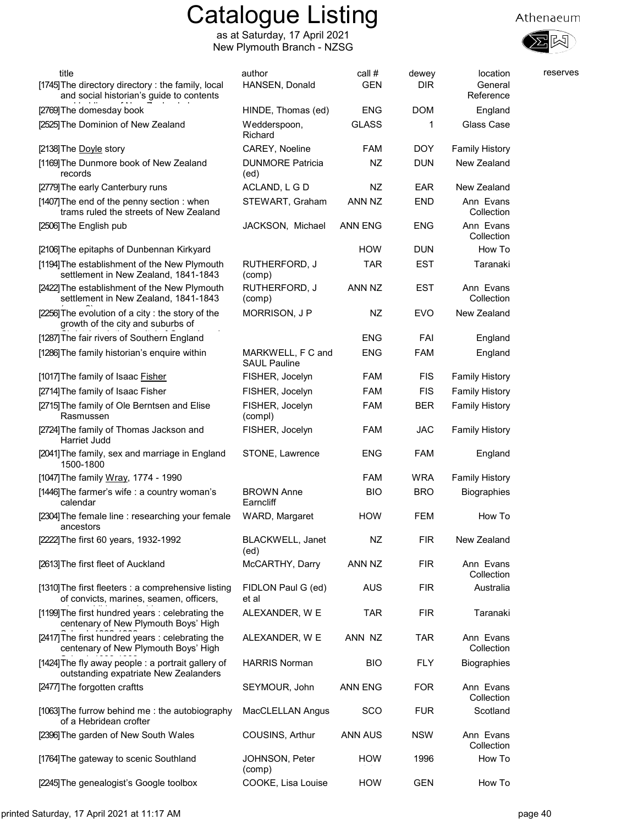

| title<br>[1745] The directory directory : the family, local<br>and social historian's guide to contents | author<br>HANSEN, Donald                 | call #<br><b>GEN</b> | dewey<br><b>DIR</b> | location<br>General<br>Reference | reserves |
|---------------------------------------------------------------------------------------------------------|------------------------------------------|----------------------|---------------------|----------------------------------|----------|
| [2769] The domesday book                                                                                | HINDE, Thomas (ed)                       | <b>ENG</b>           | <b>DOM</b>          | England                          |          |
| [2525] The Dominion of New Zealand                                                                      | Wedderspoon,<br>Richard                  | <b>GLASS</b>         | 1                   | Glass Case                       |          |
| [2138] The Doyle story                                                                                  | CAREY, Noeline                           | <b>FAM</b>           | <b>DOY</b>          | <b>Family History</b>            |          |
| [1169] The Dunmore book of New Zealand<br>records                                                       | <b>DUNMORE Patricia</b><br>(ed)          | NZ                   | <b>DUN</b>          | New Zealand                      |          |
| [2779] The early Canterbury runs                                                                        | ACLAND, L G D                            | NZ.                  | <b>EAR</b>          | New Zealand                      |          |
| [1407] The end of the penny section: when<br>trams ruled the streets of New Zealand                     | STEWART, Graham                          | ANN NZ               | <b>END</b>          | Ann Evans<br>Collection          |          |
| [2506] The English pub                                                                                  | JACKSON, Michael                         | ANN ENG              | <b>ENG</b>          | Ann Evans<br>Collection          |          |
| [2106] The epitaphs of Dunbennan Kirkyard                                                               |                                          | <b>HOW</b>           | <b>DUN</b>          | How To                           |          |
| [1194] The establishment of the New Plymouth<br>settlement in New Zealand, 1841-1843                    | RUTHERFORD, J<br>(comp)                  | <b>TAR</b>           | <b>EST</b>          | Taranaki                         |          |
| [2422] The establishment of the New Plymouth<br>settlement in New Zealand, 1841-1843                    | RUTHERFORD, J<br>(comp)                  | ANN NZ               | <b>EST</b>          | Ann Evans<br>Collection          |          |
| [2256] The evolution of a city: the story of the<br>growth of the city and suburbs of                   | MORRISON, J P                            | NZ                   | <b>EVO</b>          | New Zealand                      |          |
| [1287] The fair rivers of Southern England                                                              |                                          | <b>ENG</b>           | FAI                 | England                          |          |
| [1286] The family historian's enquire within                                                            | MARKWELL, F C and<br><b>SAUL Pauline</b> | <b>ENG</b>           | <b>FAM</b>          | England                          |          |
| [1017] The family of Isaac Fisher                                                                       | FISHER, Jocelyn                          | <b>FAM</b>           | <b>FIS</b>          | <b>Family History</b>            |          |
| [2714] The family of Isaac Fisher                                                                       | FISHER, Jocelyn                          | <b>FAM</b>           | <b>FIS</b>          | <b>Family History</b>            |          |
| [2715] The family of Ole Berntsen and Elise<br>Rasmussen                                                | FISHER, Jocelyn<br>(compl)               | <b>FAM</b>           | <b>BER</b>          | <b>Family History</b>            |          |
| [2724] The family of Thomas Jackson and<br>Harriet Judd                                                 | FISHER, Jocelyn                          | <b>FAM</b>           | <b>JAC</b>          | <b>Family History</b>            |          |
| [2041] The family, sex and marriage in England<br>1500-1800                                             | STONE, Lawrence                          | <b>ENG</b>           | <b>FAM</b>          | England                          |          |
| [1047] The family Wray, 1774 - 1990                                                                     |                                          | <b>FAM</b>           | <b>WRA</b>          | <b>Family History</b>            |          |
| [1446] The farmer's wife : a country woman's<br>calendar                                                | <b>BROWN Anne</b><br>Earncliff           | <b>BIO</b>           | <b>BRO</b>          | <b>Biographies</b>               |          |
| [2304] The female line : researching your female<br>ancestors                                           | WARD, Margaret                           | <b>HOW</b>           | <b>FEM</b>          | How To                           |          |
| [2222] The first 60 years, 1932-1992                                                                    | <b>BLACKWELL, Janet</b><br>(ed)          | NZ                   | <b>FIR</b>          | New Zealand                      |          |
| [2613] The first fleet of Auckland                                                                      | McCARTHY, Darry                          | ANN NZ               | <b>FIR</b>          | Ann Evans<br>Collection          |          |
| [1310] The first fleeters : a comprehensive listing<br>of convicts, marines, seamen, officers,          | FIDLON Paul G (ed)<br>et al              | <b>AUS</b>           | <b>FIR</b>          | Australia                        |          |
| [1199] The first hundred years: celebrating the<br>centenary of New Plymouth Boys' High                 | ALEXANDER, W E                           | <b>TAR</b>           | <b>FIR</b>          | Taranaki                         |          |
| [2417] The first hundred years: celebrating the<br>centenary of New Plymouth Boys' High                 | ALEXANDER, W E                           | ANN NZ               | <b>TAR</b>          | Ann Evans<br>Collection          |          |
| [1424] The fly away people : a portrait gallery of<br>outstanding expatriate New Zealanders             | <b>HARRIS Norman</b>                     | <b>BIO</b>           | <b>FLY</b>          | <b>Biographies</b>               |          |
| [2477] The forgotten craftts                                                                            | SEYMOUR, John                            | <b>ANN ENG</b>       | <b>FOR</b>          | Ann Evans<br>Collection          |          |
| [1063] The furrow behind me: the autobiography<br>of a Hebridean crofter                                | MacCLELLAN Angus                         | <b>SCO</b>           | <b>FUR</b>          | Scotland                         |          |
| [2396] The garden of New South Wales                                                                    | COUSINS, Arthur                          | <b>ANN AUS</b>       | <b>NSW</b>          | Ann Evans<br>Collection          |          |
| [1764] The gateway to scenic Southland                                                                  | JOHNSON, Peter<br>(comp)                 | <b>HOW</b>           | 1996                | How To                           |          |
| [2245] The genealogist's Google toolbox                                                                 | COOKE, Lisa Louise                       | HOW                  | <b>GEN</b>          | How To                           |          |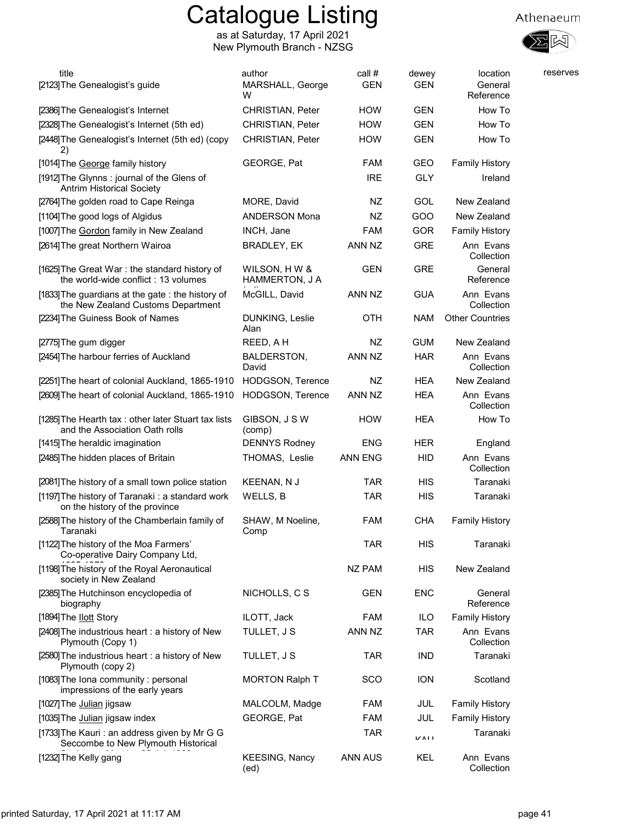

| title<br>[2123] The Genealogist's guide                                                | author<br>MARSHALL, George<br>w | call #<br><b>GEN</b> | dewey<br><b>GEN</b> | location<br>General<br>Reference | reserves |
|----------------------------------------------------------------------------------------|---------------------------------|----------------------|---------------------|----------------------------------|----------|
| [2386] The Genealogist's Internet                                                      | <b>CHRISTIAN, Peter</b>         | <b>HOW</b>           | <b>GEN</b>          | How To                           |          |
| [2328] The Genealogist's Internet (5th ed)                                             | <b>CHRISTIAN, Peter</b>         | <b>HOW</b>           | <b>GEN</b>          | How To                           |          |
| [2448] The Genealogist's Internet (5th ed) (copy<br>2)                                 | CHRISTIAN, Peter                | <b>HOW</b>           | <b>GEN</b>          | How To                           |          |
| [1014] The George family history                                                       | GEORGE, Pat                     | <b>FAM</b>           | GEO                 | <b>Family History</b>            |          |
| [1912] The Glynns: journal of the Glens of<br><b>Antrim Historical Society</b>         |                                 | <b>IRE</b>           | <b>GLY</b>          | Ireland                          |          |
| [2764] The golden road to Cape Reinga                                                  | MORE, David                     | NZ                   | <b>GOL</b>          | New Zealand                      |          |
| [1104] The good logs of Algidus                                                        | <b>ANDERSON Mona</b>            | NZ                   | GOO                 | New Zealand                      |          |
| [1007] The Gordon family in New Zealand                                                | INCH, Jane                      | FAM                  | GOR                 | <b>Family History</b>            |          |
| [2614] The great Northern Wairoa                                                       | <b>BRADLEY, EK</b>              | ANN NZ               | <b>GRE</b>          | Ann Evans<br>Collection          |          |
| [1625] The Great War: the standard history of<br>the world-wide conflict: 13 volumes   | WILSON, H W &<br>HAMMERTON, J A | <b>GEN</b>           | <b>GRE</b>          | General<br>Reference             |          |
| [1833] The guardians at the gate: the history of<br>the New Zealand Customs Department | McGILL, David                   | ANN NZ               | <b>GUA</b>          | Ann Evans<br>Collection          |          |
| [2234] The Guiness Book of Names                                                       | DUNKING, Leslie<br>Alan         | OTH                  | <b>NAM</b>          | <b>Other Countries</b>           |          |
| [2775] The gum digger                                                                  | REED, A H                       | NZ                   | <b>GUM</b>          | New Zealand                      |          |
| [2454] The harbour ferries of Auckland                                                 | BALDERSTON,<br>David            | ANN NZ               | <b>HAR</b>          | Ann Evans<br>Collection          |          |
| [2251] The heart of colonial Auckland, 1865-1910                                       | <b>HODGSON, Terence</b>         | NZ                   | HEA                 | New Zealand                      |          |
| [2609] The heart of colonial Auckland, 1865-1910                                       | HODGSON, Terence                | ANN NZ               | <b>HEA</b>          | Ann Evans<br>Collection          |          |
| [1285] The Hearth tax: other later Stuart tax lists<br>and the Association Oath rolls  | GIBSON, J S W<br>(comp)         | <b>HOW</b>           | <b>HEA</b>          | How To                           |          |
| [1415] The heraldic imagination                                                        | <b>DENNYS Rodney</b>            | ENG                  | <b>HER</b>          | England                          |          |
| [2485] The hidden places of Britain                                                    | THOMAS, Leslie                  | <b>ANN ENG</b>       | <b>HID</b>          | Ann Evans<br>Collection          |          |
| [2081] The history of a small town police station                                      | KEENAN, N J                     | <b>TAR</b>           | <b>HIS</b>          | Taranaki                         |          |
| [1197] The history of Taranaki: a standard work<br>on the history of the province      | WELLS, B                        | <b>TAR</b>           | HIS                 | Taranaki                         |          |
| [2588] The history of the Chamberlain family of<br>Taranaki                            | SHAW, M Noeline,<br>Comp        | <b>FAM</b>           | <b>CHA</b>          | <b>Family History</b>            |          |
| [1122] The history of the Moa Farmers'<br>Co-operative Dairy Company Ltd,              |                                 | <b>TAR</b>           | НIS                 | Taranaki                         |          |
| [1198] The history of the Royal Aeronautical<br>society in New Zealand                 |                                 | NZ PAM               | HIS                 | New Zealand                      |          |
| [2385] The Hutchinson encyclopedia of<br>biography                                     | NICHOLLS, C S                   | <b>GEN</b>           | <b>ENC</b>          | General<br>Reference             |          |
| [1894] The llott Story                                                                 | ILOTT, Jack                     | <b>FAM</b>           | ILO                 | <b>Family History</b>            |          |
| [2408] The industrious heart : a history of New<br>Plymouth (Copy 1)                   | TULLET, J S                     | ANN NZ               | <b>TAR</b>          | Ann Evans<br>Collection          |          |
| [2580] The industrious heart: a history of New<br>Plymouth (copy 2)                    | TULLET, J S                     | <b>TAR</b>           | <b>IND</b>          | Taranaki                         |          |
| [1083] The Iona community: personal<br>impressions of the early years                  | <b>MORTON Ralph T</b>           | SCO                  | <b>ION</b>          | Scotland                         |          |
| [1027] The Julian jigsaw                                                               | MALCOLM, Madge                  | <b>FAM</b>           | JUL                 | <b>Family History</b>            |          |
| [1035] The Julian jigsaw index                                                         | GEORGE, Pat                     | <b>FAM</b>           | JUL                 | <b>Family History</b>            |          |
| [1733] The Kauri: an address given by Mr G G<br>Seccombe to New Plymouth Historical    |                                 | <b>TAR</b>           | VATI                | Taranaki                         |          |
| [1232] The Kelly gang                                                                  | <b>KEESING, Nancy</b><br>(ed)   | <b>ANN AUS</b>       | KEL                 | Ann Evans<br>Collection          |          |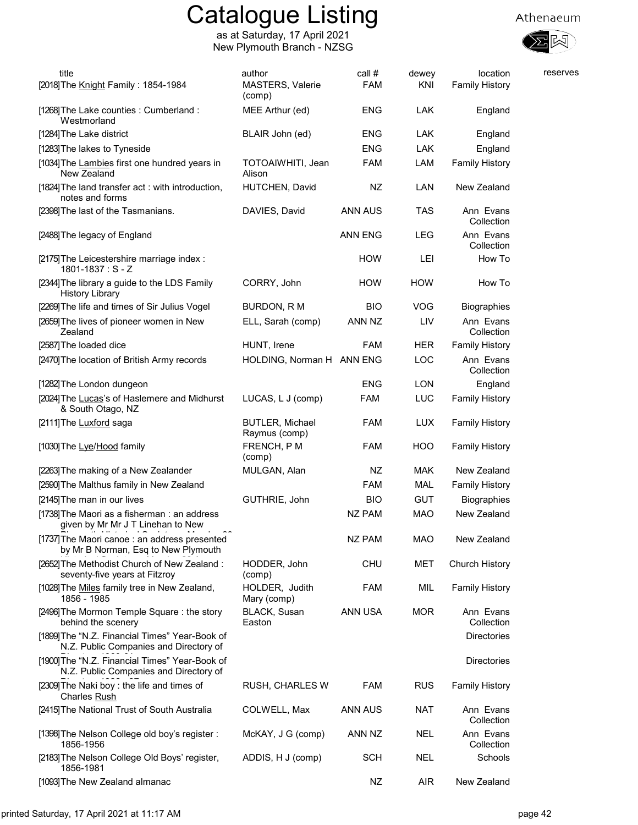

| title<br>[2018] The Knight Family: 1854-1984                                             | author<br>MASTERS, Valerie<br>(comp)    | call #<br><b>FAM</b> | dewey<br>KNI | location<br><b>Family History</b> | reserves |
|------------------------------------------------------------------------------------------|-----------------------------------------|----------------------|--------------|-----------------------------------|----------|
| [1268] The Lake counties : Cumberland :<br>Westmorland                                   | MEE Arthur (ed)                         | ENG                  | <b>LAK</b>   | England                           |          |
| [1284] The Lake district                                                                 | BLAIR John (ed)                         | ENG                  | LAK          | England                           |          |
| [1283] The lakes to Tyneside                                                             |                                         | <b>ENG</b>           | LAK          | England                           |          |
| [1034] The Lambies first one hundred years in<br>New Zealand                             | TOTOAIWHITI, Jean<br>Alison             | <b>FAM</b>           | LAM          | <b>Family History</b>             |          |
| [1824] The land transfer act: with introduction,<br>notes and forms                      | HUTCHEN, David                          | NZ                   | LAN          | New Zealand                       |          |
| [2398] The last of the Tasmanians.                                                       | DAVIES, David                           | ANN AUS              | TAS          | Ann Evans<br>Collection           |          |
| [2488] The legacy of England                                                             |                                         | <b>ANN ENG</b>       | <b>LEG</b>   | Ann Evans<br>Collection           |          |
| [2175] The Leicestershire marriage index :<br>$1801 - 1837 : S - Z$                      |                                         | <b>HOW</b>           | LEI          | How To                            |          |
| [2344] The library a guide to the LDS Family<br><b>History Library</b>                   | CORRY, John                             | <b>HOW</b>           | <b>HOW</b>   | How To                            |          |
| [2269] The life and times of Sir Julius Vogel                                            | BURDON, R M                             | BIO                  | VOG          | <b>Biographies</b>                |          |
| [2659] The lives of pioneer women in New<br>Zealand                                      | ELL, Sarah (comp)                       | ANN NZ               | LIV          | Ann Evans<br>Collection           |          |
| [2587] The loaded dice                                                                   | HUNT, Irene                             | <b>FAM</b>           | <b>HER</b>   | <b>Family History</b>             |          |
| [2470] The location of British Army records                                              | HOLDING, Norman H ANN ENG               |                      | LOC          | Ann Evans<br>Collection           |          |
| [1282] The London dungeon                                                                |                                         | <b>ENG</b>           | <b>LON</b>   | England                           |          |
| [2024] The Lucas's of Haslemere and Midhurst<br>& South Otago, NZ                        | LUCAS, L J (comp)                       | <b>FAM</b>           | <b>LUC</b>   | <b>Family History</b>             |          |
| [2111] The Luxford saga                                                                  | <b>BUTLER, Michael</b><br>Raymus (comp) | <b>FAM</b>           | <b>LUX</b>   | <b>Family History</b>             |          |
| [1030] The Lye/Hood family                                                               | FRENCH, PM<br>(comp)                    | <b>FAM</b>           | HOO          | <b>Family History</b>             |          |
| [2263] The making of a New Zealander                                                     | MULGAN, Alan                            | NZ                   | <b>MAK</b>   | New Zealand                       |          |
| [2590] The Malthus family in New Zealand                                                 |                                         | FAM                  | <b>MAL</b>   | <b>Family History</b>             |          |
| [2145] The man in our lives                                                              | GUTHRIE, John                           | <b>BIO</b>           | <b>GUT</b>   | <b>Biographies</b>                |          |
| [1738] The Maori as a fisherman : an address<br>given by Mr Mr J T Linehan to New        |                                         | <b>NZ PAM</b>        | <b>MAO</b>   | New Zealand                       |          |
| [1737] The Maori canoe : an address presented<br>by Mr B Norman, Esq to New Plymouth     |                                         | NZ PAM               | <b>MAO</b>   | New Zealand                       |          |
| [2652] The Methodist Church of New Zealand:<br>seventy-five years at Fitzroy             | HODDER, John<br>(comp)                  | <b>CHU</b>           | MET          | Church History                    |          |
| [1028] The Miles family tree in New Zealand,<br>1856 - 1985                              | HOLDER, Judith<br>Mary (comp)           | <b>FAM</b>           | MIL          | <b>Family History</b>             |          |
| [2496] The Mormon Temple Square: the story<br>behind the scenery                         | <b>BLACK, Susan</b><br>Easton           | ANN USA              | <b>MOR</b>   | Ann Evans<br>Collection           |          |
| [1899] The "N.Z. Financial Times" Year-Book of<br>N.Z. Public Companies and Directory of |                                         |                      |              | <b>Directories</b>                |          |
| [1900] The "N.Z. Financial Times" Year-Book of<br>N.Z. Public Companies and Directory of |                                         |                      |              | <b>Directories</b>                |          |
| [2309] The Naki boy : the life and times of<br>Charles Rush                              | <b>RUSH, CHARLES W</b>                  | <b>FAM</b>           | <b>RUS</b>   | <b>Family History</b>             |          |
| [2415] The National Trust of South Australia                                             | COLWELL, Max                            | <b>ANN AUS</b>       | <b>NAT</b>   | Ann Evans<br>Collection           |          |
| [1398] The Nelson College old boy's register:<br>1856-1956                               | McKAY, J G (comp)                       | ANN NZ               | <b>NEL</b>   | Ann Evans<br>Collection           |          |
| [2183] The Nelson College Old Boys' register,<br>1856-1981                               | ADDIS, H J (comp)                       | <b>SCH</b>           | <b>NEL</b>   | Schools                           |          |
| [1093] The New Zealand almanac                                                           |                                         | <b>NZ</b>            | <b>AIR</b>   | New Zealand                       |          |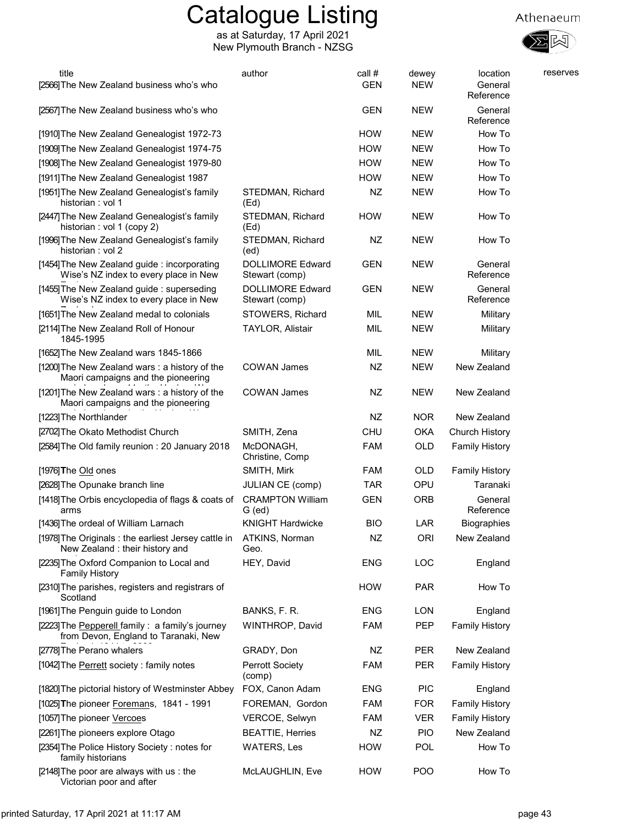

| title                                                                                   | author                                    | call #     | dewey      | location              | reserves |
|-----------------------------------------------------------------------------------------|-------------------------------------------|------------|------------|-----------------------|----------|
| [2566] The New Zealand business who's who                                               |                                           | <b>GEN</b> | <b>NEW</b> | General<br>Reference  |          |
| [2567] The New Zealand business who's who                                               |                                           | <b>GEN</b> | <b>NEW</b> | General<br>Reference  |          |
| [1910] The New Zealand Genealogist 1972-73                                              |                                           | <b>HOW</b> | <b>NEW</b> | How To                |          |
| [1909] The New Zealand Genealogist 1974-75                                              |                                           | <b>HOW</b> | <b>NEW</b> | How To                |          |
| [1908] The New Zealand Genealogist 1979-80                                              |                                           | <b>HOW</b> | <b>NEW</b> | How To                |          |
| [1911] The New Zealand Genealogist 1987                                                 |                                           | <b>HOW</b> | <b>NEW</b> | How To                |          |
| [1951] The New Zealand Genealogist's family<br>historian : vol 1                        | STEDMAN, Richard<br>(Ed)                  | NZ         | <b>NEW</b> | How To                |          |
| [2447] The New Zealand Genealogist's family<br>historian : vol 1 (copy 2)               | STEDMAN, Richard<br>(Ed)                  | <b>HOW</b> | <b>NEW</b> | How To                |          |
| [1996] The New Zealand Genealogist's family<br>historian : vol 2                        | STEDMAN, Richard<br>(ed)                  | NZ         | <b>NEW</b> | How To                |          |
| [1454] The New Zealand guide: incorporating<br>Wise's NZ index to every place in New    | <b>DOLLIMORE Edward</b><br>Stewart (comp) | <b>GEN</b> | <b>NEW</b> | General<br>Reference  |          |
| [1455] The New Zealand guide: superseding<br>Wise's NZ index to every place in New      | <b>DOLLIMORE Edward</b><br>Stewart (comp) | <b>GEN</b> | <b>NEW</b> | General<br>Reference  |          |
| [1651] The New Zealand medal to colonials                                               | STOWERS, Richard                          | MIL        | <b>NEW</b> | Military              |          |
| [2114] The New Zealand Roll of Honour<br>1845-1995                                      | <b>TAYLOR, Alistair</b>                   | MIL        | <b>NEW</b> | Military              |          |
| [1652] The New Zealand wars 1845-1866                                                   |                                           | MIL        | <b>NEW</b> | Military              |          |
| [1200] The New Zealand wars: a history of the<br>Maori campaigns and the pioneering     | COWAN James                               | NZ         | <b>NEW</b> | New Zealand           |          |
| [1201] The New Zealand wars: a history of the<br>Maori campaigns and the pioneering     | <b>COWAN James</b>                        | NZ         | <b>NEW</b> | New Zealand           |          |
| [1223] The Northlander                                                                  |                                           | NZ         | <b>NOR</b> | New Zealand           |          |
| [2702] The Okato Methodist Church                                                       | SMITH, Zena                               | <b>CHU</b> | <b>OKA</b> | Church History        |          |
| [2584] The Old family reunion: 20 January 2018                                          | McDONAGH,<br>Christine, Comp              | <b>FAM</b> | <b>OLD</b> | <b>Family History</b> |          |
| $[1976]$ The Old ones                                                                   | SMITH, Mirk                               | <b>FAM</b> | OLD        | <b>Family History</b> |          |
| [2628] The Opunake branch line                                                          | JULIAN CE (comp)                          | <b>TAR</b> | OPU        | Taranaki              |          |
| [1418] The Orbis encyclopedia of flags & coats of<br>arms                               | <b>CRAMPTON William</b><br>G (ed)         | <b>GEN</b> | <b>ORB</b> | General<br>Reference  |          |
| [1436] The ordeal of William Larnach                                                    | <b>KNIGHT Hardwicke</b>                   | <b>BIO</b> | <b>LAR</b> | Biographies           |          |
| [1978] The Originals : the earliest Jersey cattle in<br>New Zealand: their history and  | ATKINS, Norman<br>Geo.                    | <b>NZ</b>  | ORI        | New Zealand           |          |
| [2235] The Oxford Companion to Local and<br><b>Family History</b>                       | HEY, David                                | <b>ENG</b> | LOC        | England               |          |
| [2310] The parishes, registers and registrars of<br>Scotland                            |                                           | <b>HOW</b> | <b>PAR</b> | How To                |          |
| [1961] The Penguin guide to London                                                      | BANKS, F. R.                              | <b>ENG</b> | <b>LON</b> | England               |          |
| [2223] The Pepperell family: a family's journey<br>from Devon, England to Taranaki, New | WINTHROP, David                           | <b>FAM</b> | PEP        | <b>Family History</b> |          |
| [2778] The Perano whalers                                                               | GRADY, Don                                | NZ         | <b>PER</b> | New Zealand           |          |
| [1042] The Perrett society : family notes                                               | <b>Perrott Society</b><br>(comp)          | <b>FAM</b> | PER        | <b>Family History</b> |          |
| [1820] The pictorial history of Westminster Abbey                                       | FOX, Canon Adam                           | <b>ENG</b> | <b>PIC</b> | England               |          |
| [1025] The pioneer Foremans, 1841 - 1991                                                | FOREMAN, Gordon                           | <b>FAM</b> | <b>FOR</b> | <b>Family History</b> |          |
| [1057] The pioneer Vercoes                                                              | VERCOE, Selwyn                            | FAM        | <b>VER</b> | <b>Family History</b> |          |
| [2261] The pioneers explore Otago                                                       | <b>BEATTIE, Herries</b>                   | NZ         | <b>PIO</b> | New Zealand           |          |
| [2354] The Police History Society: notes for<br>family historians                       | <b>WATERS, Les</b>                        | <b>HOW</b> | POL        | How To                |          |
| [2148] The poor are always with us : the<br>Victorian poor and after                    | McLAUGHLIN, Eve                           | <b>HOW</b> | POO        | How To                |          |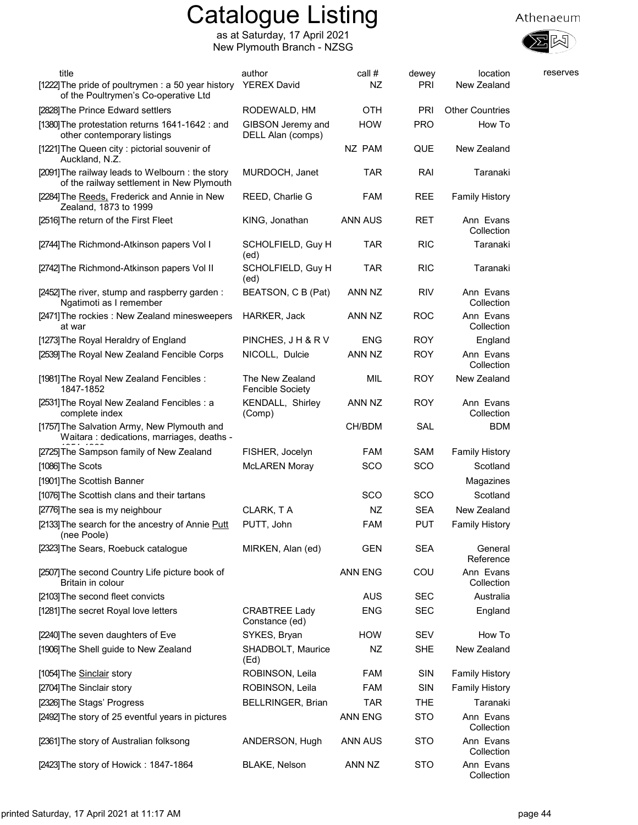

| title                                                                                        | author                                     | call #         | dewey      | location                | reserves |
|----------------------------------------------------------------------------------------------|--------------------------------------------|----------------|------------|-------------------------|----------|
| [1222] The pride of poultrymen : a 50 year history<br>of the Poultrymen's Co-operative Ltd   | <b>YEREX David</b>                         | NZ             | PRI        | New Zealand             |          |
| [2828] The Prince Edward settlers                                                            | RODEWALD, HM                               | <b>OTH</b>     | PRI        | <b>Other Countries</b>  |          |
| [1380] The protestation returns 1641-1642 : and<br>other contemporary listings               | GIBSON Jeremy and<br>DELL Alan (comps)     | <b>HOW</b>     | <b>PRO</b> | How To                  |          |
| [1221] The Queen city : pictorial souvenir of<br>Auckland, N.Z.                              |                                            | NZ PAM         | <b>QUE</b> | New Zealand             |          |
| [2091] The railway leads to Welbourn: the story<br>of the railway settlement in New Plymouth | MURDOCH, Janet                             | <b>TAR</b>     | RAI        | Taranaki                |          |
| [2284] The Reeds, Frederick and Annie in New<br>Zealand, 1873 to 1999                        | REED, Charlie G                            | <b>FAM</b>     | REE        | <b>Family History</b>   |          |
| [2516] The return of the First Fleet                                                         | KING, Jonathan                             | ANN AUS        | <b>RET</b> | Ann Evans<br>Collection |          |
| [2744] The Richmond-Atkinson papers Vol I                                                    | SCHOLFIELD, Guy H<br>(ed)                  | TAR            | <b>RIC</b> | Taranaki                |          |
| [2742] The Richmond-Atkinson papers Vol II                                                   | SCHOLFIELD, Guy H<br>(ed)                  | <b>TAR</b>     | <b>RIC</b> | Taranaki                |          |
| [2452] The river, stump and raspberry garden:<br>Ngatimoti as I remember                     | BEATSON, C B (Pat)                         | ANN NZ         | <b>RIV</b> | Ann Evans<br>Collection |          |
| [2471] The rockies : New Zealand minesweepers<br>at war                                      | HARKER, Jack                               | ANN NZ         | <b>ROC</b> | Ann Evans<br>Collection |          |
| [1273] The Royal Heraldry of England                                                         | PINCHES, J H & R V                         | <b>ENG</b>     | <b>ROY</b> | England                 |          |
| [2539] The Royal New Zealand Fencible Corps                                                  | NICOLL, Dulcie                             | ANN NZ         | <b>ROY</b> | Ann Evans<br>Collection |          |
| [1981] The Royal New Zealand Fencibles :<br>1847-1852                                        | The New Zealand<br><b>Fencible Society</b> | MIL            | <b>ROY</b> | New Zealand             |          |
| [2531] The Royal New Zealand Fencibles : a<br>complete index                                 | <b>KENDALL, Shirley</b><br>(Comp)          | ANN NZ         | <b>ROY</b> | Ann Evans<br>Collection |          |
| [1757] The Salvation Army, New Plymouth and<br>Waitara: dedications, marriages, deaths -     |                                            | CH/BDM         | SAL        | <b>BDM</b>              |          |
| [2725] The Sampson family of New Zealand                                                     | FISHER, Jocelyn                            | <b>FAM</b>     | SAM        | <b>Family History</b>   |          |
| [1086] The Scots                                                                             | <b>McLAREN Moray</b>                       | sco            | SCO        | Scotland                |          |
| [1901] The Scottish Banner                                                                   |                                            |                |            | Magazines               |          |
| [1076] The Scottish clans and their tartans                                                  |                                            | <b>SCO</b>     | SCO        | Scotland                |          |
| [2776] The sea is my neighbour                                                               | CLARK, TA                                  | NZ             | <b>SEA</b> | New Zealand             |          |
| [2133] The search for the ancestry of Annie Putt<br>(nee Poole)                              | PUTT, John                                 | <b>FAM</b>     | <b>PUT</b> | <b>Family History</b>   |          |
| [2323] The Sears, Roebuck catalogue                                                          | MIRKEN, Alan (ed)                          | <b>GEN</b>     | <b>SEA</b> | General<br>Reference    |          |
| [2507] The second Country Life picture book of<br>Britain in colour                          |                                            | <b>ANN ENG</b> | COU        | Ann Evans<br>Collection |          |
| [2103] The second fleet convicts                                                             |                                            | <b>AUS</b>     | <b>SEC</b> | Australia               |          |
| [1281] The secret Royal love letters                                                         | <b>CRABTREE Lady</b><br>Constance (ed)     | <b>ENG</b>     | <b>SEC</b> | England                 |          |
| [2240] The seven daughters of Eve                                                            | SYKES, Bryan                               | <b>HOW</b>     | <b>SEV</b> | How To                  |          |
| [1906] The Shell guide to New Zealand                                                        | SHADBOLT, Maurice<br>(Ed)                  | NZ             | <b>SHE</b> | New Zealand             |          |
| [1054] The Sinclair story                                                                    | ROBINSON, Leila                            | <b>FAM</b>     | SIN        | <b>Family History</b>   |          |
| [2704] The Sinclair story                                                                    | ROBINSON, Leila                            | FAM            | SIN        | <b>Family History</b>   |          |
| [2326] The Stags' Progress                                                                   | BELLRINGER, Brian                          | <b>TAR</b>     | <b>THE</b> | Taranaki                |          |
| [2492] The story of 25 eventful years in pictures                                            |                                            | ANN ENG        | <b>STO</b> | Ann Evans<br>Collection |          |
| [2361] The story of Australian folksong                                                      | ANDERSON, Hugh                             | ANN AUS        | <b>STO</b> | Ann Evans<br>Collection |          |
| [2423] The story of Howick: 1847-1864                                                        | <b>BLAKE, Nelson</b>                       | ANN NZ         | <b>STO</b> | Ann Evans<br>Collection |          |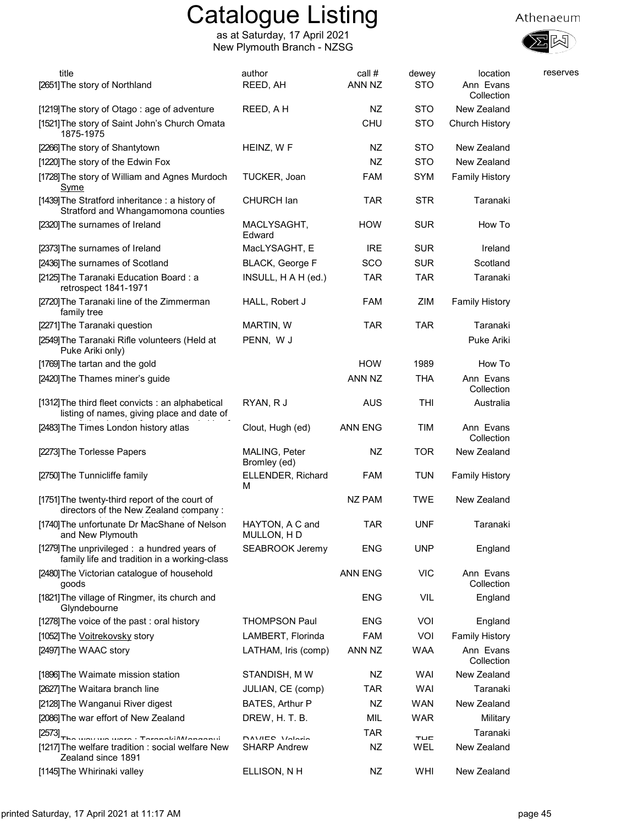

| title                                                                                           | author                        | call #     | dewey      | location                | reserves |
|-------------------------------------------------------------------------------------------------|-------------------------------|------------|------------|-------------------------|----------|
| [2651] The story of Northland                                                                   | REED, AH                      | ANN NZ     | <b>STO</b> | Ann Evans<br>Collection |          |
| [1219] The story of Otago: age of adventure                                                     | REED, A H                     | NZ         | <b>STO</b> | New Zealand             |          |
| [1521] The story of Saint John's Church Omata<br>1875-1975                                      |                               | <b>CHU</b> | <b>STO</b> | Church History          |          |
| [2266] The story of Shantytown                                                                  | HEINZ, W F                    | NZ         | <b>STO</b> | New Zealand             |          |
| [1220] The story of the Edwin Fox                                                               |                               | NZ         | <b>STO</b> | New Zealand             |          |
| [1728] The story of William and Agnes Murdoch<br><u>Syme</u>                                    | TUCKER, Joan                  | FAM        | <b>SYM</b> | <b>Family History</b>   |          |
| [1439] The Stratford inheritance : a history of<br>Stratford and Whangamomona counties          | CHURCH lan                    | <b>TAR</b> | STR        | Taranaki                |          |
| [2320] The surnames of Ireland                                                                  | MACLYSAGHT,<br>Edward         | HOW        | <b>SUR</b> | How To                  |          |
| [2373] The surnames of Ireland                                                                  | MacLYSAGHT, E                 | <b>IRE</b> | <b>SUR</b> | Ireland                 |          |
| [2436] The surnames of Scotland                                                                 | BLACK, George F               | SCO        | <b>SUR</b> | Scotland                |          |
| [2125] The Taranaki Education Board: a<br>retrospect 1841-1971                                  | INSULL, H A H (ed.)           | <b>TAR</b> | <b>TAR</b> | Taranaki                |          |
| [2720] The Taranaki line of the Zimmerman<br>family tree                                        | HALL, Robert J                | <b>FAM</b> | ZIM        | <b>Family History</b>   |          |
| [2271] The Taranaki question                                                                    | MARTIN, W                     | <b>TAR</b> | <b>TAR</b> | Taranaki                |          |
| [2549] The Taranaki Rifle volunteers (Held at<br>Puke Ariki only)                               | PENN, W J                     |            |            | Puke Ariki              |          |
| [1769] The tartan and the gold                                                                  |                               | <b>HOW</b> | 1989       | How To                  |          |
| [2420] The Thames miner's guide                                                                 |                               | ANN NZ     | <b>THA</b> | Ann Evans<br>Collection |          |
| [1312] The third fleet convicts : an alphabetical<br>listing of names, giving place and date of | RYAN, R J                     | <b>AUS</b> | THI        | Australia               |          |
| [2483] The Times London history atlas                                                           | Clout, Hugh (ed)              | ANN ENG    | <b>TIM</b> | Ann Evans<br>Collection |          |
| [2273] The Torlesse Papers                                                                      | MALING, Peter<br>Bromley (ed) | NZ         | <b>TOR</b> | New Zealand             |          |
| [2750] The Tunnicliffe family                                                                   | ELLENDER, Richard<br>М        | <b>FAM</b> | TUN        | <b>Family History</b>   |          |
| [1751] The twenty-third report of the court of<br>directors of the New Zealand company:         |                               | NZ PAM     | TWE        | New Zealand             |          |
| [1740] The unfortunate Dr MacShane of Nelson<br>and New Plymouth                                | HAYTON, A C and<br>MULLON, HD | <b>TAR</b> | <b>UNF</b> | Taranaki                |          |
| [1279] The unprivileged : a hundred years of<br>family life and tradition in a working-class    | <b>SEABROOK Jeremy</b>        | <b>ENG</b> | <b>UNP</b> | England                 |          |
| [2480] The Victorian catalogue of household<br>goods                                            |                               | ANN ENG    | <b>VIC</b> | Ann Evans<br>Collection |          |
| [1821] The village of Ringmer, its church and<br>Glyndebourne                                   |                               | <b>ENG</b> | VIL        | England                 |          |
| [1278] The voice of the past : oral history                                                     | <b>THOMPSON Paul</b>          | <b>ENG</b> | VOI        | England                 |          |
| [1052] The Voitrekovsky story                                                                   | LAMBERT, Florinda             | <b>FAM</b> | VOI        | <b>Family History</b>   |          |
| [2497] The WAAC story                                                                           | LATHAM, Iris (comp)           | ANN NZ     | <b>WAA</b> | Ann Evans<br>Collection |          |
| [1896] The Waimate mission station                                                              | STANDISH, MW                  | NZ         | WAI        | New Zealand             |          |
| [2627] The Waitara branch line                                                                  | JULIAN, CE (comp)             | TAR        | WAI        | Taranaki                |          |
| [2128] The Wanganui River digest                                                                | BATES, Arthur P               | NZ         | <b>WAN</b> | New Zealand             |          |
| [2086] The war effort of New Zealand                                                            | DREW, H. T. B.                | MIL        | <b>WAR</b> | Military                |          |
| $[2573]$ <sub>The</sub> $\ldots$ $\ldots$ $\ldots$ $\ldots$ $\ldots$ $\ldots$                   | DAVIED Valoria                | TAR        | TUT.       | Taranaki                |          |
| [1217] The welfare tradition : social welfare New<br>Zealand since 1891                         | <b>SHARP Andrew</b>           | NZ         | WEL        | New Zealand             |          |
| [1145] The Whirinaki valley                                                                     | ELLISON, NH                   | NZ         | WHI        | New Zealand             |          |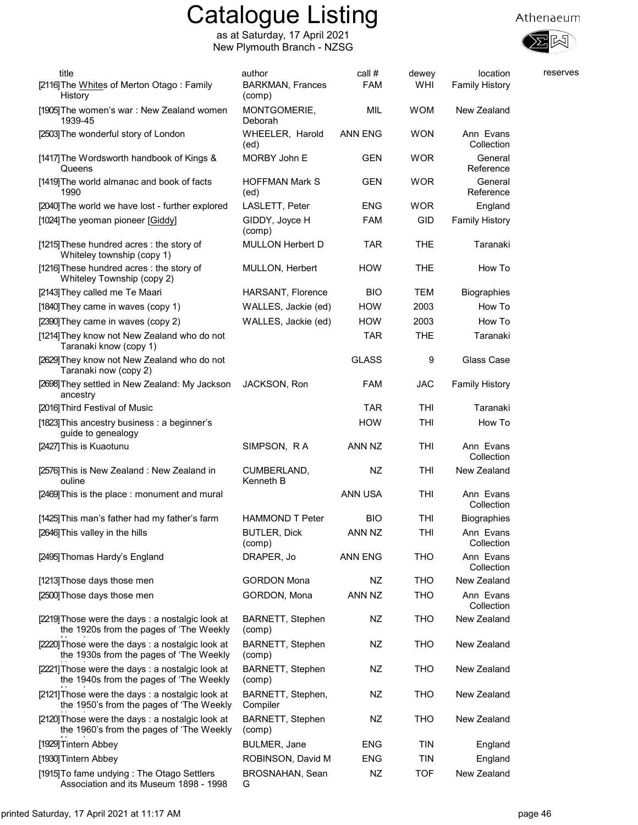





| title<br>[2116] The Whites of Merton Otago: Family<br>History                                | author<br><b>BARKMAN, Frances</b><br>(comp) | call #<br><b>FAM</b> | dewey<br>WHI | location<br><b>Family History</b> | reserves |
|----------------------------------------------------------------------------------------------|---------------------------------------------|----------------------|--------------|-----------------------------------|----------|
| [1905] The women's war : New Zealand women<br>1939-45                                        | MONTGOMERIE,<br>Deborah                     | MIL                  | <b>WOM</b>   | New Zealand                       |          |
| [2503] The wonderful story of London                                                         | WHEELER, Harold<br>(ed)                     | ANN ENG              | <b>WON</b>   | Ann Evans<br>Collection           |          |
| [1417] The Wordsworth handbook of Kings &<br>Queens                                          | MORBY John E                                | GEN                  | <b>WOR</b>   | General<br>Reference              |          |
| [1419] The world almanac and book of facts<br>1990                                           | <b>HOFFMAN Mark S</b><br>(ed)               | GEN                  | <b>WOR</b>   | General<br>Reference              |          |
| [2040] The world we have lost - further explored                                             | LASLETT, Peter                              | <b>ENG</b>           | <b>WOR</b>   | England                           |          |
| [1024] The yeoman pioneer [Giddy]                                                            | GIDDY, Joyce H<br>(comp)                    | <b>FAM</b>           | GID          | <b>Family History</b>             |          |
| [1215] These hundred acres: the story of<br>Whiteley township (copy 1)                       | <b>MULLON Herbert D</b>                     | <b>TAR</b>           | <b>THE</b>   | Taranaki                          |          |
| [1216] These hundred acres : the story of<br>Whiteley Township (copy 2)                      | MULLON, Herbert                             | <b>HOW</b>           | <b>THE</b>   | How To                            |          |
| [2143] They called me Te Maari                                                               | HARSANT, Florence                           | <b>BIO</b>           | TEM          | <b>Biographies</b>                |          |
| [1840] They came in waves (copy 1)                                                           | WALLES, Jackie (ed)                         | <b>HOW</b>           | 2003         | How To                            |          |
| [2390] They came in waves (copy 2)                                                           | WALLES, Jackie (ed)                         | <b>HOW</b>           | 2003         | How To                            |          |
| [1214] They know not New Zealand who do not<br>Taranaki know (copy 1)                        |                                             | <b>TAR</b>           | <b>THE</b>   | Taranaki                          |          |
| [2629] They know not New Zealand who do not<br>Taranaki now (copy 2)                         |                                             | <b>GLASS</b>         | 9            | Glass Case                        |          |
| [2698] They settled in New Zealand: My Jackson<br>ancestry                                   | JACKSON, Ron                                | <b>FAM</b>           | JAC          | <b>Family History</b>             |          |
| [2016] Third Festival of Music                                                               |                                             | <b>TAR</b>           | THI          | Taranaki                          |          |
| [1823] This ancestry business: a beginner's<br>guide to genealogy                            |                                             | <b>HOW</b>           | THI          | How To                            |          |
| [2427] This is Kuaotunu                                                                      | SIMPSON, RA                                 | ANN NZ               | THI          | Ann Evans<br>Collection           |          |
| [2576] This is New Zealand: New Zealand in<br>ouline                                         | CUMBERLAND,<br>Kenneth B                    | NZ                   | THI          | New Zealand                       |          |
| [2469] This is the place : monument and mural                                                |                                             | ANN USA              | THI          | Ann Evans<br>Collection           |          |
| [1425] This man's father had my father's farm                                                | <b>HAMMOND T Peter</b>                      | <b>BIO</b>           | THI          | <b>Biographies</b>                |          |
| [2646] This valley in the hills                                                              | <b>BUTLER, Dick</b><br>(comp)               | ANN NZ               | <b>THI</b>   | Ann Evans<br>Collection           |          |
| [2495] Thomas Hardy's England                                                                | DRAPER, Jo                                  | ANN ENG              | THO          | Ann Evans<br>Collection           |          |
| [1213] Those days those men                                                                  | <b>GORDON Mona</b>                          | NZ                   | THO          | New Zealand                       |          |
| [2500] Those days those men                                                                  | GORDON, Mona                                | ANN NZ               | THO          | Ann Evans<br>Collection           |          |
| [2219] Those were the days: a nostalgic look at<br>the 1920s from the pages of 'The Weekly   | BARNETT, Stephen<br>(comp)                  | NZ                   | <b>THO</b>   | New Zealand                       |          |
| [2220] Those were the days: a nostalgic look at<br>the 1930s from the pages of 'The Weekly   | <b>BARNETT, Stephen</b><br>(comp)           | NZ                   | <b>THO</b>   | New Zealand                       |          |
| [2221] Those were the days : a nostalgic look at<br>the 1940s from the pages of 'The Weekly  | <b>BARNETT, Stephen</b><br>(comp)           | NZ                   | <b>THO</b>   | New Zealand                       |          |
| [2121] Those were the days : a nostalgic look at<br>the 1950's from the pages of 'The Weekly | BARNETT, Stephen,<br>Compiler               | NZ                   | <b>THO</b>   | New Zealand                       |          |
| [2120] Those were the days : a nostalgic look at<br>the 1960's from the pages of 'The Weekly | <b>BARNETT, Stephen</b><br>(comp)           | NZ                   | <b>THO</b>   | New Zealand                       |          |
| [1929] Tintern Abbey                                                                         | <b>BULMER, Jane</b>                         | <b>ENG</b>           | TIN          | England                           |          |
| [1930] Tintern Abbey                                                                         | ROBINSON, David M                           | <b>ENG</b>           | <b>TIN</b>   | England                           |          |
| [1915] To fame undying: The Otago Settlers<br>Association and its Museum 1898 - 1998         | <b>BROSNAHAN, Sean</b><br>G                 | <b>NZ</b>            | <b>TOF</b>   | New Zealand                       |          |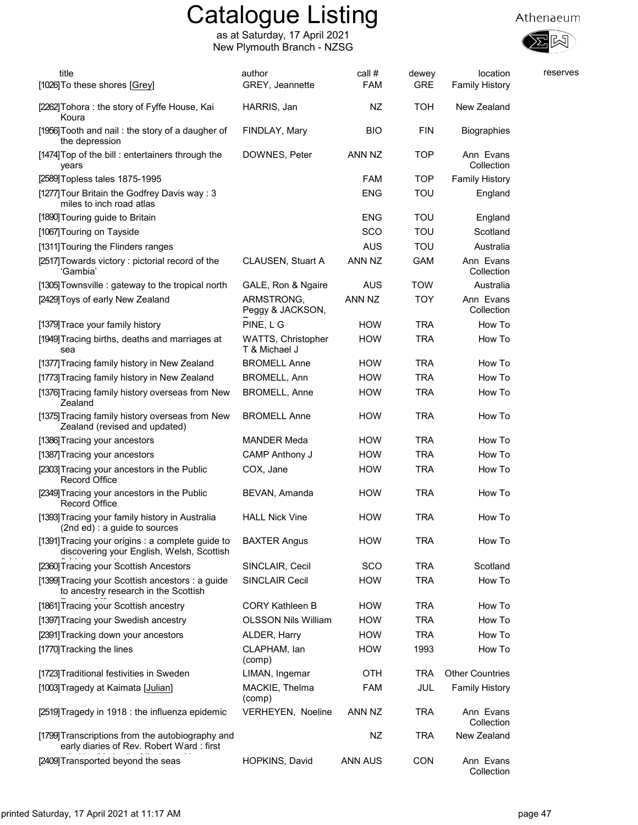

| title                                                                                          | author                              | call #     | dewey      | location                | reserves |
|------------------------------------------------------------------------------------------------|-------------------------------------|------------|------------|-------------------------|----------|
| [1026] To these shores [Grey]                                                                  | GREY, Jeannette                     | <b>FAM</b> | <b>GRE</b> | <b>Family History</b>   |          |
| [2262] Tohora: the story of Fyffe House, Kai<br>Koura                                          | HARRIS, Jan                         | NZ         | TOH        | New Zealand             |          |
| [1956] Tooth and nail: the story of a daugher of<br>the depression                             | FINDLAY, Mary                       | <b>BIO</b> | <b>FIN</b> | Biographies             |          |
| [1474] Top of the bill : entertainers through the<br>years                                     | DOWNES, Peter                       | ANN NZ     | <b>TOP</b> | Ann Evans<br>Collection |          |
| [2589] Topless tales 1875-1995                                                                 |                                     | <b>FAM</b> | <b>TOP</b> | <b>Family History</b>   |          |
| [1277] Tour Britain the Godfrey Davis way: 3<br>miles to inch road atlas                       |                                     | <b>ENG</b> | TOU        | England                 |          |
| [1890] Touring guide to Britain                                                                |                                     | <b>ENG</b> | <b>TOU</b> | England                 |          |
| [1067] Touring on Tayside                                                                      |                                     | SCO        | TOU        | Scotland                |          |
| [1311] Touring the Flinders ranges                                                             |                                     | <b>AUS</b> | TOU        | Australia               |          |
| [2517] Towards victory: pictorial record of the<br>'Gambia'                                    | CLAUSEN, Stuart A                   | ANN NZ     | <b>GAM</b> | Ann Evans<br>Collection |          |
| [1305] Townsville: gateway to the tropical north                                               | GALE, Ron & Ngaire                  | <b>AUS</b> | <b>TOW</b> | Australia               |          |
| [2429] Toys of early New Zealand                                                               | ARMSTRONG,<br>Peggy & JACKSON,      | ANN NZ     | <b>TOY</b> | Ann Evans<br>Collection |          |
| [1379] Trace your family history                                                               | PINE, LG                            | <b>HOW</b> | <b>TRA</b> | How To                  |          |
| [1949] Tracing births, deaths and marriages at<br>sea                                          | WATTS, Christopher<br>T & Michael J | <b>HOW</b> | <b>TRA</b> | How To                  |          |
| [1377] Tracing family history in New Zealand                                                   | <b>BROMELL Anne</b>                 | <b>HOW</b> | <b>TRA</b> | How To                  |          |
| [1773] Tracing family history in New Zealand                                                   | BROMELL, Ann                        | <b>HOW</b> | <b>TRA</b> | How To                  |          |
| [1376] Tracing family history overseas from New<br>Zealand                                     | <b>BROMELL, Anne</b>                | <b>HOW</b> | <b>TRA</b> | How To                  |          |
| [1375] Tracing family history overseas from New<br>Zealand (revised and updated)               | <b>BROMELL Anne</b>                 | <b>HOW</b> | <b>TRA</b> | How To                  |          |
| [1386] Tracing your ancestors                                                                  | <b>MANDER Meda</b>                  | <b>HOW</b> | <b>TRA</b> | How To                  |          |
| [1387] Tracing your ancestors                                                                  | <b>CAMP Anthony J</b>               | <b>HOW</b> | TRA        | How To                  |          |
| [2303] Tracing your ancestors in the Public<br>Record Office                                   | COX, Jane                           | <b>HOW</b> | <b>TRA</b> | How To                  |          |
| [2349] Tracing your ancestors in the Public<br><b>Record Office</b>                            | BEVAN, Amanda                       | <b>HOW</b> | <b>TRA</b> | How To                  |          |
| [1393] Tracing your family history in Australia<br>(2nd ed) : a guide to sources               | <b>HALL Nick Vine</b>               | HOW        | <b>TRA</b> | How To                  |          |
| [1391] Tracing your origins : a complete guide to<br>discovering your English, Welsh, Scottish | <b>BAXTER Angus</b>                 | <b>HOW</b> | TRA        | How To                  |          |
| [2360] Tracing your Scottish Ancestors                                                         | SINCLAIR, Cecil                     | SCO        | <b>TRA</b> | Scotland                |          |
| [1399] Tracing your Scottish ancestors : a guide<br>to ancestry research in the Scottish       | <b>SINCLAIR Cecil</b>               | <b>HOW</b> | <b>TRA</b> | How To                  |          |
| [1861] Tracing your Scottish ancestry                                                          | <b>CORY Kathleen B</b>              | <b>HOW</b> | <b>TRA</b> | How To                  |          |
| [1397] Tracing your Swedish ancestry                                                           | <b>OLSSON Nils William</b>          | <b>HOW</b> | <b>TRA</b> | How To                  |          |
| [2391] Tracking down your ancestors                                                            | ALDER, Harry                        | <b>HOW</b> | TRA        | How To                  |          |
| [1770] Tracking the lines                                                                      | CLAPHAM, lan<br>(comp)              | <b>HOW</b> | 1993       | How To                  |          |
| [1723] Traditional festivities in Sweden                                                       | LIMAN, Ingemar                      | OTH        | <b>TRA</b> | <b>Other Countries</b>  |          |
| [1003] Tragedy at Kaimata [Julian]                                                             | MACKIE, Thelma<br>(comp)            | FAM        | JUL        | <b>Family History</b>   |          |
| [2519] Tragedy in 1918 : the influenza epidemic                                                | VERHEYEN, Noeline                   | ANN NZ     | <b>TRA</b> | Ann Evans<br>Collection |          |
| [1799] Transcriptions from the autobiography and<br>early diaries of Rev. Robert Ward: first   |                                     | NZ         | <b>TRA</b> | New Zealand             |          |
| [2409] Transported beyond the seas                                                             | HOPKINS, David                      | ANN AUS    | <b>CON</b> | Ann Evans<br>Collection |          |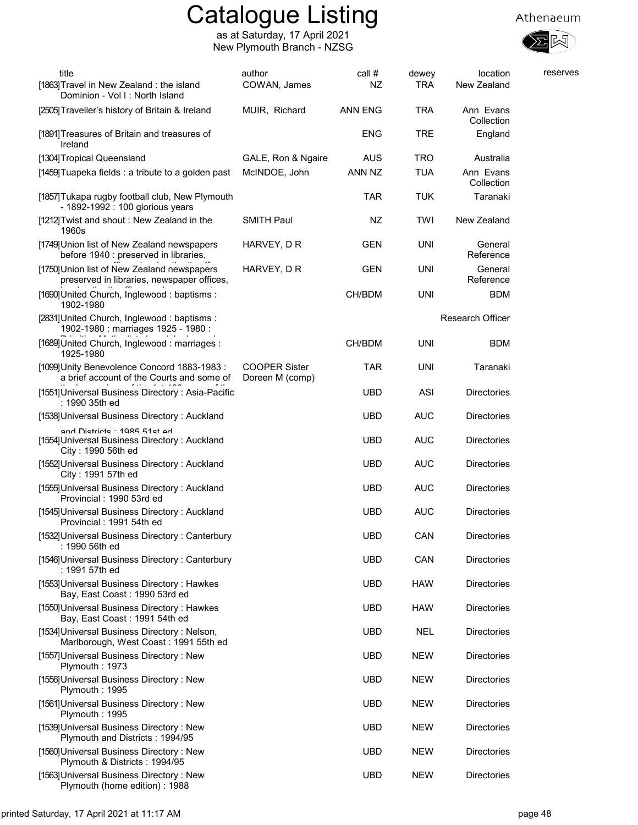





| title<br>[1863] Travel in New Zealand: the island<br>Dominion - Vol I: North Island                 | author<br>COWAN, James                  | call #<br>NZ | dewey<br>TRA | location<br>New Zealand | reserves |
|-----------------------------------------------------------------------------------------------------|-----------------------------------------|--------------|--------------|-------------------------|----------|
| [2505] Traveller's history of Britain & Ireland                                                     | MUIR, Richard                           | ANN ENG      | <b>TRA</b>   | Ann Evans<br>Collection |          |
| [1891] Treasures of Britain and treasures of<br>Ireland                                             |                                         | ENG          | TRE          | England                 |          |
| [1304] Tropical Queensland                                                                          | GALE, Ron & Ngaire                      | AUS          | <b>TRO</b>   | Australia               |          |
| [1459] Tuapeka fields : a tribute to a golden past                                                  | McINDOE, John                           | ANN NZ       | <b>TUA</b>   | Ann Evans<br>Collection |          |
| [1857] Tukapa rugby football club, New Plymouth<br>- 1892-1992 : 100 glorious years                 |                                         | TAR          | <b>TUK</b>   | Taranaki                |          |
| [1212] Twist and shout: New Zealand in the<br>1960s                                                 | <b>SMITH Paul</b>                       | NZ           | TWI          | New Zealand             |          |
| [1749] Union list of New Zealand newspapers<br>before 1940 : preserved in libraries,                | HARVEY, D R                             | GEN          | <b>UNI</b>   | General<br>Reference    |          |
| [1750] Union list of New Zealand newspapers<br>preserved in libraries, newspaper offices,           | HARVEY, D R                             | GEN          | <b>UNI</b>   | General<br>Reference    |          |
| [1690] United Church, Inglewood: baptisms:<br>1902-1980                                             |                                         | CH/BDM       | UNI          | <b>BDM</b>              |          |
| [2831] United Church, Inglewood: baptisms:<br>1902-1980 : marriages 1925 - 1980 :                   |                                         |              |              | <b>Research Officer</b> |          |
| [1689] United Church, Inglewood: marriages:<br>1925-1980                                            |                                         | CH/BDM       | <b>UNI</b>   | <b>BDM</b>              |          |
| [1099] Unity Benevolence Concord 1883-1983 :<br>a brief account of the Courts and some of           | <b>COOPER Sister</b><br>Doreen M (comp) | <b>TAR</b>   | <b>UNI</b>   | Taranaki                |          |
| [1551] Universal Business Directory: Asia-Pacific<br>: 1990 35th ed                                 |                                         | <b>UBD</b>   | <b>ASI</b>   | <b>Directories</b>      |          |
| [1538] Universal Business Directory: Auckland                                                       |                                         | UBD          | <b>AUC</b>   | <b>Directories</b>      |          |
| and Dietricte · 1085 51et ad<br>[1554] Universal Business Directory: Auckland<br>City: 1990 56th ed |                                         | <b>UBD</b>   | <b>AUC</b>   | <b>Directories</b>      |          |
| [1552] Universal Business Directory: Auckland<br>City: 1991 57th ed                                 |                                         | <b>UBD</b>   | <b>AUC</b>   | Directories             |          |
| [1555] Universal Business Directory: Auckland<br>Provincial: 1990 53rd ed                           |                                         | <b>UBD</b>   | <b>AUC</b>   | Directories             |          |
| [1545] Universal Business Directory: Auckland<br>Provincial: 1991 54th ed                           |                                         | UBD          | <b>AUC</b>   | <b>Directories</b>      |          |
| [1532] Universal Business Directory: Canterbury<br>: 1990 56th ed                                   |                                         | <b>UBD</b>   | CAN          | <b>Directories</b>      |          |
| [1546] Universal Business Directory: Canterbury<br>: 1991 57th ed                                   |                                         | <b>UBD</b>   | CAN          | <b>Directories</b>      |          |
| [1553] Universal Business Directory: Hawkes<br>Bay, East Coast: 1990 53rd ed                        |                                         | UBD          | <b>HAW</b>   | <b>Directories</b>      |          |
| [1550] Universal Business Directory: Hawkes<br>Bay, East Coast: 1991 54th ed                        |                                         | <b>UBD</b>   | <b>HAW</b>   | <b>Directories</b>      |          |
| [1534] Universal Business Directory: Nelson,<br>Marlborough, West Coast: 1991 55th ed               |                                         | <b>UBD</b>   | NEL          | <b>Directories</b>      |          |
| [1557] Universal Business Directory: New<br>Plymouth: 1973                                          |                                         | <b>UBD</b>   | <b>NEW</b>   | Directories             |          |
| [1556] Universal Business Directory: New<br>Plymouth: 1995                                          |                                         | <b>UBD</b>   | <b>NEW</b>   | <b>Directories</b>      |          |
| [1561] Universal Business Directory: New<br>Plymouth: 1995                                          |                                         | <b>UBD</b>   | <b>NEW</b>   | <b>Directories</b>      |          |
| [1539] Universal Business Directory: New<br>Plymouth and Districts: 1994/95                         |                                         | UBD          | <b>NEW</b>   | <b>Directories</b>      |          |
| [1560] Universal Business Directory: New<br>Plymouth & Districts: 1994/95                           |                                         | <b>UBD</b>   | <b>NEW</b>   | Directories             |          |
| [1563] Universal Business Directory: New<br>Plymouth (home edition): 1988                           |                                         | <b>UBD</b>   | <b>NEW</b>   | Directories             |          |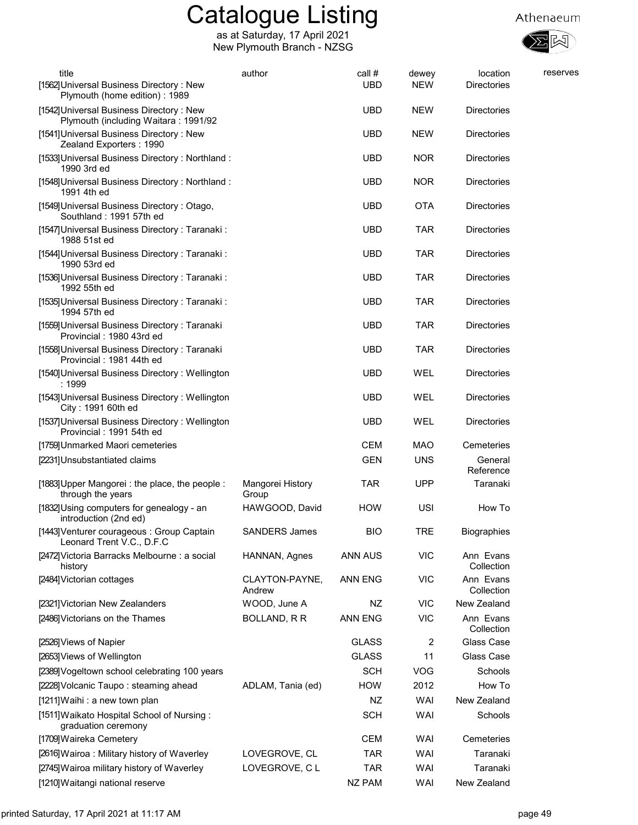

| title<br>[1562] Universal Business Directory: New                                                                 | author                    | call #<br><b>UBD</b> | dewey<br><b>NEW</b> | location<br><b>Directories</b> | reserves |
|-------------------------------------------------------------------------------------------------------------------|---------------------------|----------------------|---------------------|--------------------------------|----------|
| Plymouth (home edition): 1989<br>[1542] Universal Business Directory: New<br>Plymouth (including Waitara: 1991/92 |                           | <b>UBD</b>           | <b>NEW</b>          | <b>Directories</b>             |          |
| [1541] Universal Business Directory: New<br>Zealand Exporters: 1990                                               |                           | <b>UBD</b>           | <b>NEW</b>          | <b>Directories</b>             |          |
| [1533] Universal Business Directory: Northland:<br>1990 3rd ed                                                    |                           | <b>UBD</b>           | <b>NOR</b>          | <b>Directories</b>             |          |
| [1548] Universal Business Directory: Northland:<br>1991 4th ed                                                    |                           | <b>UBD</b>           | <b>NOR</b>          | <b>Directories</b>             |          |
| [1549] Universal Business Directory: Otago,<br>Southland: 1991 57th ed                                            |                           | <b>UBD</b>           | <b>OTA</b>          | <b>Directories</b>             |          |
| [1547] Universal Business Directory: Taranaki:<br>1988 51st ed                                                    |                           | <b>UBD</b>           | <b>TAR</b>          | <b>Directories</b>             |          |
| [1544] Universal Business Directory: Taranaki:<br>1990 53rd ed                                                    |                           | <b>UBD</b>           | <b>TAR</b>          | Directories                    |          |
| [1536] Universal Business Directory: Taranaki:<br>1992 55th ed                                                    |                           | <b>UBD</b>           | <b>TAR</b>          | <b>Directories</b>             |          |
| [1535] Universal Business Directory: Taranaki:<br>1994 57th ed                                                    |                           | <b>UBD</b>           | <b>TAR</b>          | <b>Directories</b>             |          |
| [1559] Universal Business Directory: Taranaki<br>Provincial: 1980 43rd ed                                         |                           | <b>UBD</b>           | <b>TAR</b>          | <b>Directories</b>             |          |
| [1558] Universal Business Directory: Taranaki<br>Provincial: 1981 44th ed                                         |                           | <b>UBD</b>           | <b>TAR</b>          | <b>Directories</b>             |          |
| [1540] Universal Business Directory: Wellington<br>: 1999                                                         |                           | <b>UBD</b>           | WEL                 | <b>Directories</b>             |          |
| [1543] Universal Business Directory: Wellington<br>City: 1991 60th ed                                             |                           | <b>UBD</b>           | WEL                 | Directories                    |          |
| [1537] Universal Business Directory: Wellington<br>Provincial: 1991 54th ed                                       |                           | <b>UBD</b>           | WEL                 | Directories                    |          |
| [1759] Unmarked Maori cemeteries                                                                                  |                           | <b>CEM</b>           | <b>MAO</b>          | Cemeteries                     |          |
| [2231]Unsubstantiated claims                                                                                      |                           | <b>GEN</b>           | <b>UNS</b>          | General<br>Reference           |          |
| [1883] Upper Mangorei : the place, the people :<br>through the years                                              | Mangorei History<br>Group | <b>TAR</b>           | <b>UPP</b>          | Taranaki                       |          |
| [1832] Using computers for genealogy - an<br>introduction (2nd ed)                                                | HAWGOOD, David            | <b>HOW</b>           | USI                 | How To                         |          |
| [1443] Venturer courageous : Group Captain<br>Leonard Trent V.C., D.F.C                                           | <b>SANDERS James</b>      | <b>BIO</b>           | <b>TRE</b>          | <b>Biographies</b>             |          |
| [2472] Victoria Barracks Melbourne : a social<br>history                                                          | HANNAN, Agnes             | ANN AUS              | <b>VIC</b>          | Ann Evans<br>Collection        |          |
| [2484] Victorian cottages                                                                                         | CLAYTON-PAYNE,<br>Andrew  | <b>ANN ENG</b>       | <b>VIC</b>          | Ann Evans<br>Collection        |          |
| [2321] Victorian New Zealanders                                                                                   | WOOD, June A              | NZ                   | <b>VIC</b>          | New Zealand                    |          |
| [2486] Victorians on the Thames                                                                                   | BOLLAND, R R              | ANN ENG              | <b>VIC</b>          | Ann Evans<br>Collection        |          |
| [2526] Views of Napier                                                                                            |                           | <b>GLASS</b>         | 2                   | Glass Case                     |          |
| [2653] Views of Wellington                                                                                        |                           | <b>GLASS</b>         | 11                  | Glass Case                     |          |
| [2389] Vogeltown school celebrating 100 years                                                                     |                           | <b>SCH</b>           | <b>VOG</b>          | Schools                        |          |
| [2228] Volcanic Taupo: steaming ahead                                                                             | ADLAM, Tania (ed)         | <b>HOW</b>           | 2012                | How To                         |          |
| [1211] Waihi: a new town plan                                                                                     |                           | NZ                   | WAI                 | New Zealand                    |          |
| [1511] Waikato Hospital School of Nursing:<br>graduation ceremony                                                 |                           | <b>SCH</b>           | WAI                 | Schools                        |          |
| [1709] Waireka Cemetery                                                                                           |                           | <b>CEM</b>           | WAI                 | Cemeteries                     |          |
| [2616] Wairoa: Military history of Waverley                                                                       | LOVEGROVE, CL             | <b>TAR</b>           | WAI                 | Taranaki                       |          |
| [2745] Wairoa military history of Waverley                                                                        | LOVEGROVE, CL             | <b>TAR</b>           | WAI                 | Taranaki                       |          |
| [1210] Waitangi national reserve                                                                                  |                           | <b>NZ PAM</b>        | WAI                 | New Zealand                    |          |
|                                                                                                                   |                           |                      |                     |                                |          |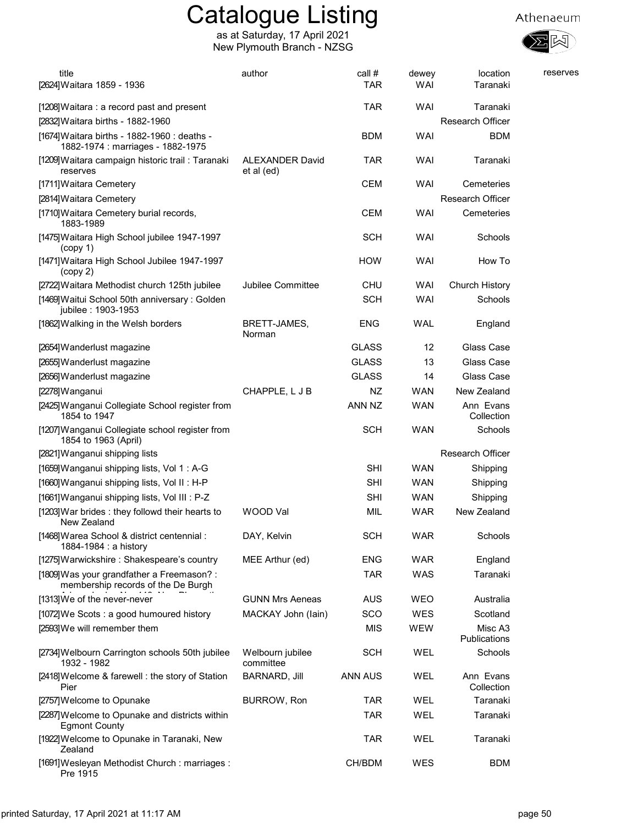

| title                                                                             | author                        | call #       | dewey      | location                | reserves |
|-----------------------------------------------------------------------------------|-------------------------------|--------------|------------|-------------------------|----------|
| [2624]Waitara 1859 - 1936                                                         |                               | <b>TAR</b>   | WAI        | Taranaki                |          |
| [1208] Waitara: a record past and present                                         |                               | TAR          | WAI        | Taranaki                |          |
| [2832] Waitara births - 1882-1960                                                 |                               |              |            | <b>Research Officer</b> |          |
| [1674] Waitara births - 1882-1960 : deaths -<br>1882-1974 : marriages - 1882-1975 |                               | BDM          | WAI        | BDM                     |          |
| [1209]Waitara campaign historic trail : Taranaki<br>reserves                      | ALEXANDER David<br>et al (ed) | TAR          | WAI        | Taranaki                |          |
| [1711] Waitara Cemetery                                                           |                               | <b>CEM</b>   | WAI        | Cemeteries              |          |
| [2814] Waitara Cemetery                                                           |                               |              |            | <b>Research Officer</b> |          |
| [1710] Waitara Cemetery burial records,<br>1883-1989                              |                               | CEM          | WAI        | Cemeteries              |          |
| [1475]Waitara High School jubilee 1947-1997<br>(copy 1)                           |                               | <b>SCH</b>   | WAI        | Schools                 |          |
| [1471]Waitara High School Jubilee 1947-1997<br>(copy 2)                           |                               | <b>HOW</b>   | WAI        | How To                  |          |
| [2722]Waitara Methodist church 125th jubilee                                      | <b>Jubilee Committee</b>      | CHU          | WAI        | Church History          |          |
| [1469] Waitui School 50th anniversary: Golden<br>jubilee: 1903-1953               |                               | <b>SCH</b>   | <b>WAI</b> | Schools                 |          |
| [1862] Walking in the Welsh borders                                               | BRETT-JAMES,<br>Norman        | ENG          | <b>WAL</b> | England                 |          |
| [2654] Wanderlust magazine                                                        |                               | <b>GLASS</b> | 12         | Glass Case              |          |
| [2655] Wanderlust magazine                                                        |                               | <b>GLASS</b> | 13         | Glass Case              |          |
| [2656] Wanderlust magazine                                                        |                               | <b>GLASS</b> | 14         | Glass Case              |          |
| [2278]Wanganui                                                                    | CHAPPLE, L J B                | NZ.          | <b>WAN</b> | New Zealand             |          |
| [2425]Wanganui Collegiate School register from<br>1854 to 1947                    |                               | ANN NZ       | WAN        | Ann Evans<br>Collection |          |
| [1207] Wanganui Collegiate school register from<br>1854 to 1963 (April)           |                               | <b>SCH</b>   | <b>WAN</b> | Schools                 |          |
| [2821] Wanganui shipping lists                                                    |                               |              |            | <b>Research Officer</b> |          |
| [1659] Wanganui shipping lists, Vol 1: A-G                                        |                               | <b>SHI</b>   | <b>WAN</b> | Shipping                |          |
| [1660] Wanganui shipping lists, Vol II: H-P                                       |                               | <b>SHI</b>   | <b>WAN</b> | Shipping                |          |
| [1661] Wanganui shipping lists, Vol III : P-Z                                     |                               | SHI          | <b>WAN</b> | Shipping                |          |
| [1203] War brides: they followd their hearts to<br>New Zealand                    | WOOD Val                      | <b>MIL</b>   | WAR        | New Zealand             |          |
| [1468] Warea School & district centennial:<br>1884-1984 : a history               | DAY, Kelvin                   | <b>SCH</b>   | <b>WAR</b> | Schools                 |          |
| [1275] Warwickshire: Shakespeare's country                                        | MEE Arthur (ed)               | <b>ENG</b>   | <b>WAR</b> | England                 |          |
| [1809] Was your grandfather a Freemason? :<br>membership records of the De Burgh  |                               | <b>TAR</b>   | WAS        | Taranaki                |          |
| [1313] We of the never-never                                                      | <b>GUNN Mrs Aeneas</b>        | <b>AUS</b>   | <b>WEO</b> | Australia               |          |
| [1072]We Scots: a good humoured history                                           | MACKAY John (lain)            | SCO          | WES        | Scotland                |          |
| [2593] We will remember them                                                      |                               | MIS          | WEW        | Misc A3<br>Publications |          |
| [2734] Welbourn Carrington schools 50th jubilee<br>1932 - 1982                    | Welbourn jubilee<br>committee | <b>SCH</b>   | WEL        | Schools                 |          |
| [2418] Welcome & farewell: the story of Station<br>Pier                           | <b>BARNARD, Jill</b>          | ANN AUS      | WEL        | Ann Evans<br>Collection |          |
| [2757] Welcome to Opunake                                                         | BURROW, Ron                   | <b>TAR</b>   | WEL        | Taranaki                |          |
| [2287] Welcome to Opunake and districts within<br><b>Egmont County</b>            |                               | <b>TAR</b>   | WEL        | Taranaki                |          |
| [1922]Welcome to Opunake in Taranaki, New<br>Zealand                              |                               | <b>TAR</b>   | WEL        | Taranaki                |          |
| [1691]Wesleyan Methodist Church: marriages:<br>Pre 1915                           |                               | CH/BDM       | WES        | <b>BDM</b>              |          |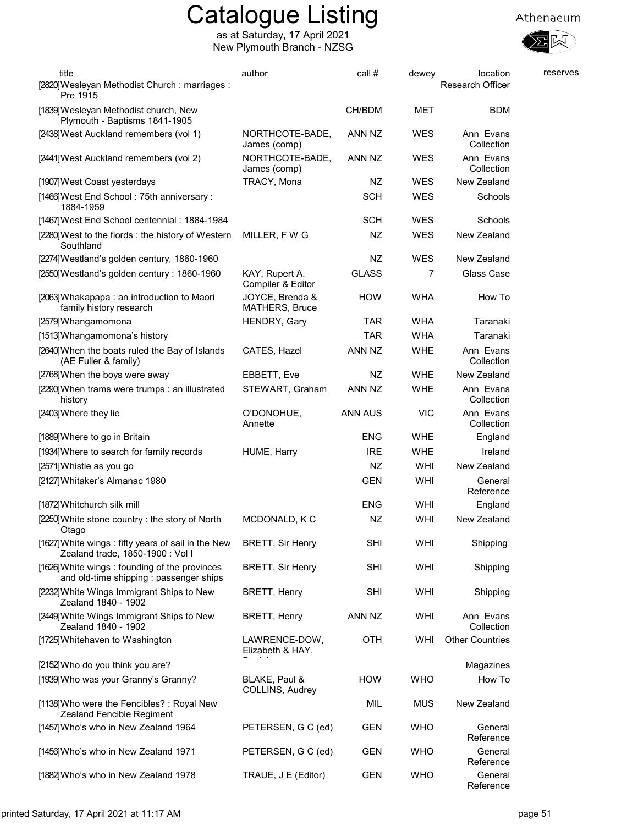



図

| title                                                                                    | author                              | call #       | dewey      | location                | reserves |
|------------------------------------------------------------------------------------------|-------------------------------------|--------------|------------|-------------------------|----------|
| [2820] Wesleyan Methodist Church: marriages:<br>Pre 1915                                 |                                     |              |            | <b>Research Officer</b> |          |
| [1839] Wesleyan Methodist church, New<br>Plymouth - Baptisms 1841-1905                   |                                     | CH/BDM       | MET        | BDM                     |          |
| [2438] West Auckland remembers (vol 1)                                                   | NORTHCOTE-BADE,<br>James (comp)     | ANN NZ       | WES        | Ann Evans<br>Collection |          |
| [2441] West Auckland remembers (vol 2)                                                   | NORTHCOTE-BADE,<br>James (comp)     | ANN NZ       | WES        | Ann Evans<br>Collection |          |
| [1907] West Coast yesterdays                                                             | TRACY, Mona                         | NZ           | WES        | New Zealand             |          |
| [1466] West End School: 75th anniversary:<br>1884-1959                                   |                                     | <b>SCH</b>   | WES        | Schools                 |          |
| [1467] West End School centennial: 1884-1984                                             |                                     | <b>SCH</b>   | WES        | Schools                 |          |
| [2280] West to the fiords: the history of Western<br>Southland                           | MILLER, F W G                       | NZ           | <b>WES</b> | New Zealand             |          |
| [2274] Westland's golden century, 1860-1960                                              |                                     | NZ           | <b>WES</b> | New Zealand             |          |
| [2550] Westland's golden century: 1860-1960                                              | KAY, Rupert A.<br>Compiler & Editor | <b>GLASS</b> | 7          | Glass Case              |          |
| [2063] Whakapapa: an introduction to Maori<br>family history research                    | JOYCE, Brenda &<br>MATHERS, Bruce   | <b>HOW</b>   | <b>WHA</b> | How To                  |          |
| [2579] Whangamomona                                                                      | HENDRY, Gary                        | <b>TAR</b>   | <b>WHA</b> | Taranaki                |          |
| [1513] Whangamomona's history                                                            |                                     | <b>TAR</b>   | <b>WHA</b> | Taranaki                |          |
| [2640] When the boats ruled the Bay of Islands<br>(AE Fuller & family)                   | CATES, Hazel                        | ANN NZ       | <b>WHE</b> | Ann Evans<br>Collection |          |
| [2768] When the boys were away                                                           | EBBETT, Eve                         | NZ           | <b>WHE</b> | New Zealand             |          |
| [2290] When trams were trumps : an illustrated<br>history                                | STEWART, Graham                     | ANN NZ       | <b>WHE</b> | Ann Evans<br>Collection |          |
| [2403] Where they lie                                                                    | O'DONOHUE,<br>Annette               | ANN AUS      | <b>VIC</b> | Ann Evans<br>Collection |          |
| [1889] Where to go in Britain                                                            |                                     | <b>ENG</b>   | <b>WHE</b> | England                 |          |
| [1934] Where to search for family records                                                | HUME, Harry                         | <b>IRE</b>   | <b>WHE</b> | Ireland                 |          |
| [2571] Whistle as you go                                                                 |                                     | NZ           | WHI        | New Zealand             |          |
| [2127] Whitaker's Almanac 1980                                                           |                                     | <b>GEN</b>   | WHI        | General<br>Reference    |          |
| [1872] Whitchurch silk mill                                                              |                                     | <b>ENG</b>   | WHI        | England                 |          |
| [2250] White stone country: the story of North<br>Otago                                  | MCDONALD, K C                       | NZ           | WHI        | New Zealand             |          |
| [1627] White wings: fifty years of sail in the New<br>Zealand trade, 1850-1900 : Vol I   | <b>BRETT, Sir Henry</b>             | SHI          | WHI        | Shipping                |          |
| [1626] White wings: founding of the provinces<br>and old-time shipping : passenger ships | <b>BRETT, Sir Henry</b>             | <b>SHI</b>   | WHI        | Shipping                |          |
| [2232] White Wings Immigrant Ships to New<br>Zealand 1840 - 1902                         | BRETT, Henry                        | <b>SHI</b>   | WHI        | Shipping                |          |
| [2449] White Wings Immigrant Ships to New<br>Zealand 1840 - 1902                         | BRETT, Henry                        | ANN NZ       | WHI        | Ann Evans<br>Collection |          |
| [1725] Whitehaven to Washington                                                          | LAWRENCE-DOW,<br>Elizabeth & HAY,   | <b>OTH</b>   | WHI        | <b>Other Countries</b>  |          |
| [2152] Who do you think you are?                                                         |                                     |              |            | Magazines               |          |
| [1939] Who was your Granny's Granny?                                                     | BLAKE, Paul &<br>COLLINS, Audrey    | <b>HOW</b>   | <b>WHO</b> | How To                  |          |
| [1138] Who were the Fencibles?: Royal New<br>Zealand Fencible Regiment                   |                                     | MIL          | <b>MUS</b> | New Zealand             |          |
| [1457] Who's who in New Zealand 1964                                                     | PETERSEN, G C (ed)                  | GEN          | <b>WHO</b> | General<br>Reference    |          |
| [1456] Who's who in New Zealand 1971                                                     | PETERSEN, G C (ed)                  | GEN          | <b>WHO</b> | General<br>Reference    |          |
| [1882] Who's who in New Zealand 1978                                                     | TRAUE, J E (Editor)                 | <b>GEN</b>   | <b>WHO</b> | General<br>Reference    |          |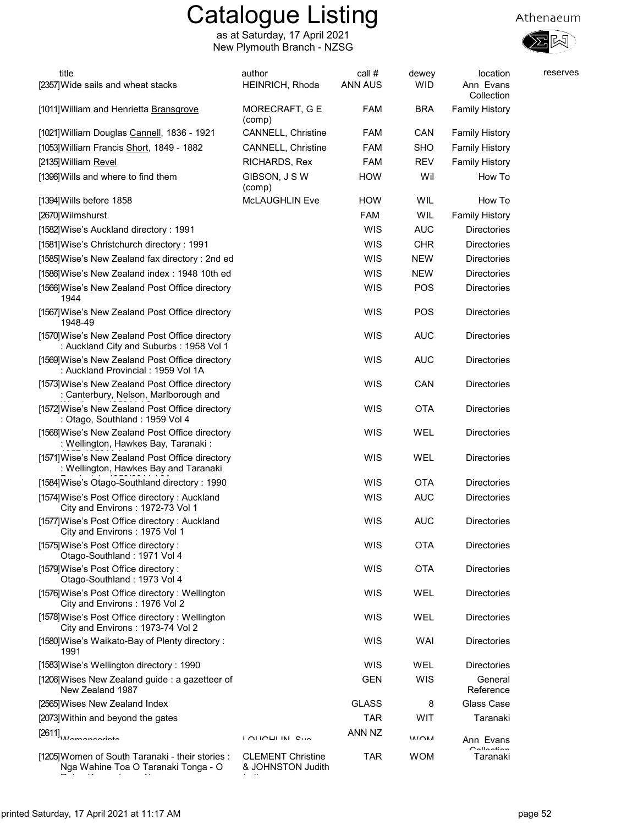as at Saturday, 17 April 2021 New Plymouth Branch - NZSG





| title<br>[2357] Wide sails and wheat stacks                                                | author<br>HEINRICH, Rhoda                     | call #<br>ANN AUS | dewey<br><b>WID</b> | location<br>Ann Evans<br>Collection | reserves |
|--------------------------------------------------------------------------------------------|-----------------------------------------------|-------------------|---------------------|-------------------------------------|----------|
| [1011] William and Henrietta Bransgrove                                                    | MORECRAFT, G E<br>(comp)                      | <b>FAM</b>        | <b>BRA</b>          | <b>Family History</b>               |          |
| [1021] William Douglas Cannell, 1836 - 1921                                                | <b>CANNELL, Christine</b>                     | <b>FAM</b>        | <b>CAN</b>          | <b>Family History</b>               |          |
| [1053] William Francis Short, 1849 - 1882                                                  | <b>CANNELL, Christine</b>                     | <b>FAM</b>        | <b>SHO</b>          | <b>Family History</b>               |          |
| [2135] William Revel                                                                       | RICHARDS, Rex                                 | <b>FAM</b>        | <b>REV</b>          | <b>Family History</b>               |          |
| [1396] Wills and where to find them                                                        | GIBSON, J S W<br>(comp)                       | <b>HOW</b>        | Wil                 | How To                              |          |
| [1394] Wills before 1858                                                                   | <b>McLAUGHLIN Eve</b>                         | <b>HOW</b>        | WIL                 | How To                              |          |
| [2670] Wilmshurst                                                                          |                                               | <b>FAM</b>        | WIL                 | <b>Family History</b>               |          |
| [1582] Wise's Auckland directory: 1991                                                     |                                               | WIS               | <b>AUC</b>          | <b>Directories</b>                  |          |
| [1581] Wise's Christchurch directory: 1991                                                 |                                               | WIS               | <b>CHR</b>          | <b>Directories</b>                  |          |
| [1585] Wise's New Zealand fax directory: 2nd ed                                            |                                               | WIS               | <b>NEW</b>          | <b>Directories</b>                  |          |
| [1586] Wise's New Zealand index: 1948 10th ed                                              |                                               | WIS               | <b>NEW</b>          | <b>Directories</b>                  |          |
| [1566] Wise's New Zealand Post Office directory<br>1944                                    |                                               | WIS               | POS                 | <b>Directories</b>                  |          |
| [1567] Wise's New Zealand Post Office directory<br>1948-49                                 |                                               | WIS               | POS                 | <b>Directories</b>                  |          |
| [1570] Wise's New Zealand Post Office directory<br>: Auckland City and Suburbs: 1958 Vol 1 |                                               | WIS               | <b>AUC</b>          | <b>Directories</b>                  |          |
| [1569] Wise's New Zealand Post Office directory<br>: Auckland Provincial : 1959 Vol 1A     |                                               | WIS               | <b>AUC</b>          | Directories                         |          |
| [1573] Wise's New Zealand Post Office directory<br>: Canterbury, Nelson, Marlborough and   |                                               | WIS               | CAN                 | Directories                         |          |
| [1572] Wise's New Zealand Post Office directory<br>: Otago, Southland: 1959 Vol 4          |                                               | WIS               | <b>OTA</b>          | Directories                         |          |
| [1568] Wise's New Zealand Post Office directory<br>: Wellington, Hawkes Bay, Taranaki:     |                                               | WIS               | WEL                 | <b>Directories</b>                  |          |
| [1571] Wise's New Zealand Post Office directory<br>: Wellington, Hawkes Bay and Taranaki   |                                               | WIS               | WEL                 | Directories                         |          |
| [1584] Wise's Otago-Southland directory: 1990                                              |                                               | <b>WIS</b>        | <b>OTA</b>          | <b>Directories</b>                  |          |
| [1574] Wise's Post Office directory: Auckland<br>City and Environs: 1972-73 Vol 1          |                                               | <b>WIS</b>        | <b>AUC</b>          | <b>Directories</b>                  |          |
| [1577] Wise's Post Office directory: Auckland<br>City and Environs: 1975 Vol 1             |                                               | WIS               | <b>AUC</b>          | Directories                         |          |
| [1575] Wise's Post Office directory:<br>Otago-Southland: 1971 Vol 4                        |                                               | WIS               | <b>OTA</b>          | <b>Directories</b>                  |          |
| [1579] Wise's Post Office directory:<br>Otago-Southland: 1973 Vol 4                        |                                               | WIS               | <b>OTA</b>          | Directories                         |          |
| [1576] Wise's Post Office directory: Wellington<br>City and Environs: 1976 Vol 2           |                                               | WIS               | WEL                 | Directories                         |          |
| [1578] Wise's Post Office directory: Wellington<br>City and Environs: 1973-74 Vol 2        |                                               | WIS               | WEL                 | Directories                         |          |
| [1580] Wise's Waikato-Bay of Plenty directory:<br>1991                                     |                                               | WIS               | WAI                 | Directories                         |          |
| [1583] Wise's Wellington directory: 1990                                                   |                                               | WIS               | WEL                 | Directories                         |          |
| [1206] Wises New Zealand guide: a gazetteer of<br>New Zealand 1987                         |                                               | <b>GEN</b>        | WIS                 | General<br>Reference                |          |
| [2565] Wises New Zealand Index                                                             |                                               | <b>GLASS</b>      | 8                   | Glass Case                          |          |
| [2073] Within and beyond the gates                                                         |                                               | <b>TAR</b>        | WIT                 | Taranaki                            |          |
| [2611]                                                                                     | <b>LOUOULINE OFF</b>                          | ANN NZ            | 111011              | Ann Evans<br>$R$ allaatian          |          |
| [1205] Women of South Taranaki - their stories :<br>Nga Wahine Toa O Taranaki Tonga - O    | <b>CLEMENT Christine</b><br>& JOHNSTON Judith | TAR               | <b>WOM</b>          | Taranaki                            |          |

 $\mathcal{L}_{\mathcal{C}}$ 

Ratou Korero (copy 1)